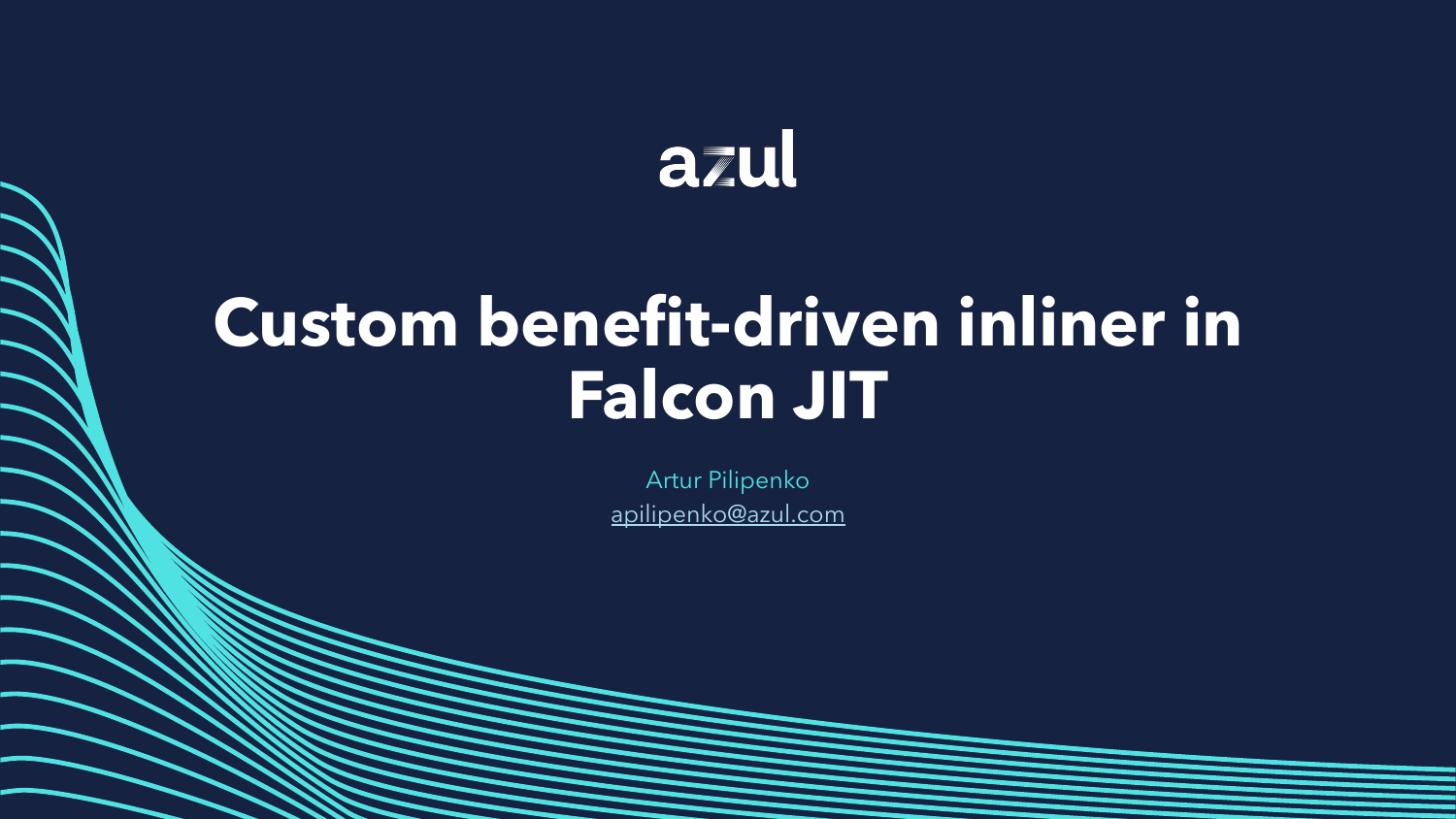# azul

# **Custom benefit-driven inliner in Falcon JIT**

Artur Pilipenko apilipenko@azul.com

Copyright ©2022 Azul Systems Inc.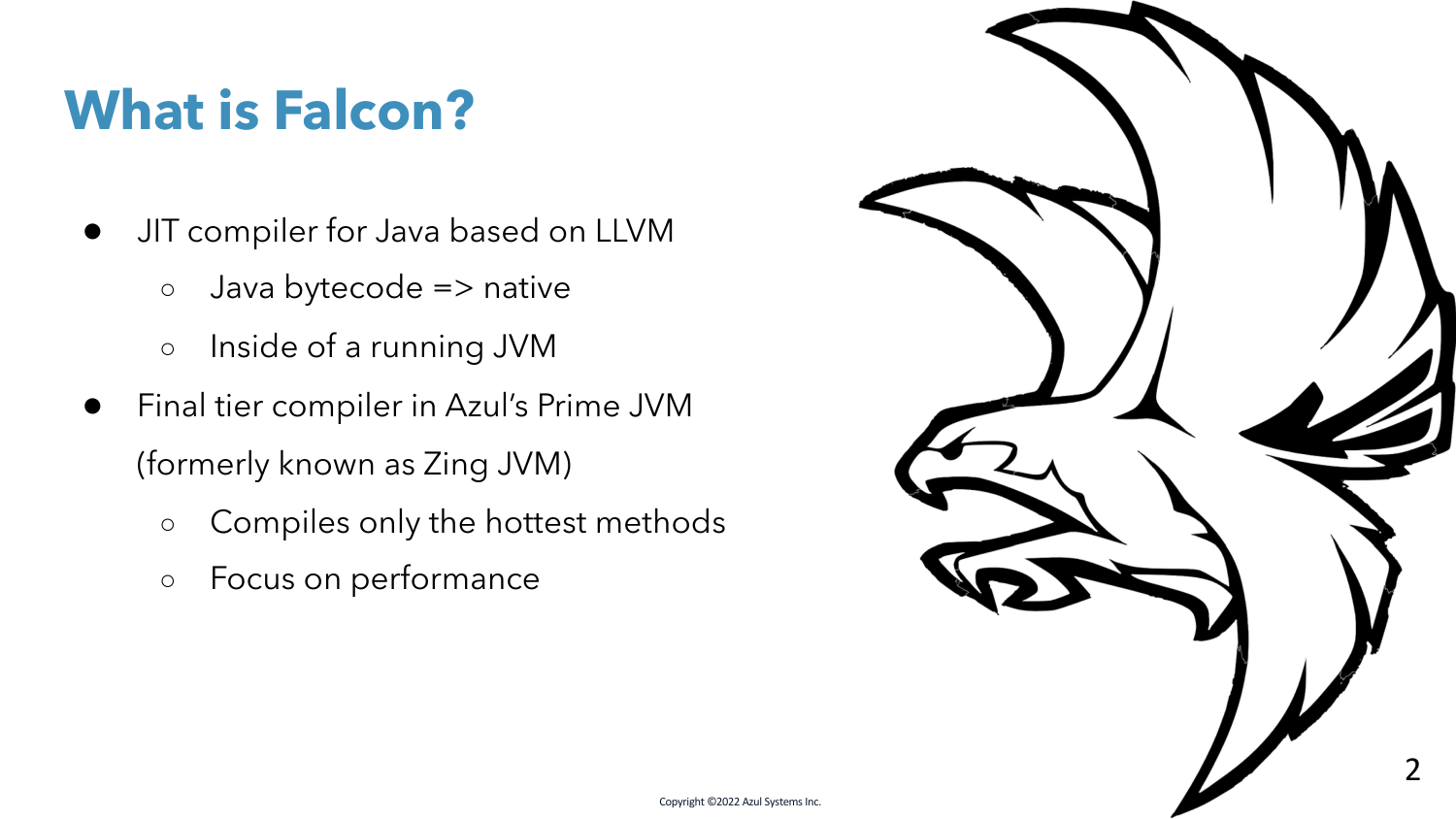## **What is Falcon?**

- JIT compiler for Java based on LLVM
	- Java bytecode => native
	- Inside of a running JVM
- Final tier compiler in Azul's Prime JVM (formerly known as Zing JVM)
	- Compiles only the hottest methods
	- Focus on performance

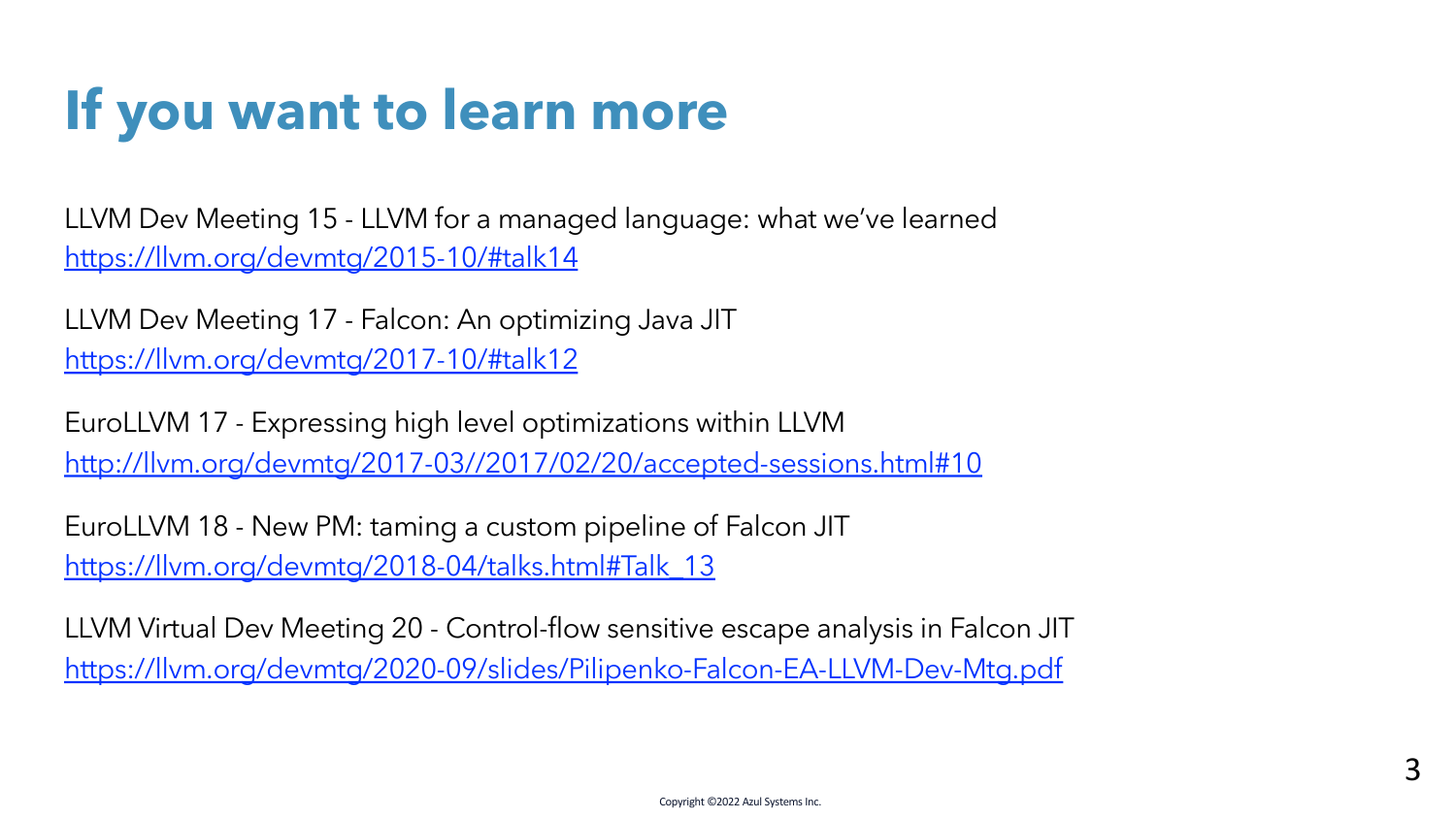## **If you want to learn more**

LLVM Dev Meeting 15 - LLVM for a managed language: what we've learned https://llvm.org/devmtg/2015-10/#talk14

LLVM Dev Meeting 17 - Falcon: An optimizing Java JIT https://llvm.org/devmtg/2017-10/#talk12

EuroLLVM 17 - Expressing high level optimizations within LLVM http://llvm.org/devmtg/2017-03//2017/02/20/accepted-sessions.html#10

EuroLLVM 18 - New PM: taming a custom pipeline of Falcon JIT https://llvm.org/devmtg/2018-04/talks.html#Talk\_13

LLVM Virtual Dev Meeting 20 - Control-flow sensitive escape analysis in Falcon JIT https://llvm.org/devmtg/2020-09/slides/Pilipenko-Falcon-EA-LLVM-Dev-Mtg.pdf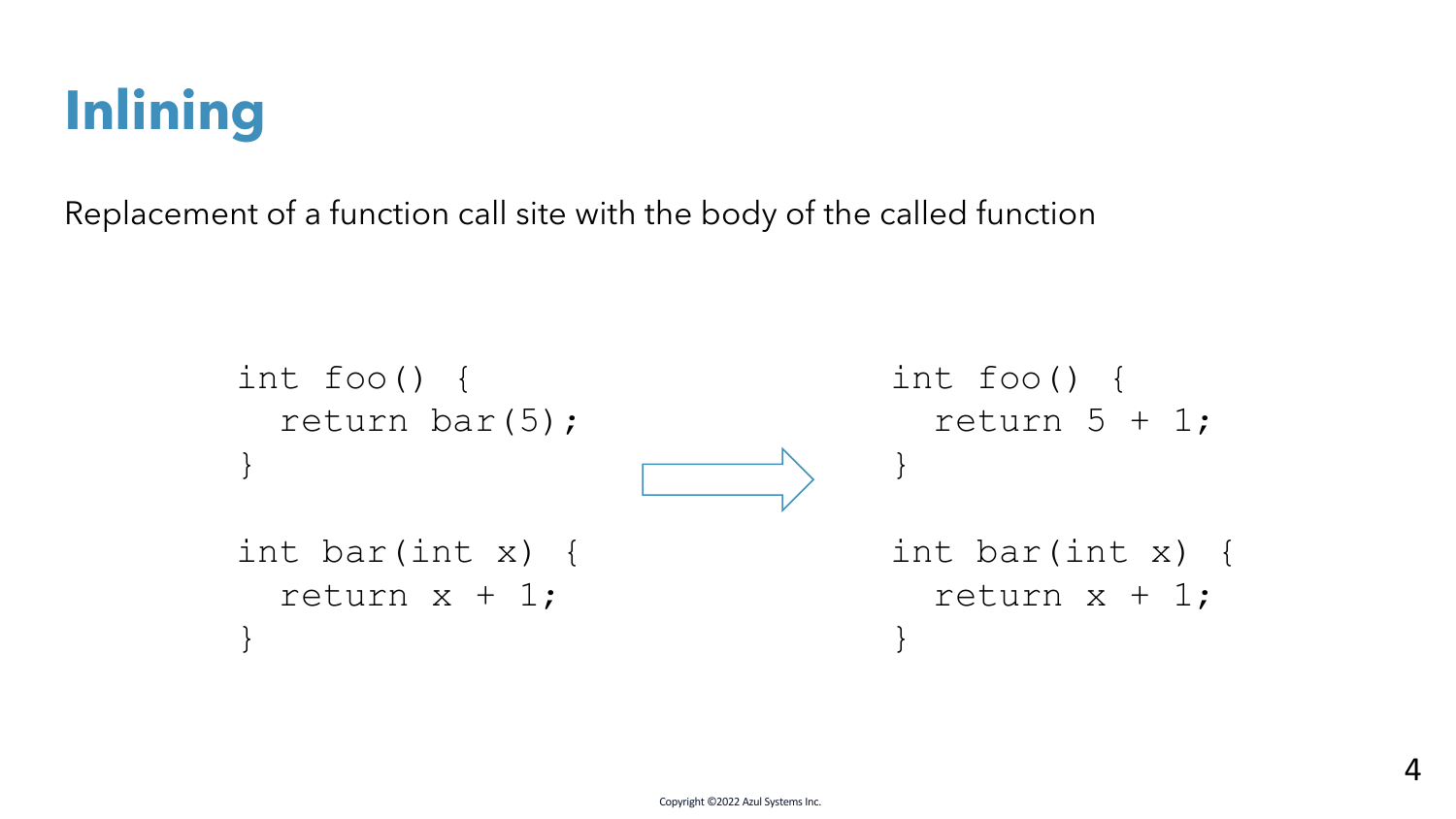

Replacement of a function call site with the body of the called function

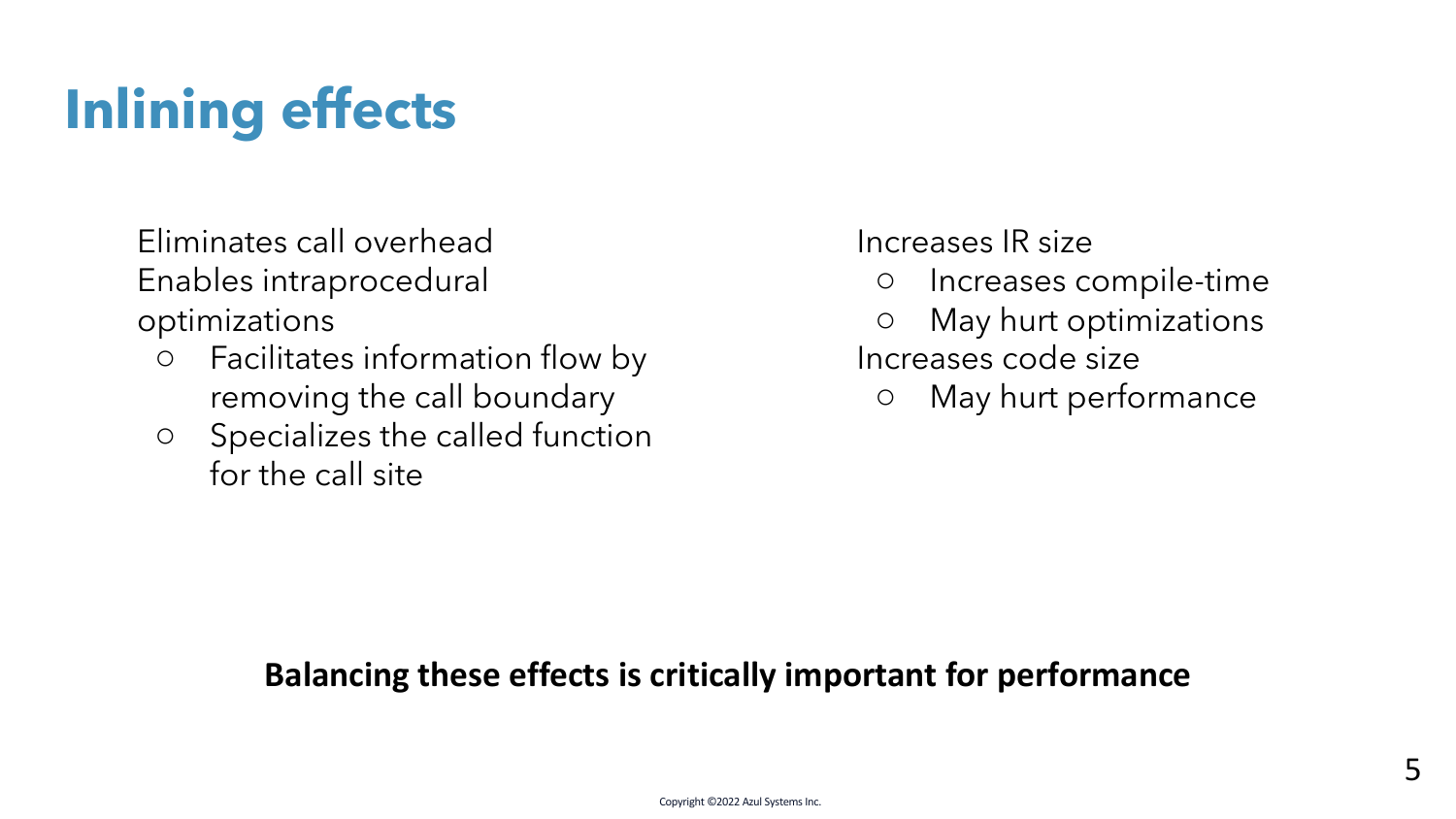# **Inlining effects**

Eliminates call overhead Enables intraprocedural optimizations

- Facilitates information flow by removing the call boundary
- Specializes the called function for the call site

Increases IR size

- Increases compile-time
- May hurt optimizations Increases code size
	- May hurt performance

#### **Balancing these effects is critically important for performance**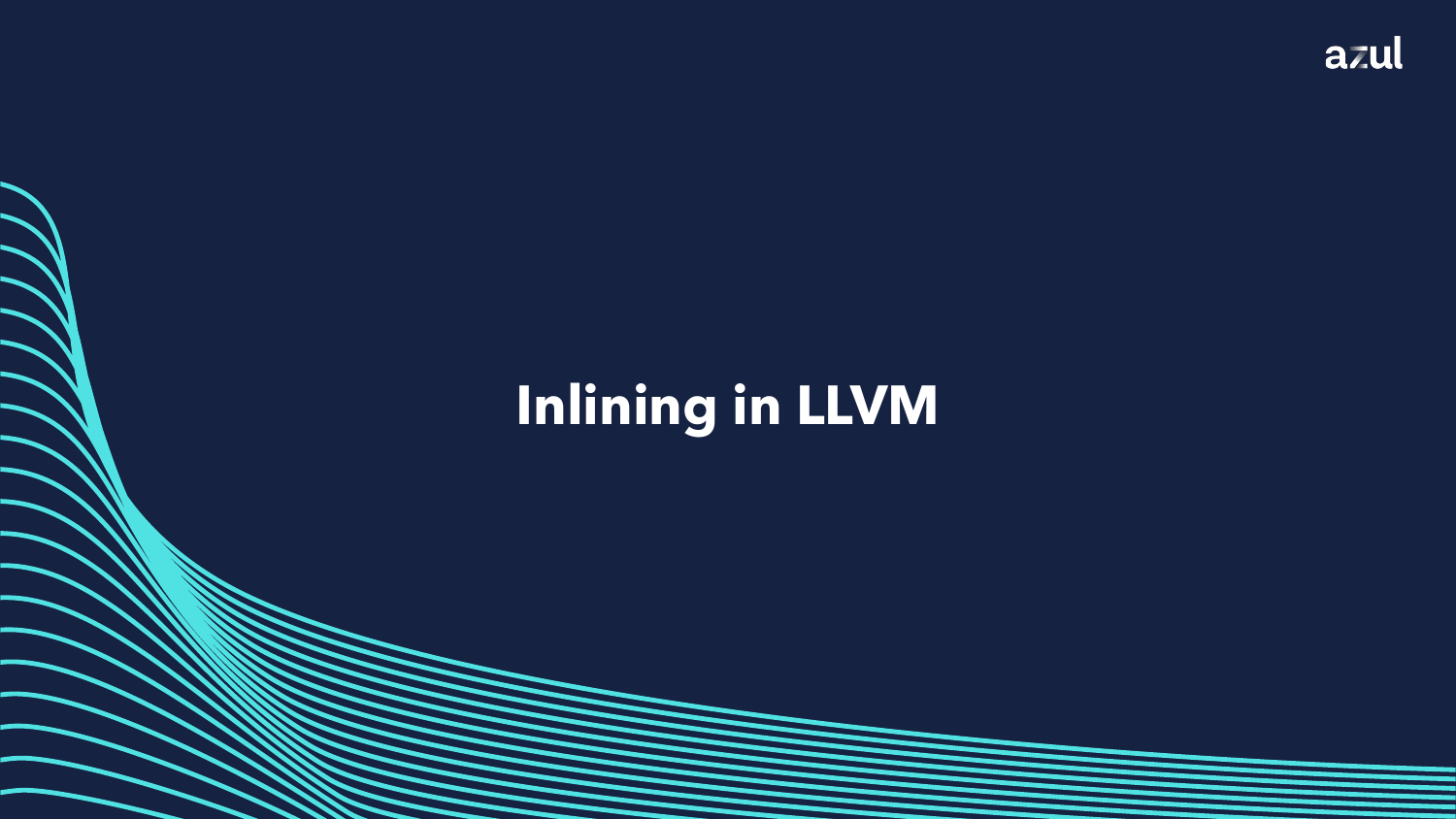

## **Inlining in LLVM**

Copyright ©2022 Azul Systems Inc.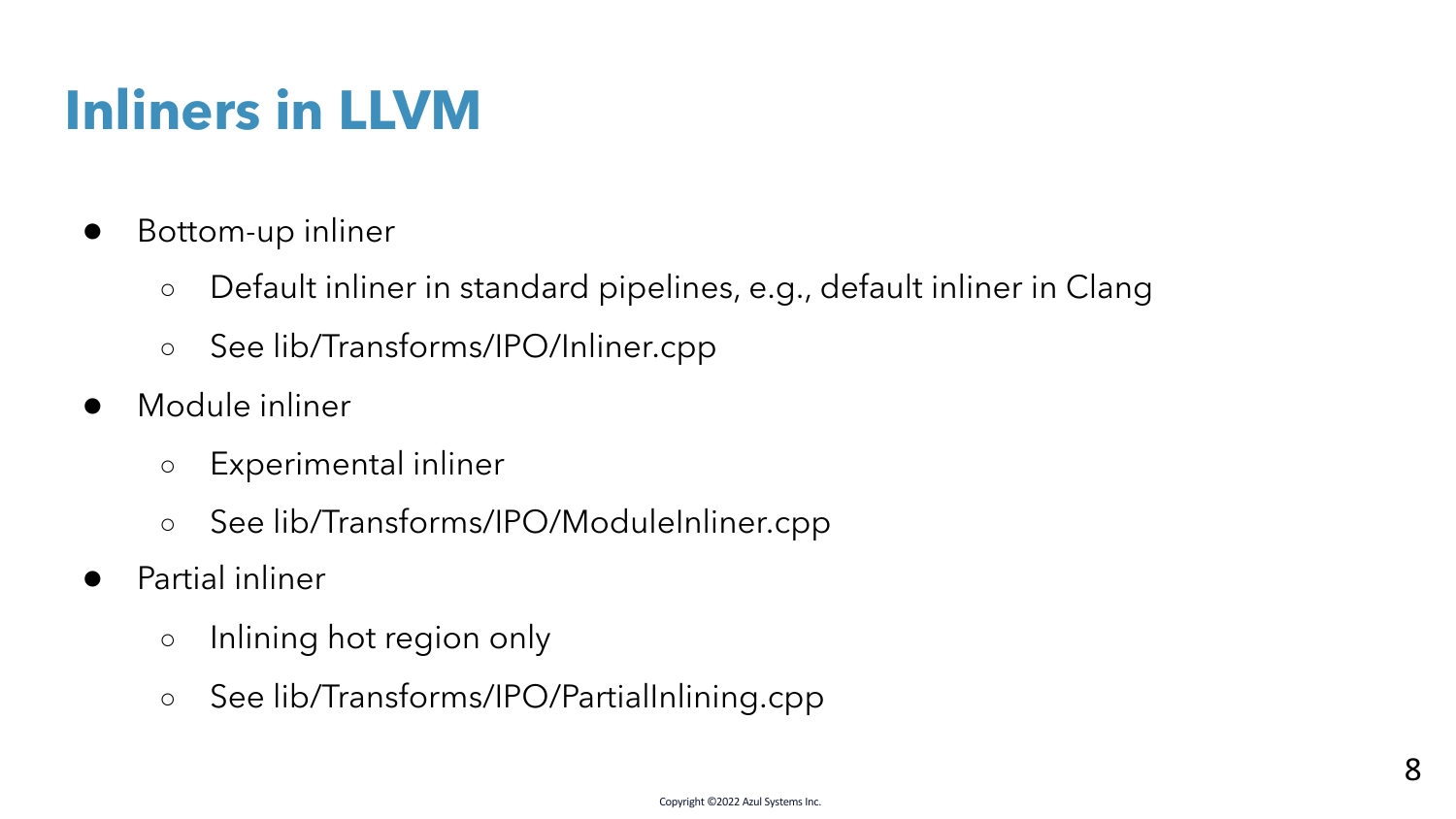# **Inliners in LLVM**

- Bottom-up inliner
	- Default inliner in standard pipelines, e.g., default inliner in Clang
	- See lib/Transforms/IPO/Inliner.cpp
- Module inliner
	- Experimental inliner
	- See lib/Transforms/IPO/ModuleInliner.cpp
- Partial inliner
	- Inlining hot region only
	- See lib/Transforms/IPO/PartialInlining.cpp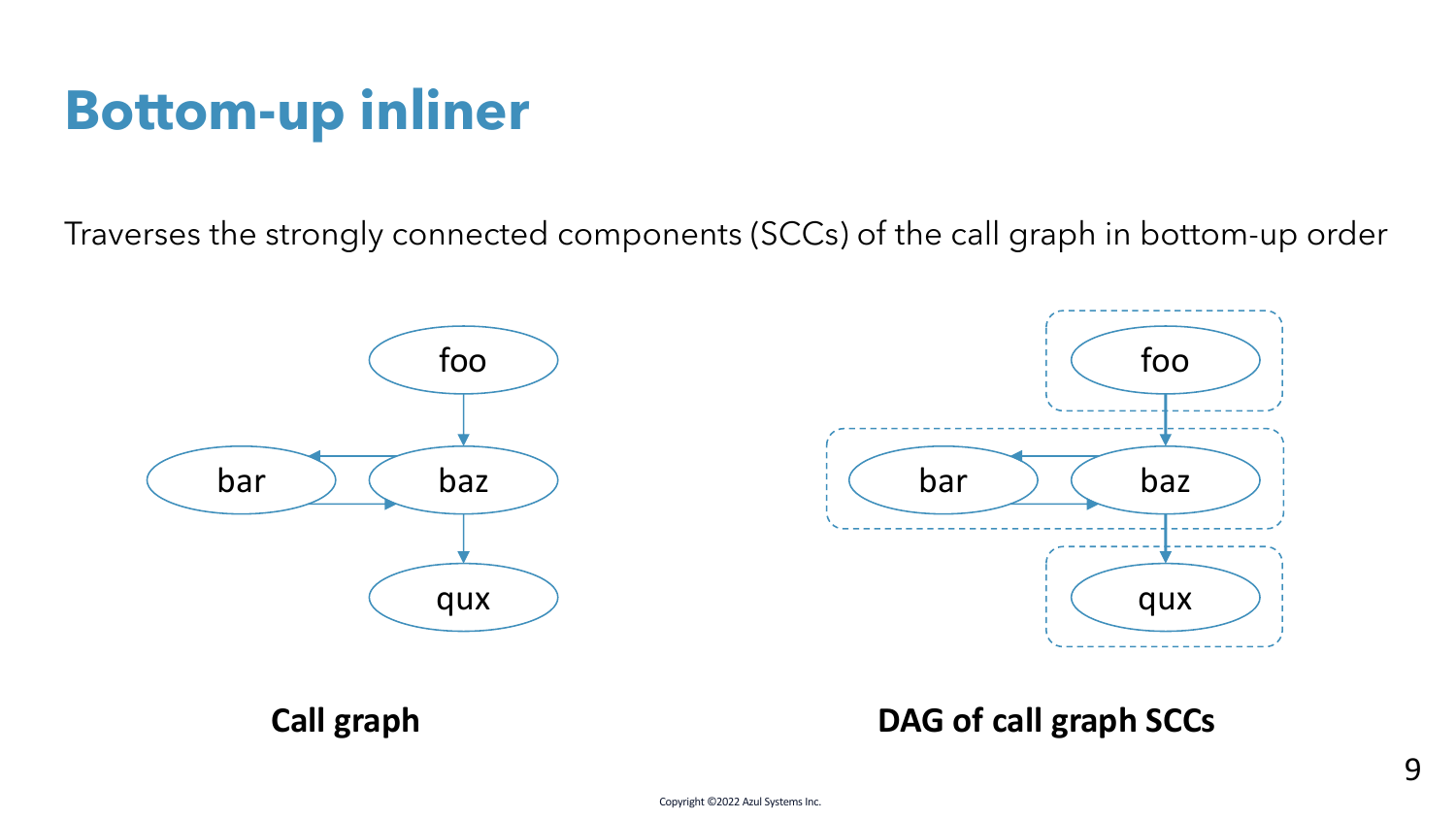Traverses the strongly connected components (SCCs) of the call graph in bottom-up order



#### **Call graph DAG of call graph SCCs**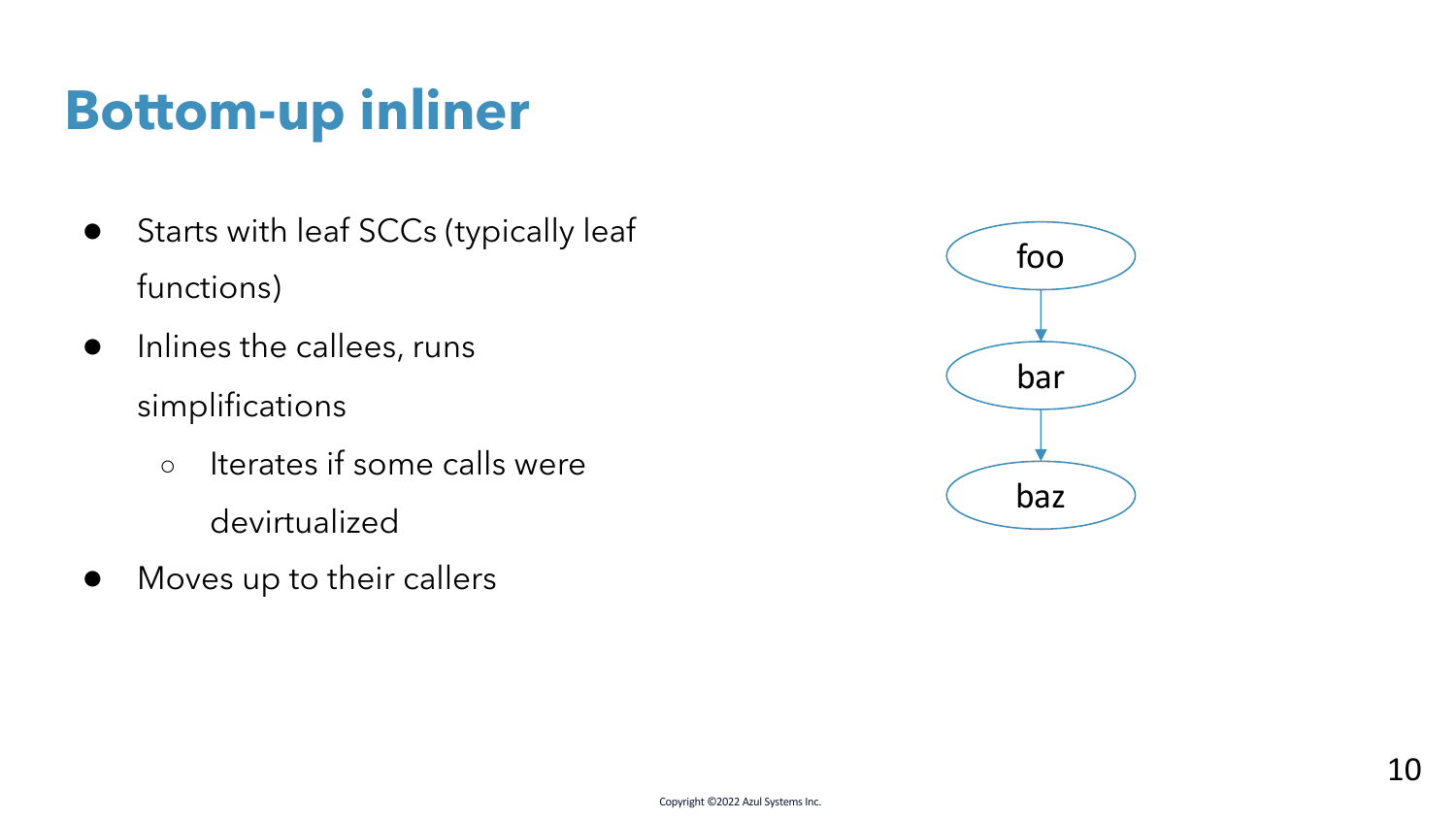- Starts with leaf SCCs (typically leaf functions)
- Inlines the callees, runs simplifications
	- Iterates if some calls were devirtualized
- Moves up to their callers

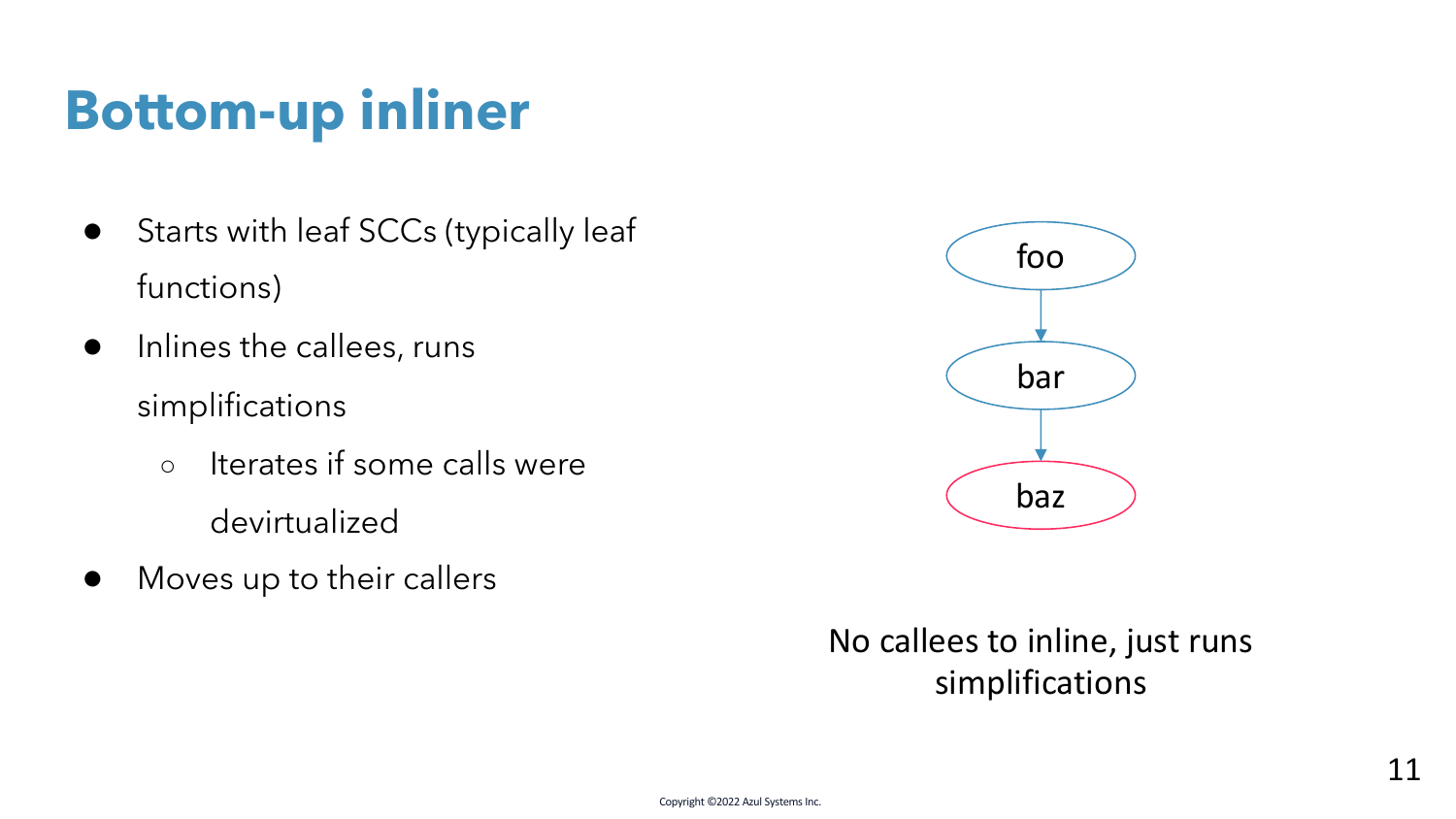- Starts with leaf SCCs (typically leaf functions)
- Inlines the callees, runs simplifications
	- Iterates if some calls were devirtualized
- Moves up to their callers



No callees to inline, just runs simplifications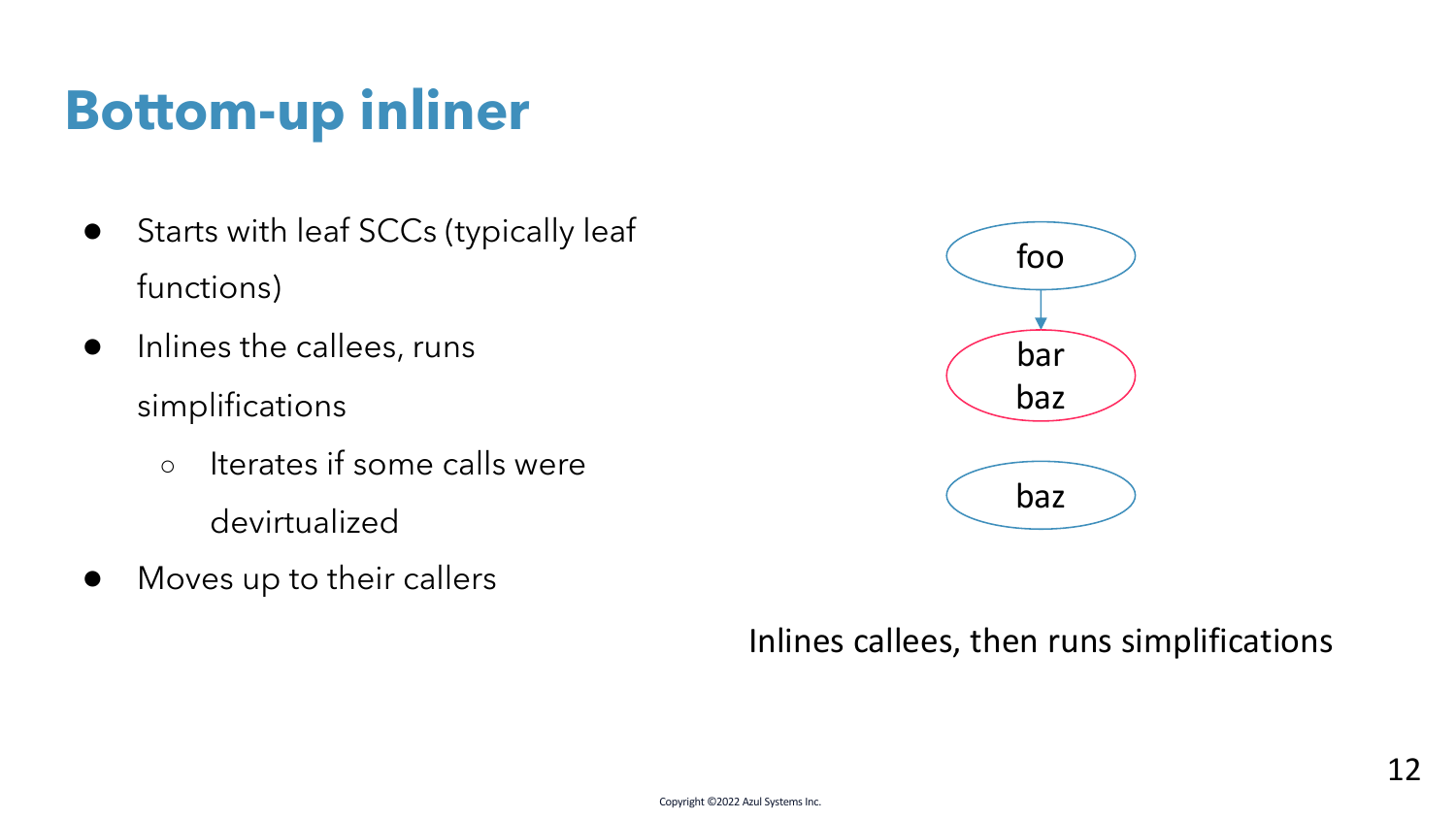- Starts with leaf SCCs (typically leaf functions)
- Inlines the callees, runs simplifications
	- Iterates if some calls were devirtualized
- Moves up to their callers



#### Inlines callees, then runs simplifications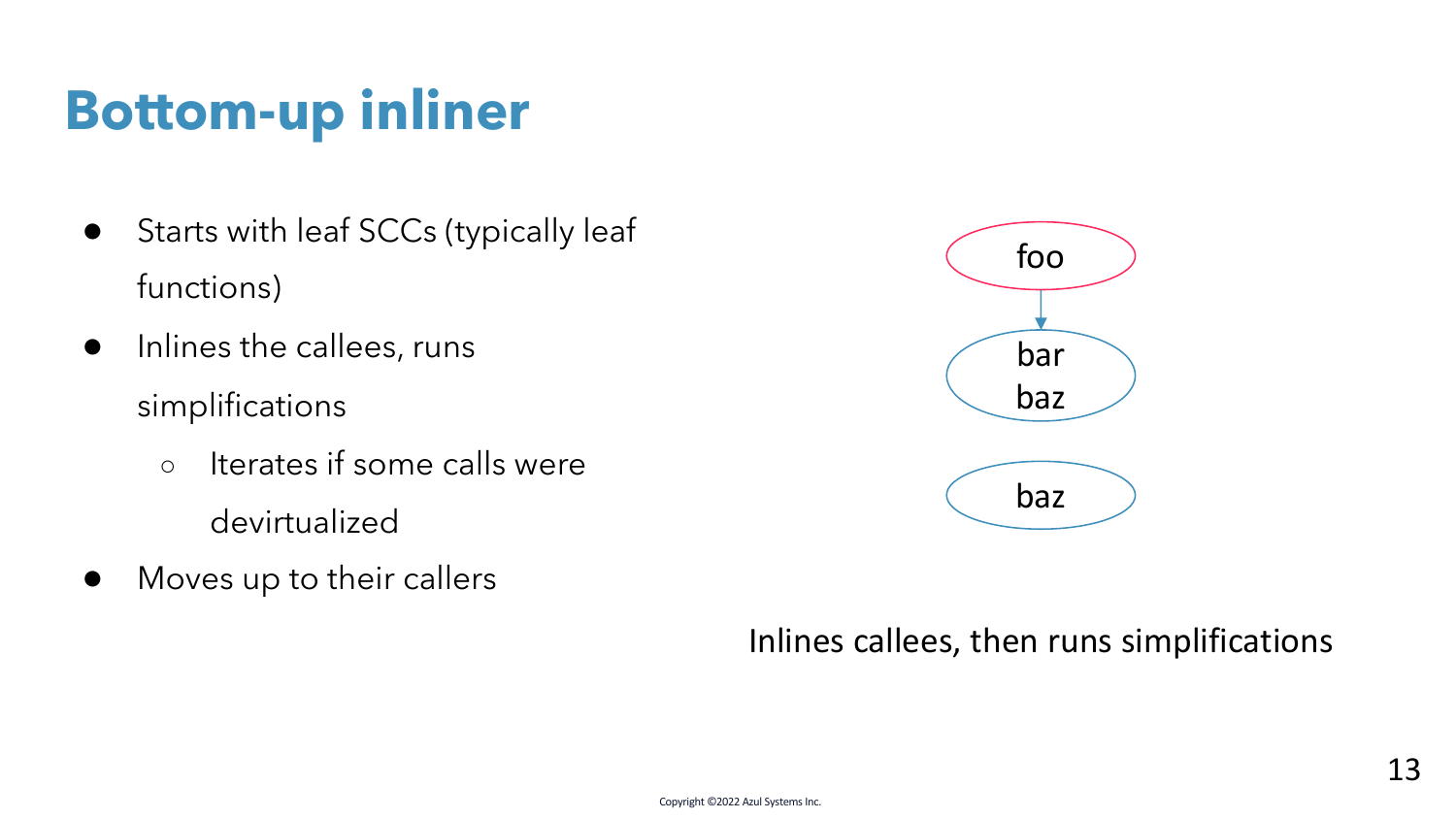- Starts with leaf SCCs (typically leaf functions)
- Inlines the callees, runs simplifications
	- Iterates if some calls were devirtualized
- Moves up to their callers



#### Inlines callees, then runs simplifications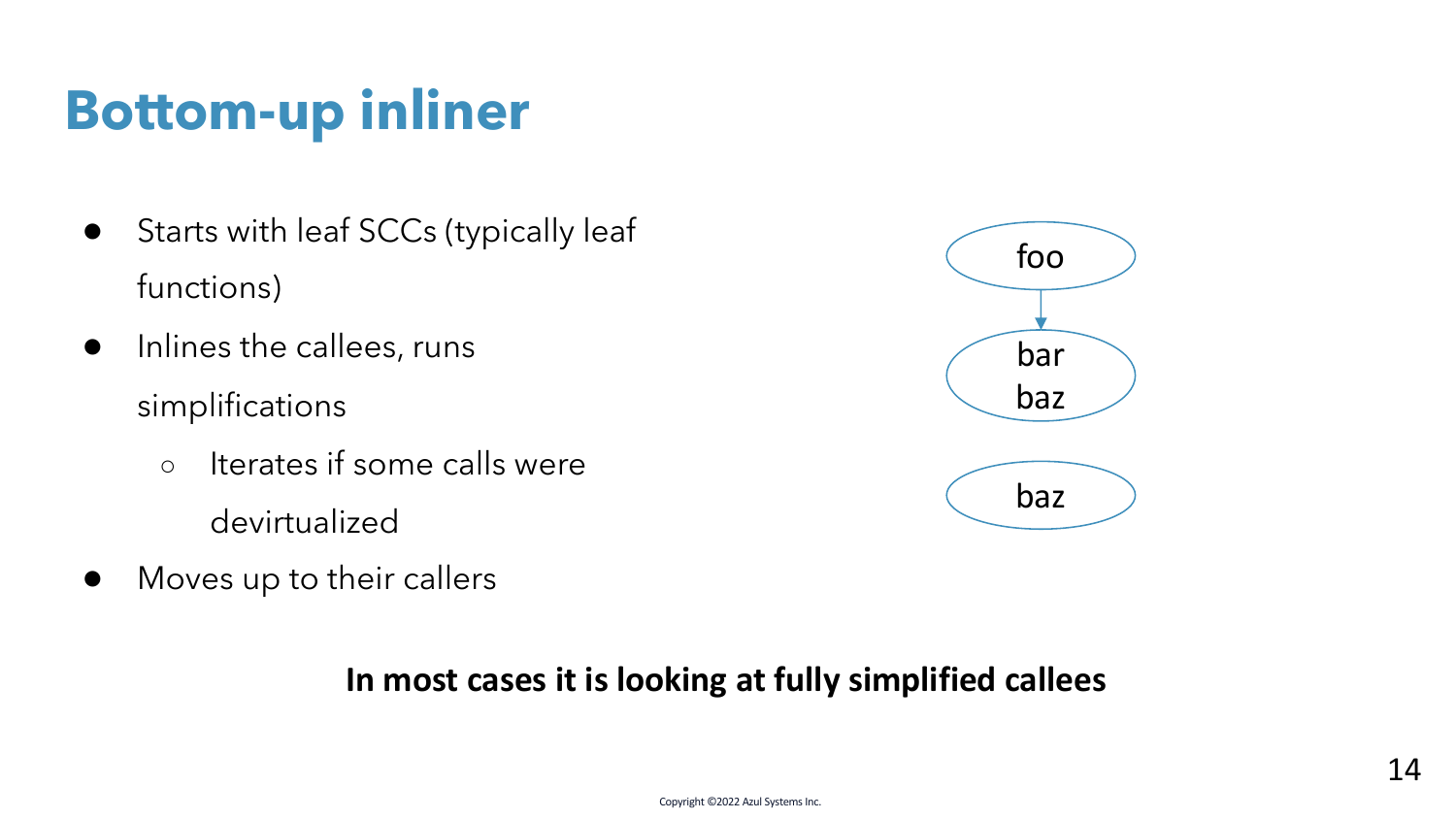- Starts with leaf SCCs (typically leaf functions)
- Inlines the callees, runs simplifications
	- Iterates if some calls were devirtualized
- Moves up to their callers



#### **In most cases it is looking at fully simplified callees**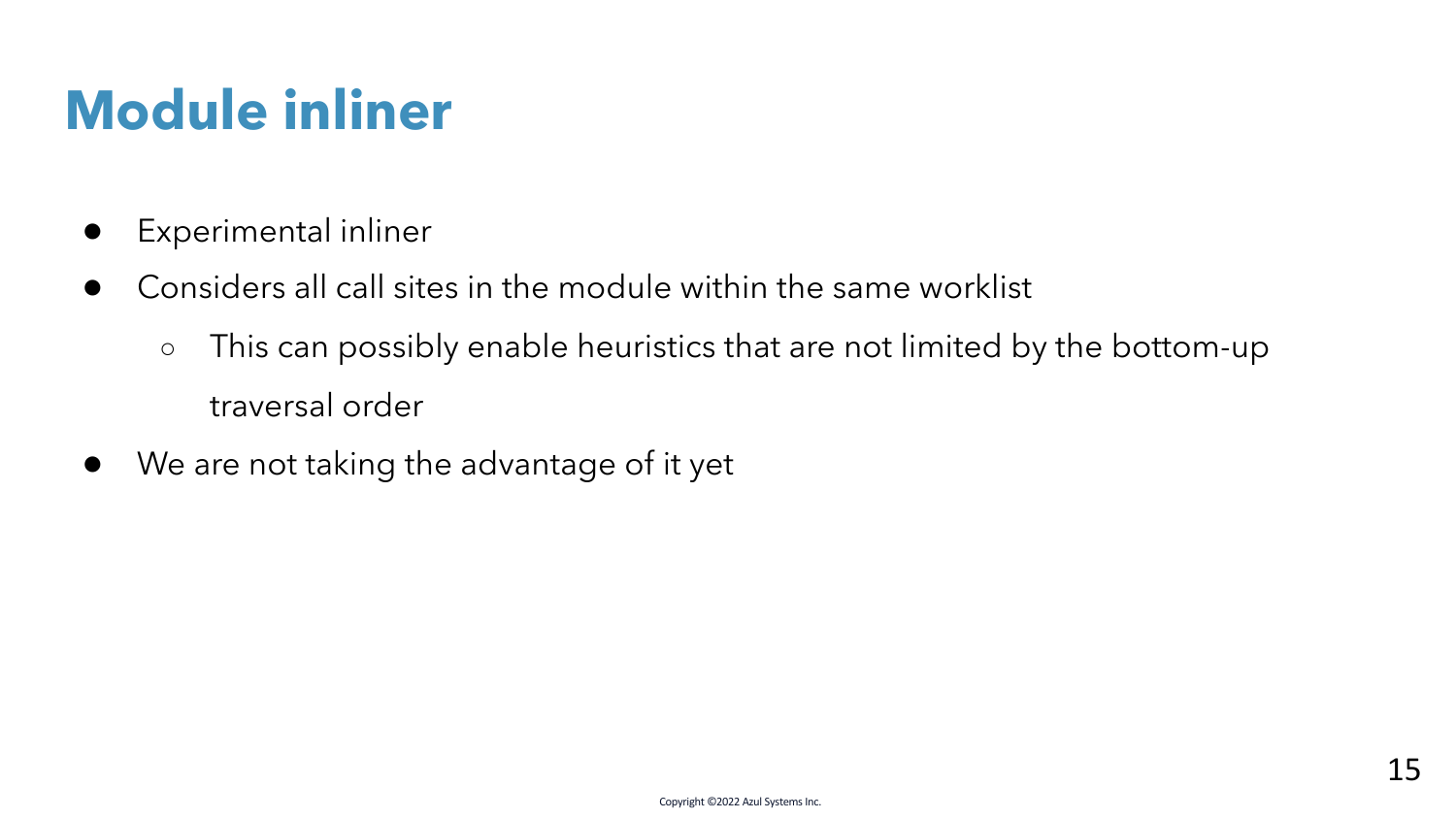## **Module inliner**

- Experimental inliner
- Considers all call sites in the module within the same worklist
	- This can possibly enable heuristics that are not limited by the bottom-up traversal order
- We are not taking the advantage of it yet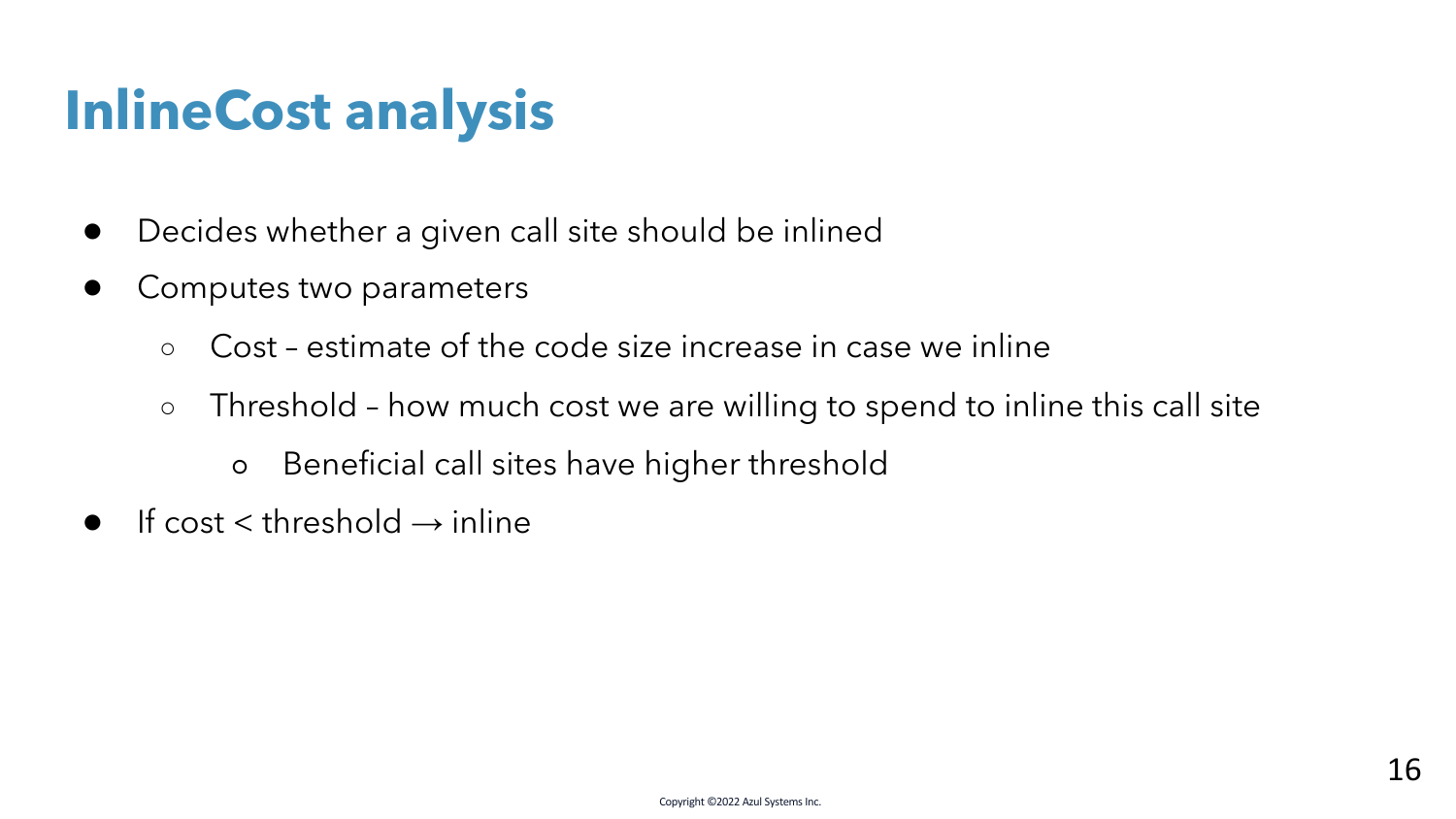## **InlineCost analysis**

- Decides whether a given call site should be inlined
- Computes two parameters
	- Cost estimate of the code size increase in case we inline
	- Threshold how much cost we are willing to spend to inline this call site
		- Beneficial call sites have higher threshold
- $\bullet$  If cost  $\lt$  threshold  $\rightarrow$  inline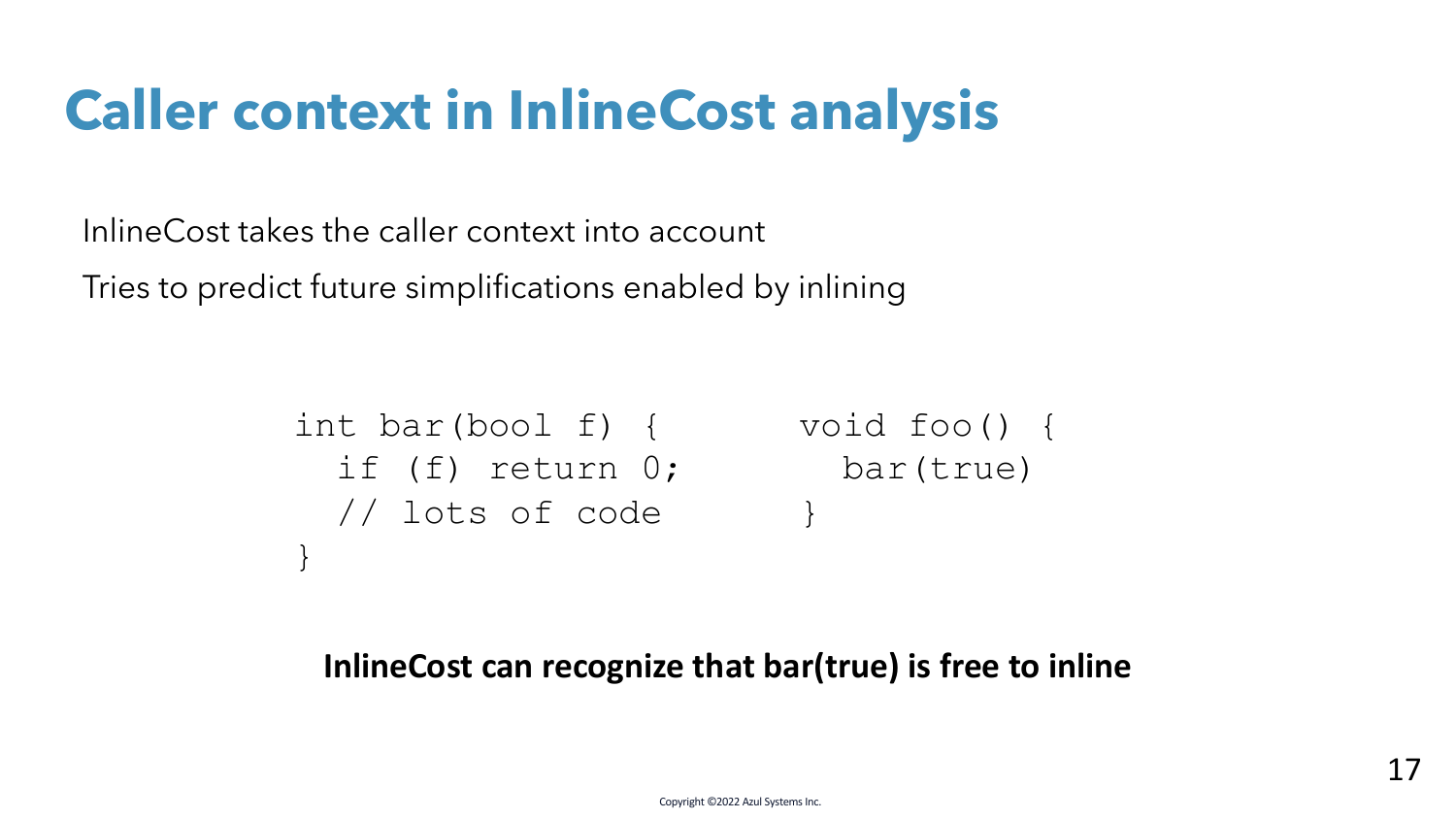## **Caller context in InlineCost analysis**

InlineCost takes the caller context into account

Tries to predict future simplifications enabled by inlining

```
int bar(bool f) {
void foo() {
 if (f) return 0;
bar(true)
 // lots of code
}
                    }
```
#### **InlineCost can recognize that bar(true) is free to inline**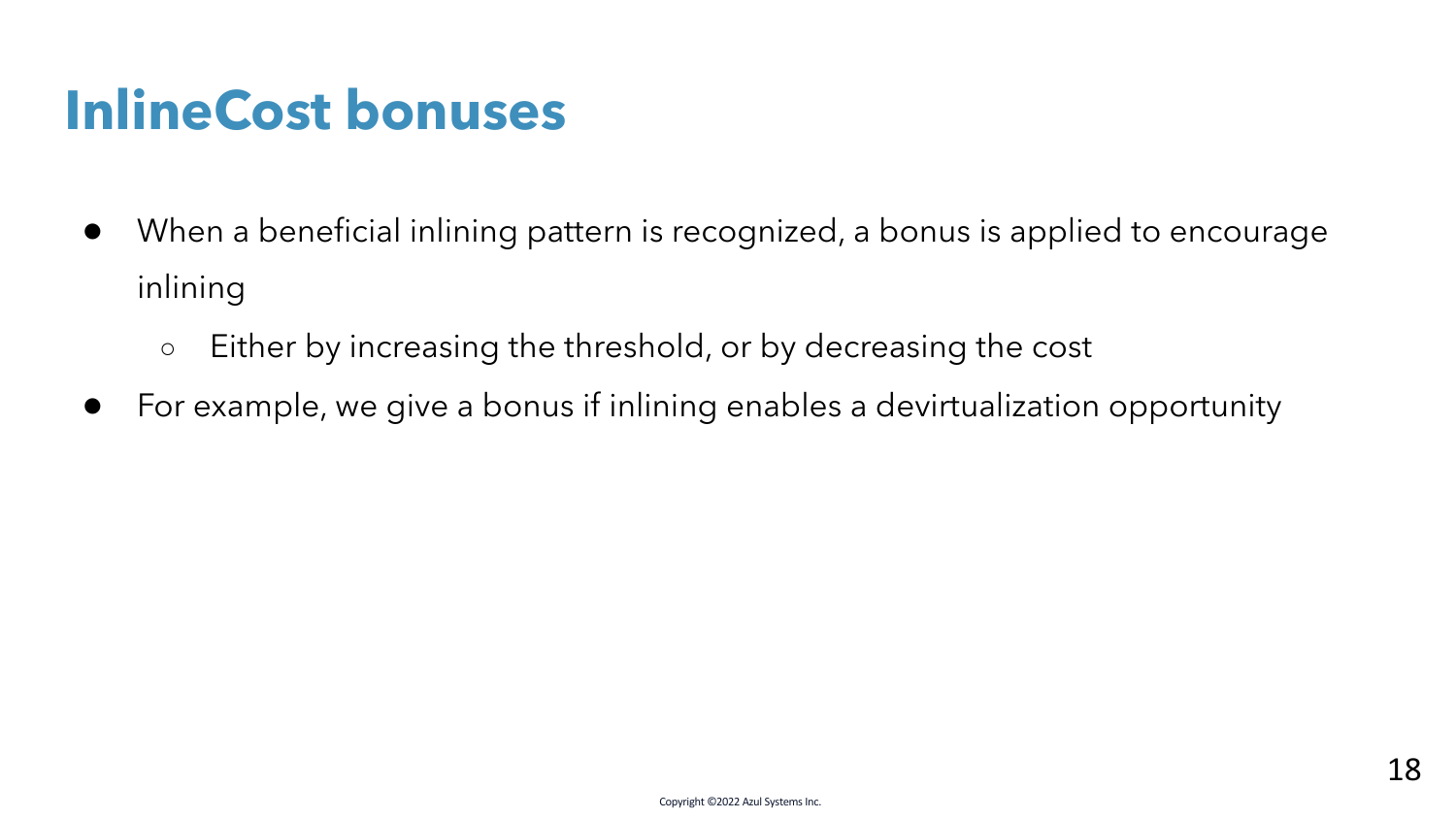## **InlineCost bonuses**

- When a beneficial inlining pattern is recognized, a bonus is applied to encourage inlining
	- Either by increasing the threshold, or by decreasing the cost
- For example, we give a bonus if inlining enables a devirtualization opportunity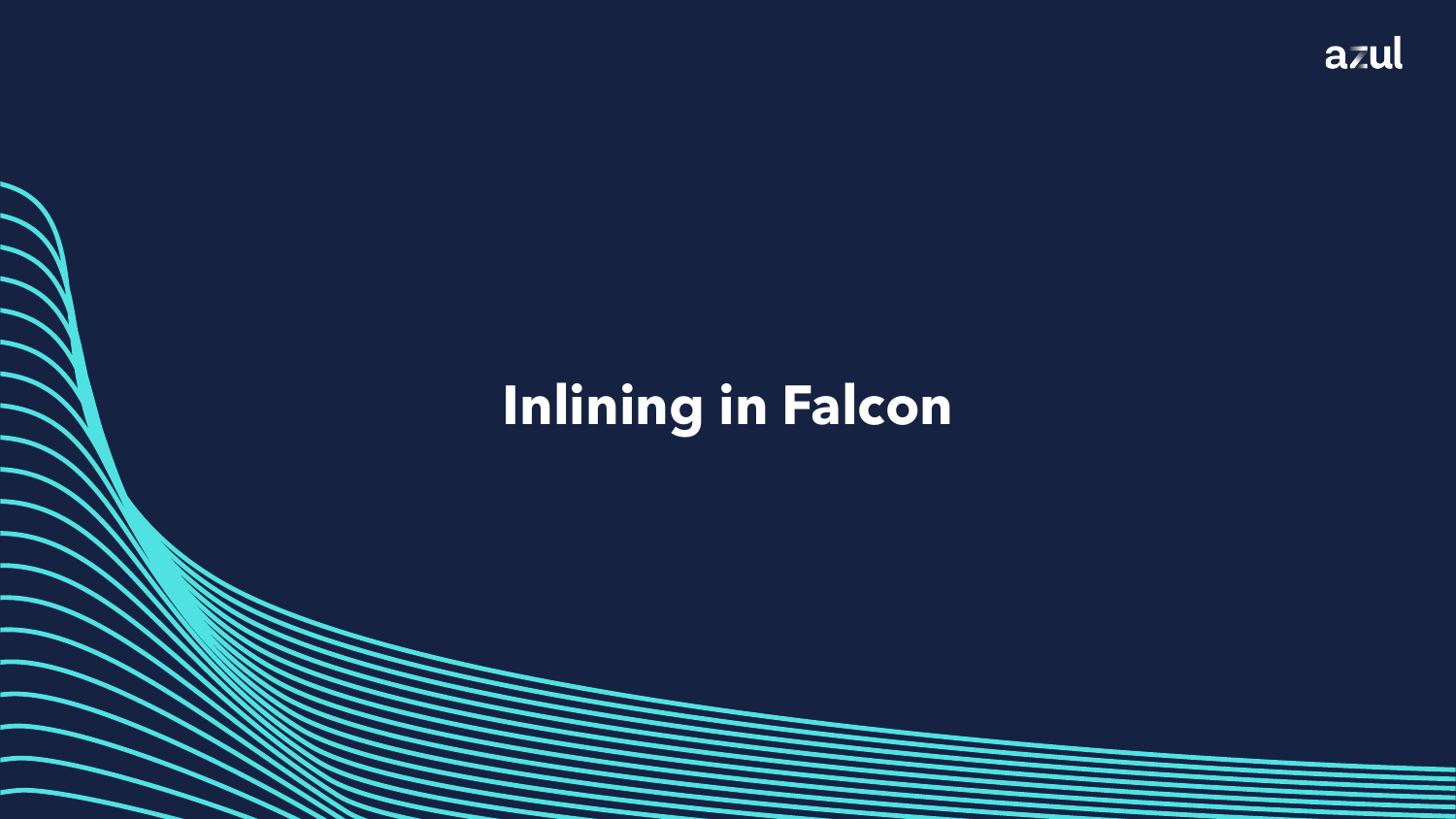## **Inlining in Falcon**

Copyright ©2022 Azul Systems Inc.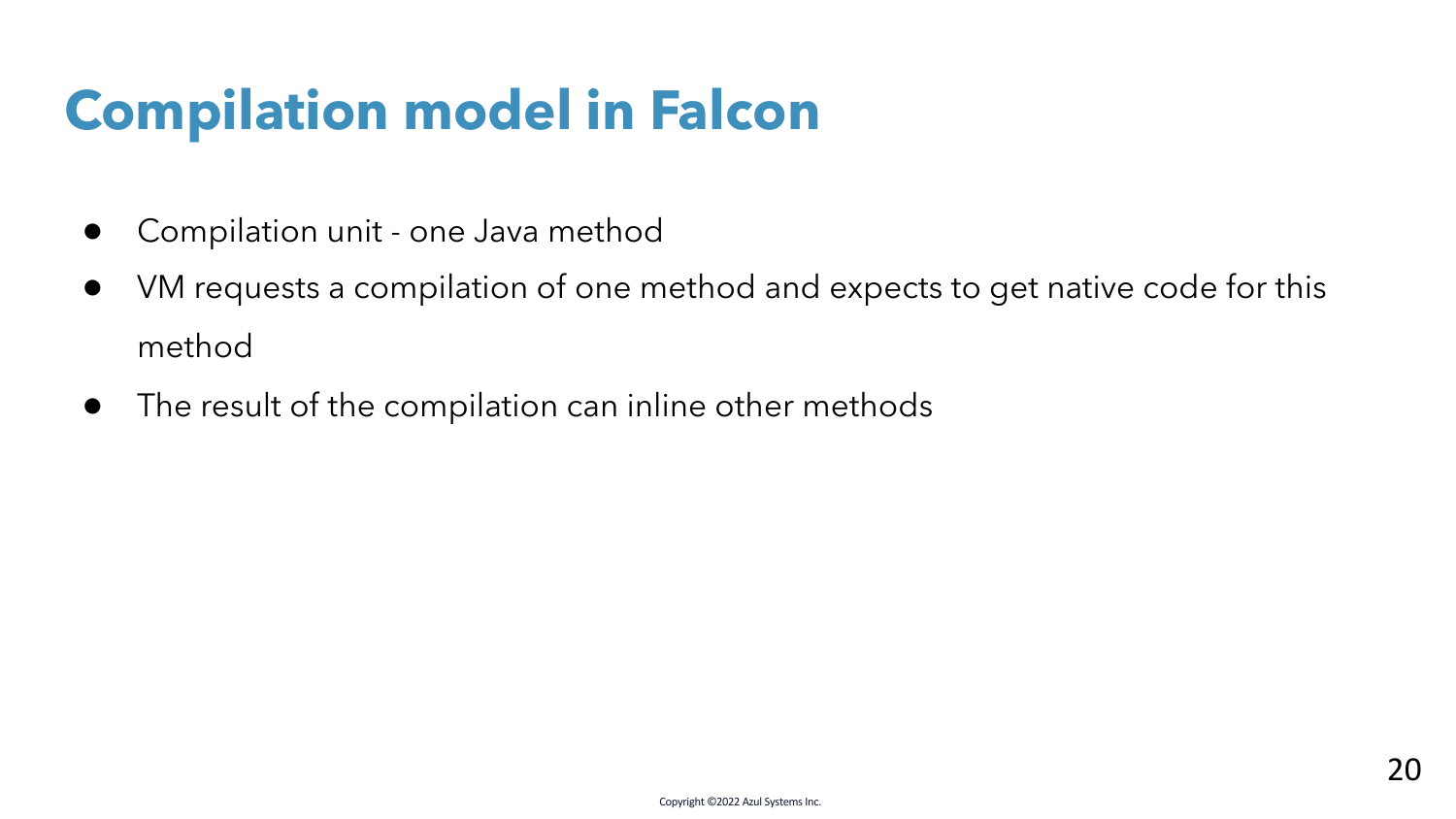## **Compilation model in Falcon**

- Compilation unit one Java method
- VM requests a compilation of one method and expects to get native code for this method
- The result of the compilation can inline other methods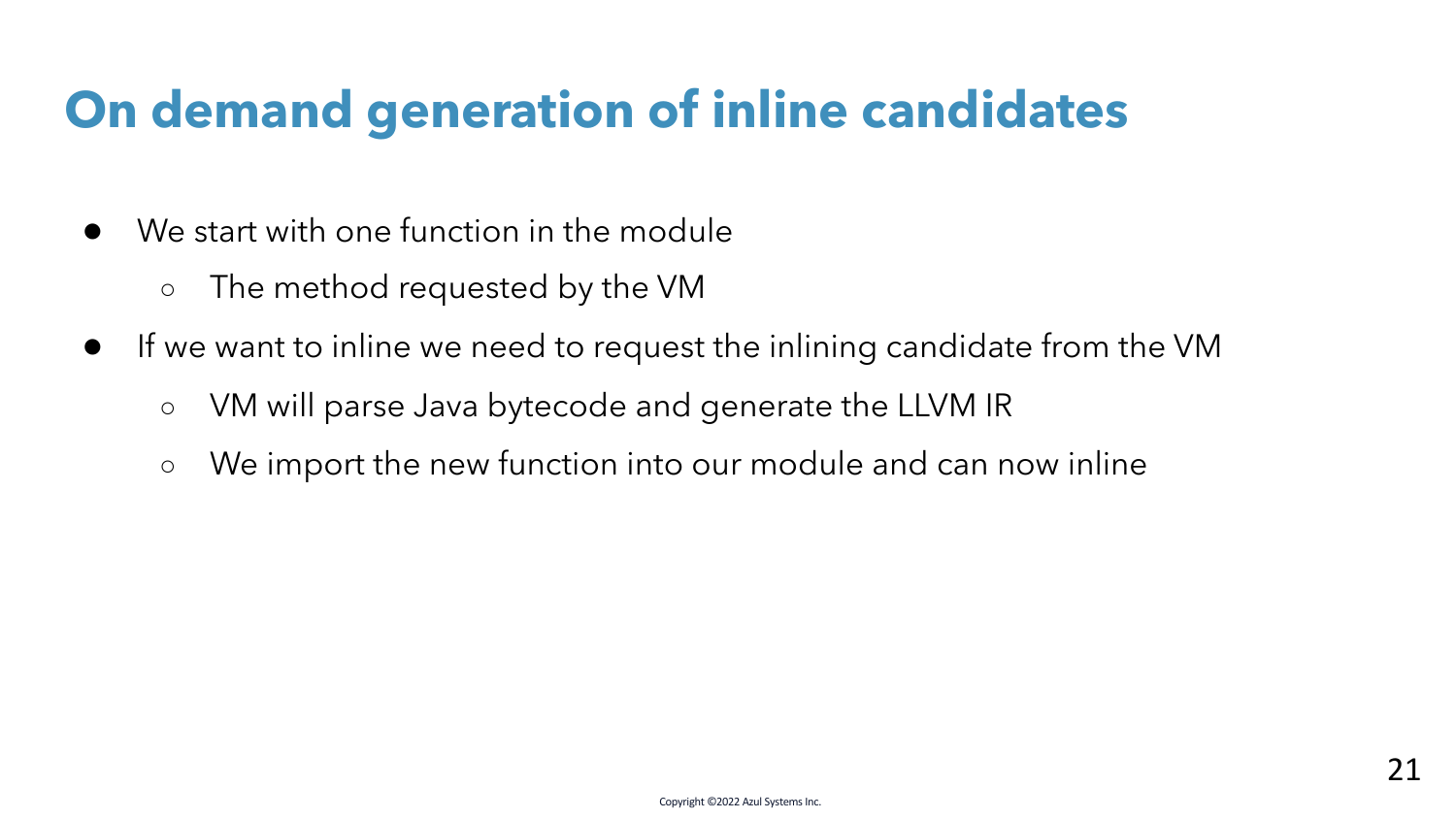### **On demand generation of inline candidates**

- We start with one function in the module
	- The method requested by the VM
- If we want to inline we need to request the inlining candidate from the VM
	- VM will parse Java bytecode and generate the LLVM IR
	- We import the new function into our module and can now inline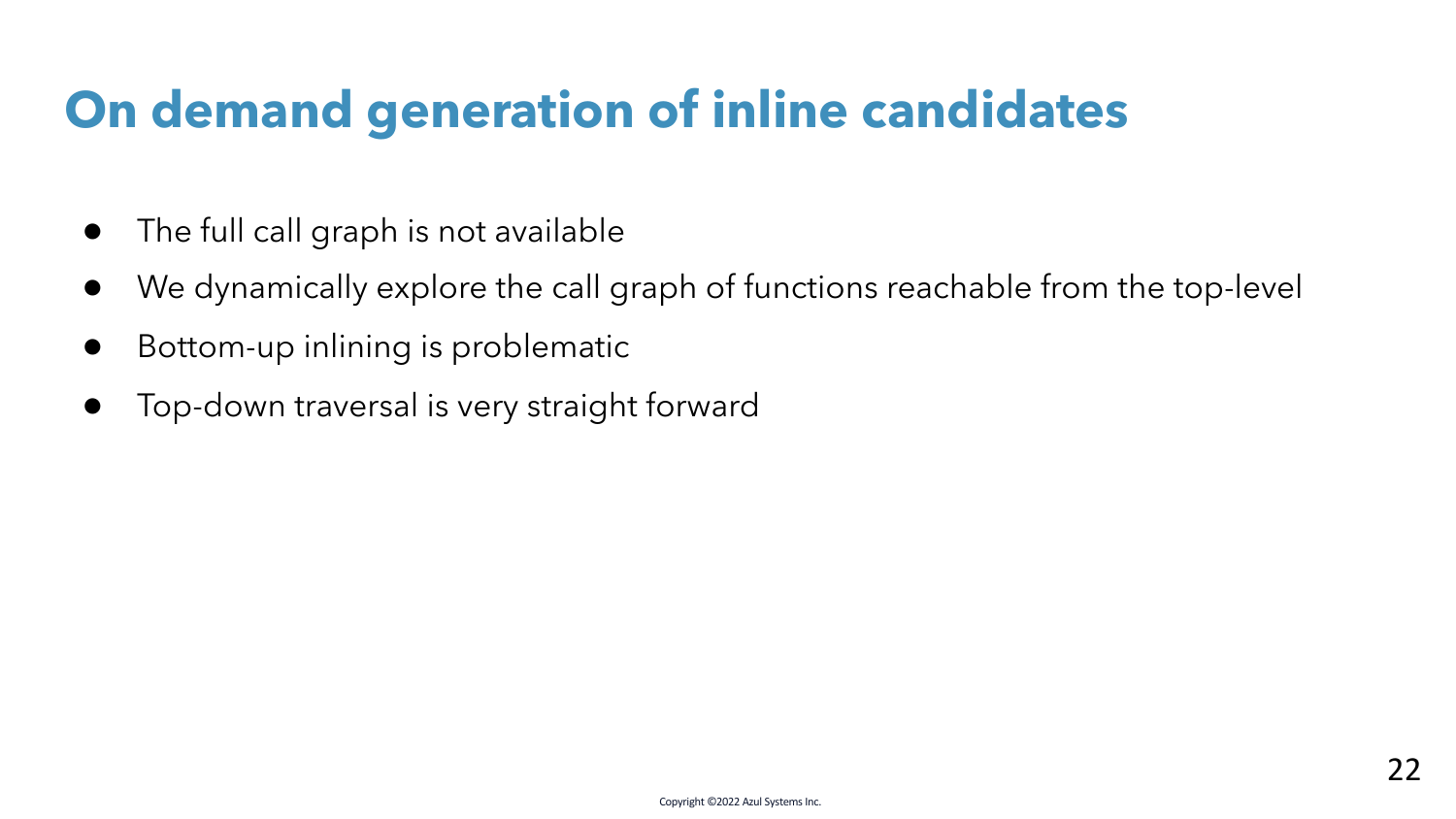### **On demand generation of inline candidates**

- The full call graph is not available
- We dynamically explore the call graph of functions reachable from the top-level
- Bottom-up inlining is problematic
- Top-down traversal is very straight forward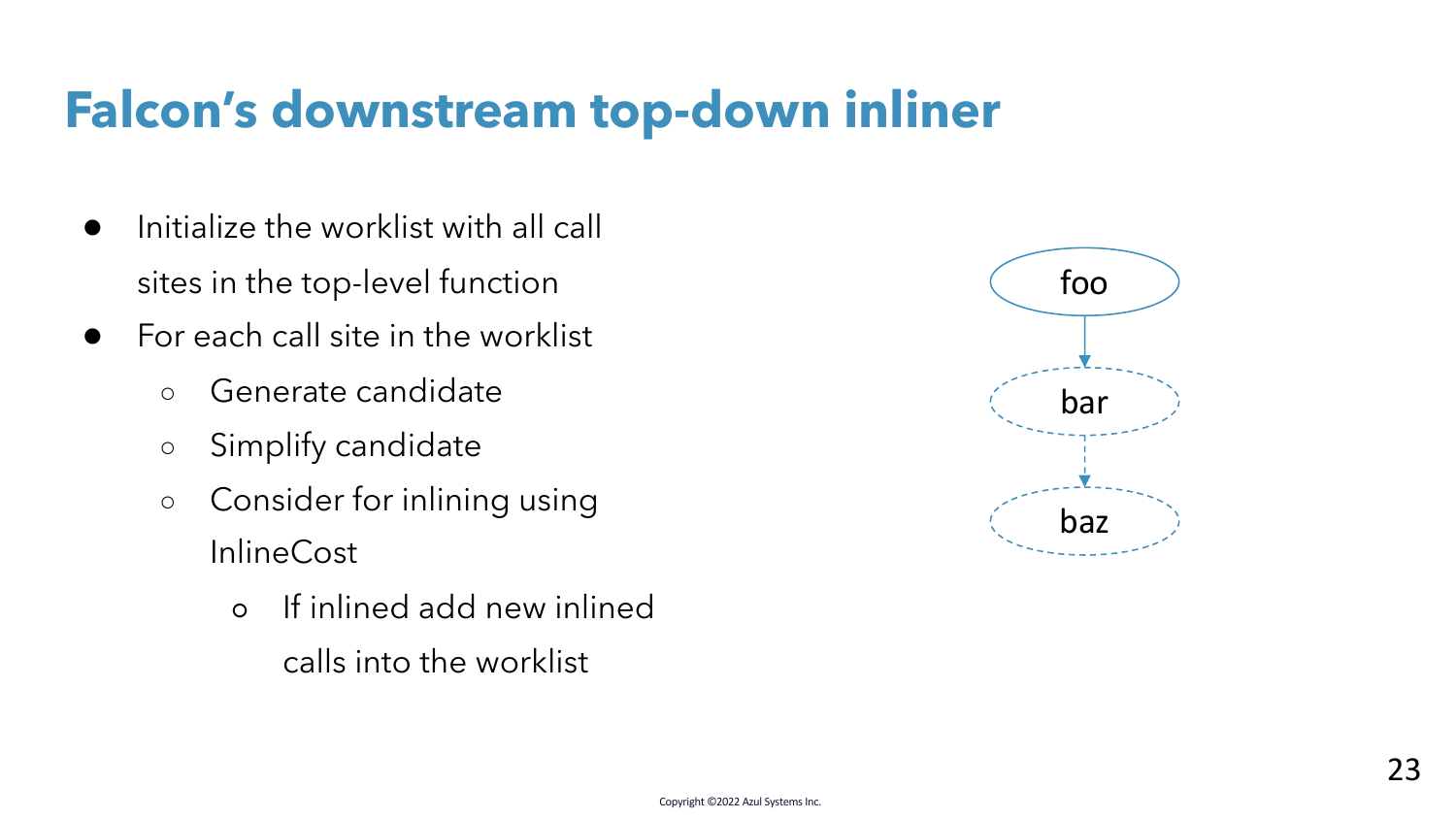- Initialize the worklist with all call sites in the top-level function
- $\bullet$  For each call site in the worklist
	- Generate candidate
	- Simplify candidate
	- Consider for inlining using **InlineCost** 
		- If inlined add new inlined calls into the worklist

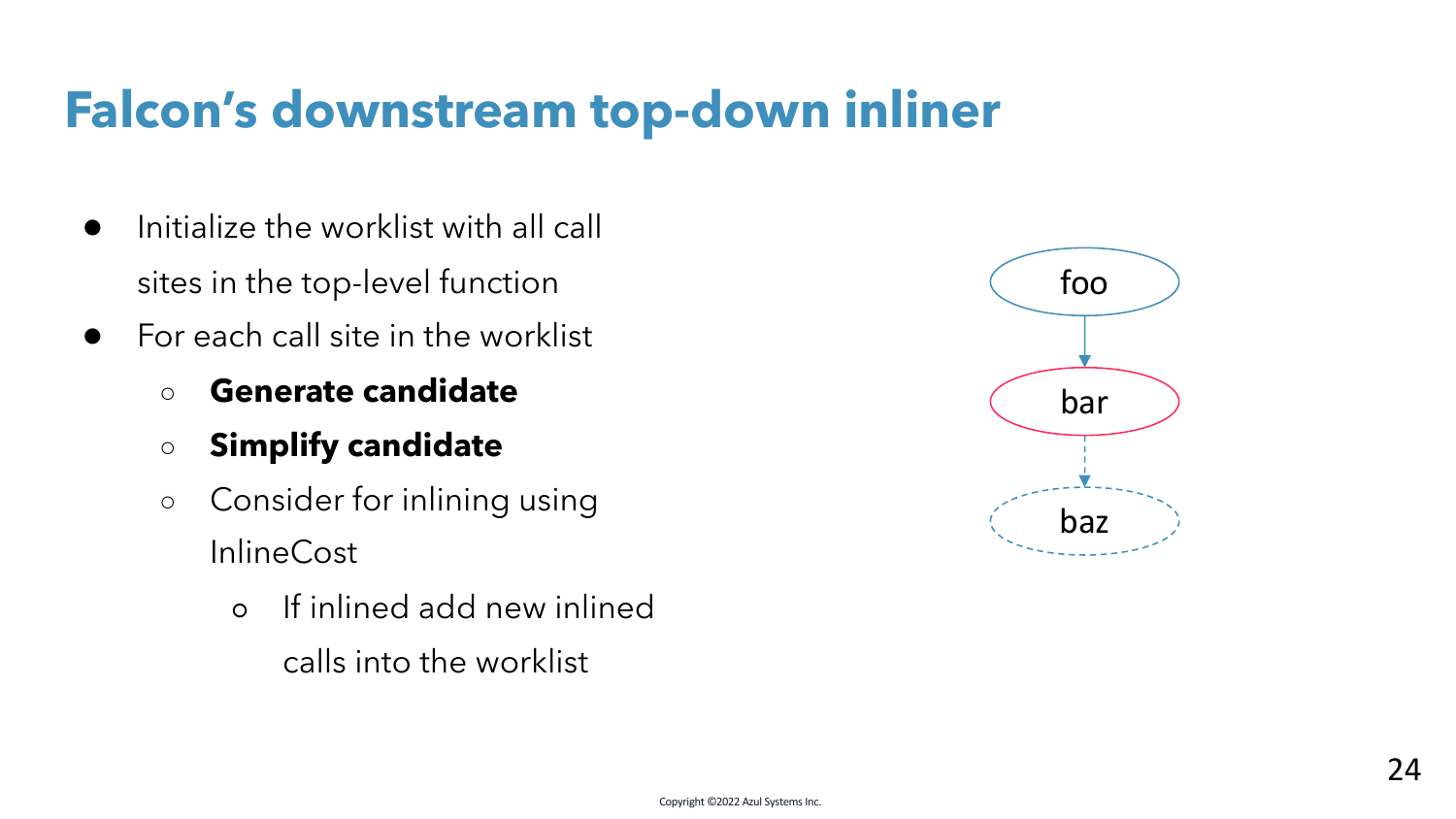- Initialize the worklist with all call sites in the top-level function
- $\bullet$  For each call site in the worklist
	- **Generate candidate**
	- **Simplify candidate**
	- Consider for inlining using **InlineCost** 
		- If inlined add new inlined calls into the worklist

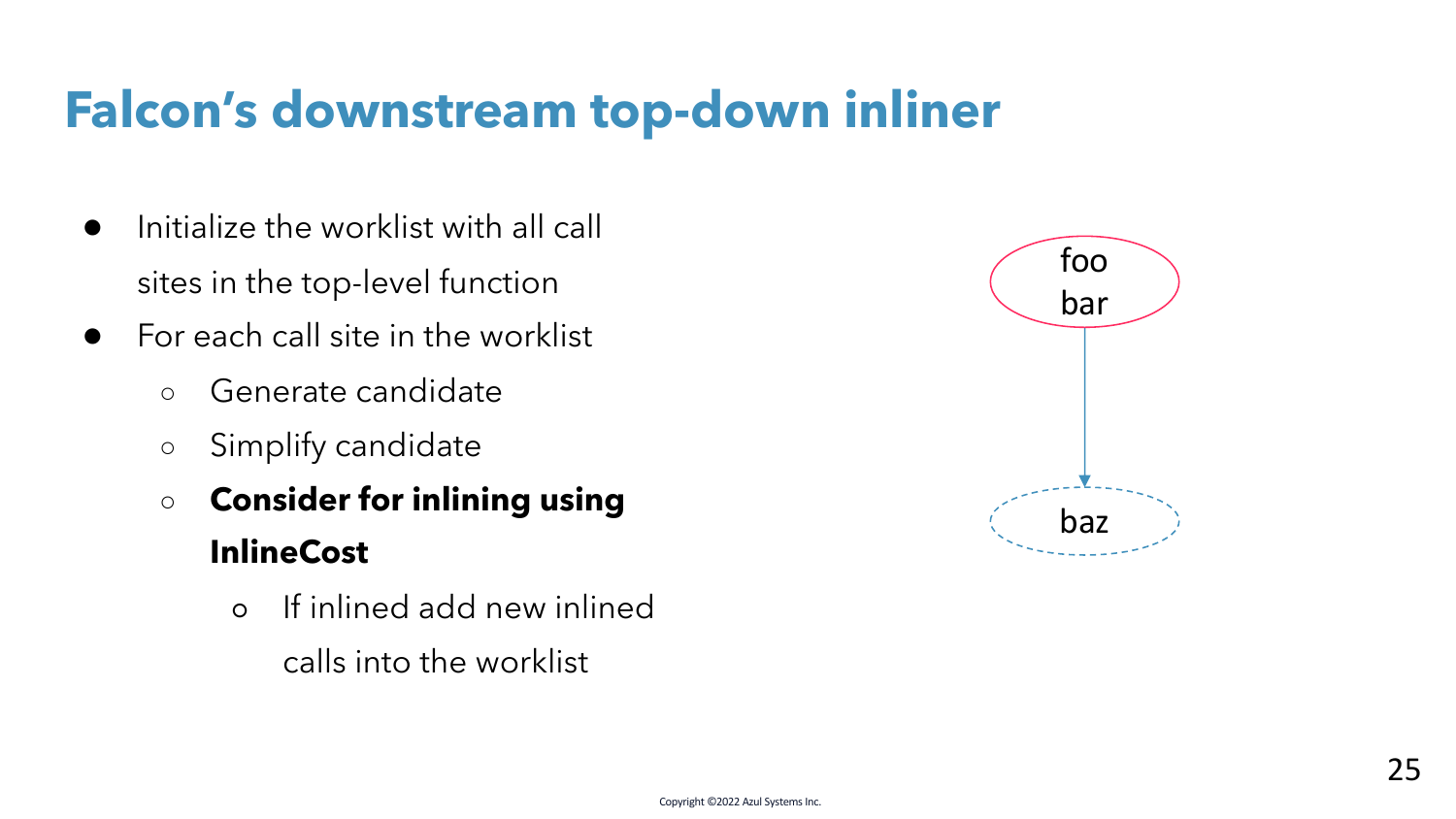- Initialize the worklist with all call sites in the top-level function
- $\bullet$  For each call site in the worklist
	- Generate candidate
	- Simplify candidate
	- **Consider for inlining using InlineCost**
		- If inlined add new inlined calls into the worklist

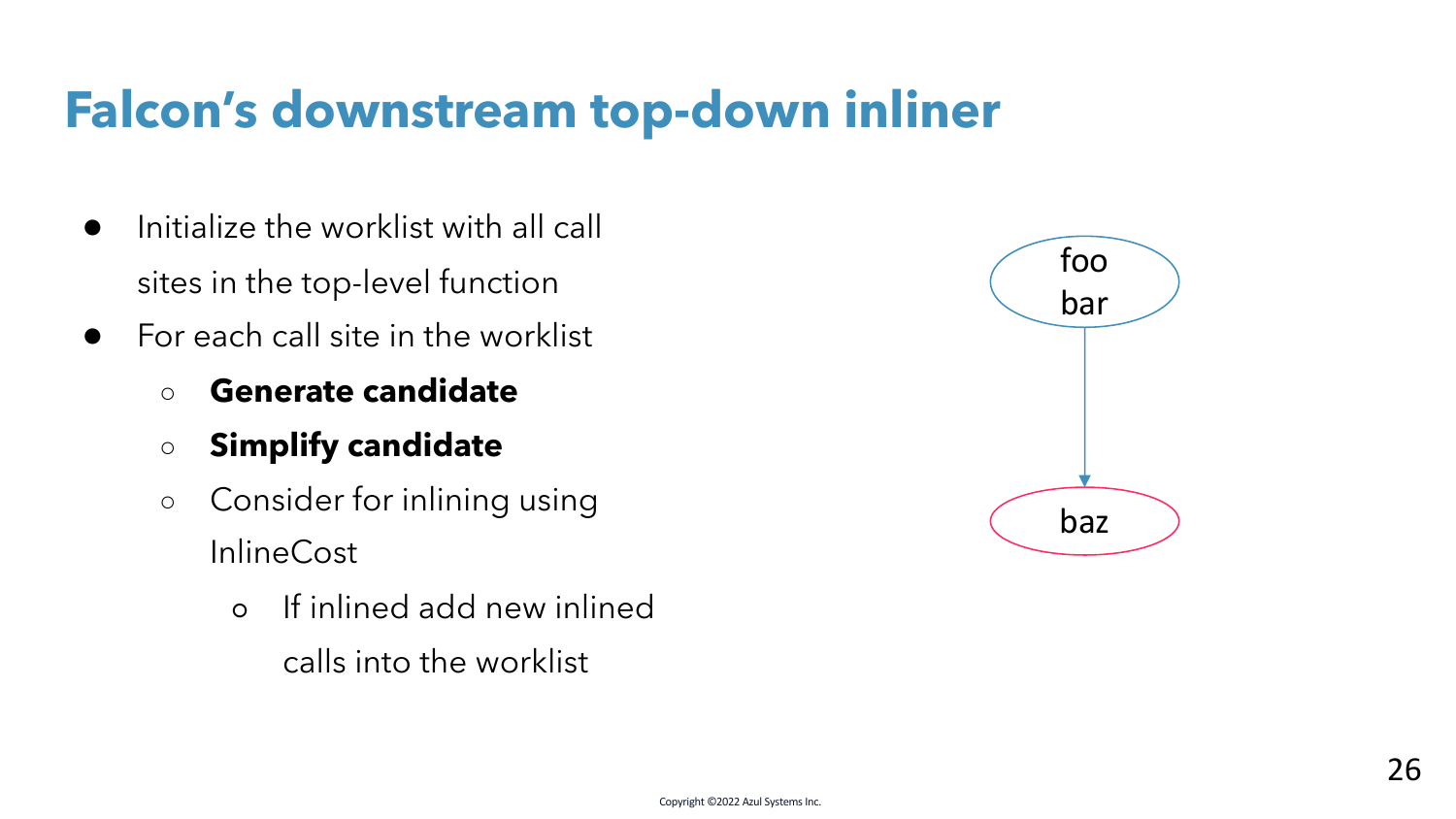- Initialize the worklist with all call sites in the top-level function
- $\bullet$  For each call site in the worklist
	- **Generate candidate**
	- **Simplify candidate**
	- Consider for inlining using InlineCost
		- If inlined add new inlined calls into the worklist

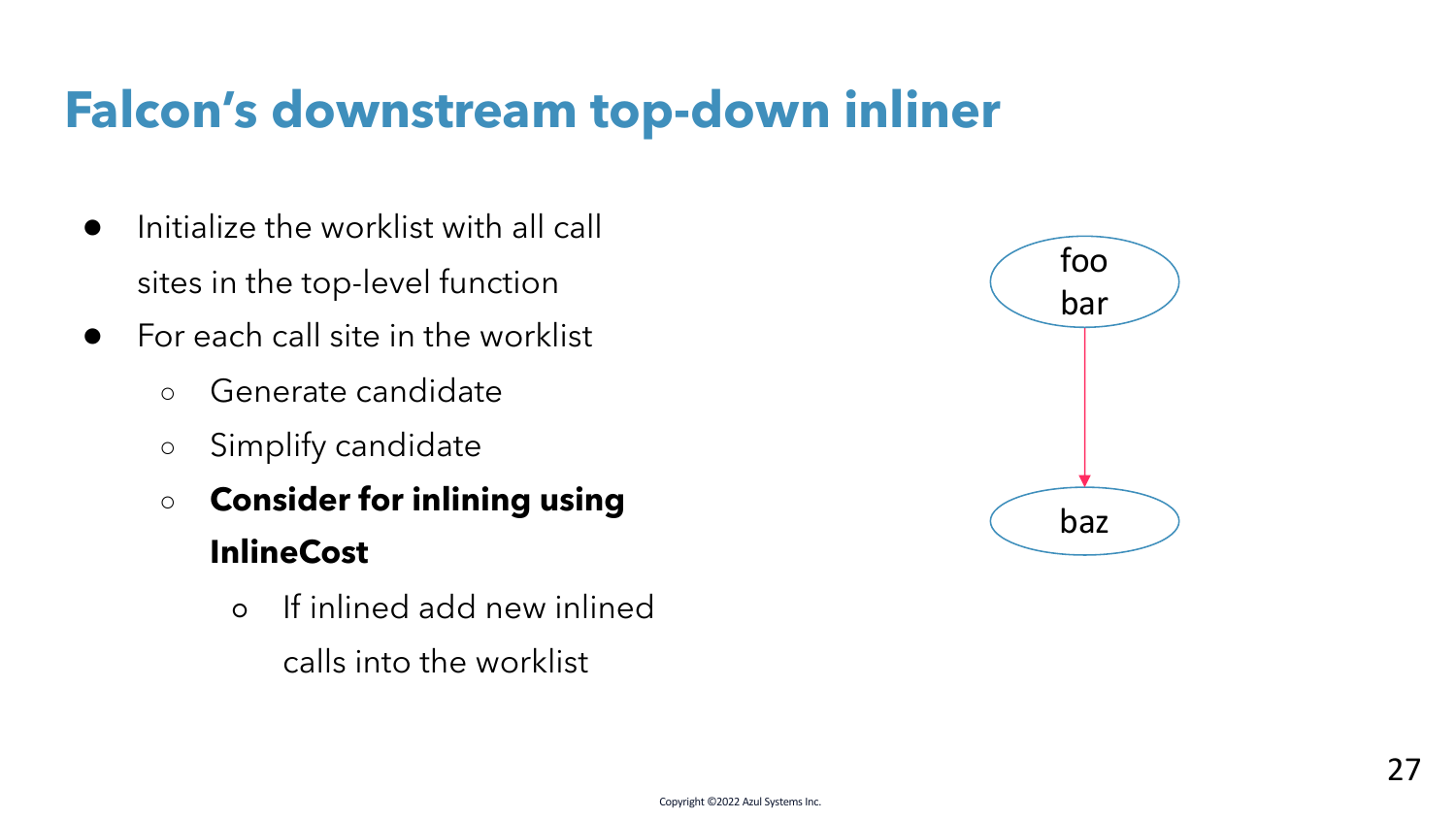- Initialize the worklist with all call sites in the top-level function
- $\bullet$  For each call site in the worklist
	- Generate candidate
	- Simplify candidate
	- **Consider for inlining using InlineCost**
		- If inlined add new inlined calls into the worklist

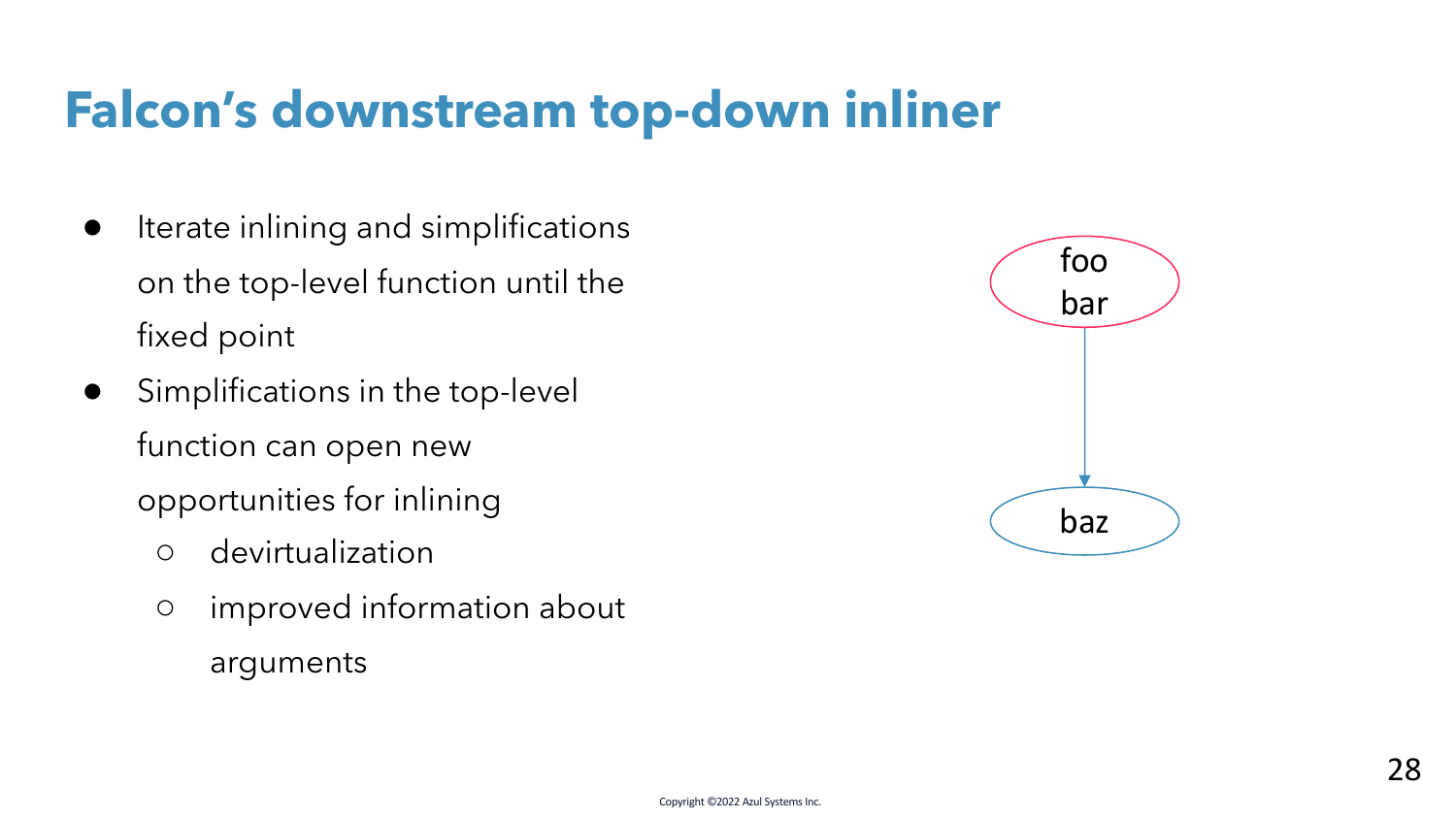- Iterate inlining and simplifications on the top-level function until the fixed point
- Simplifications in the top-level function can open new opportunities for inlining
	- devirtualization
	- improved information about arguments

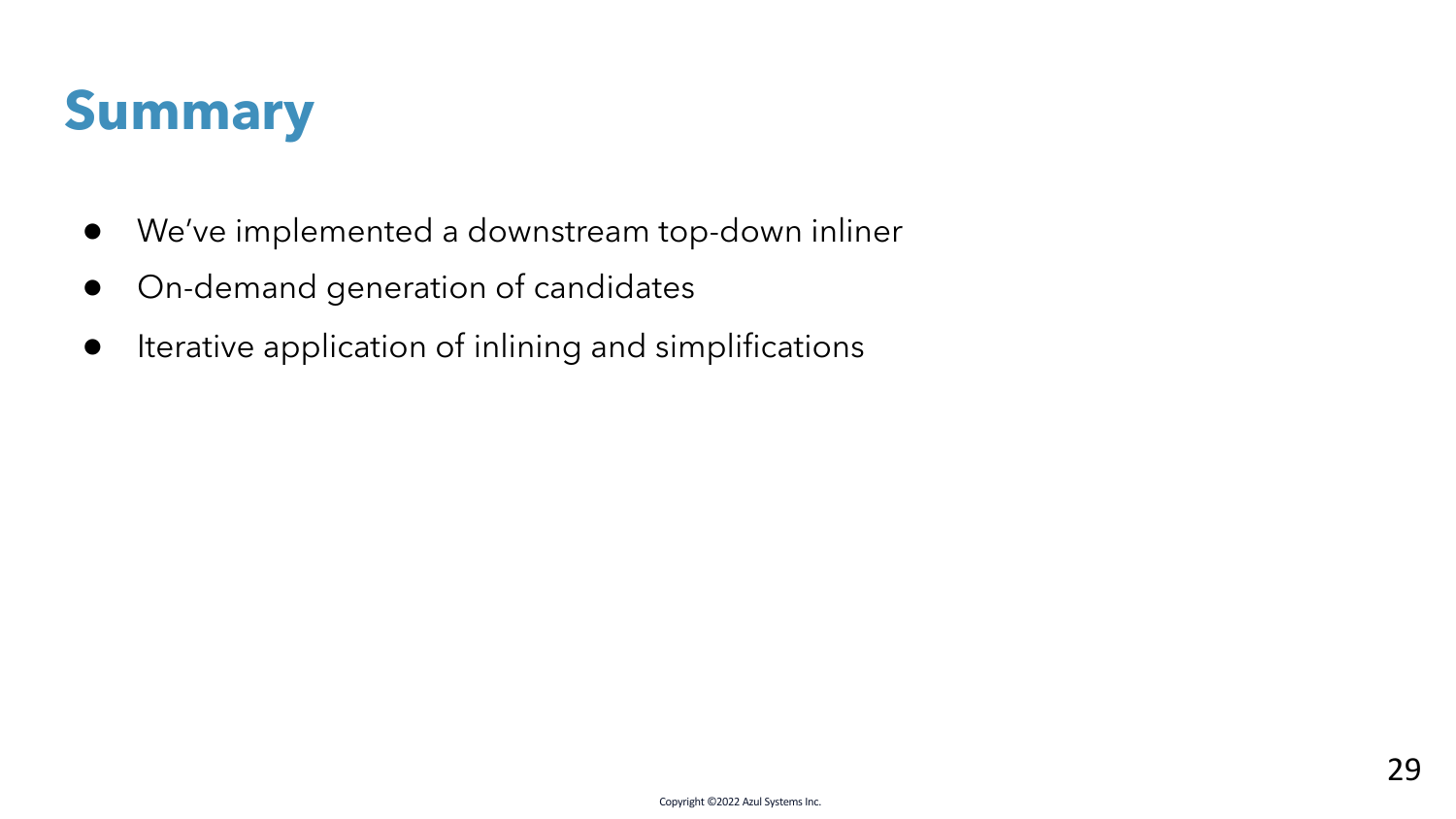

- We've implemented a downstream top-down inliner
- On-demand generation of candidates
- Iterative application of inlining and simplifications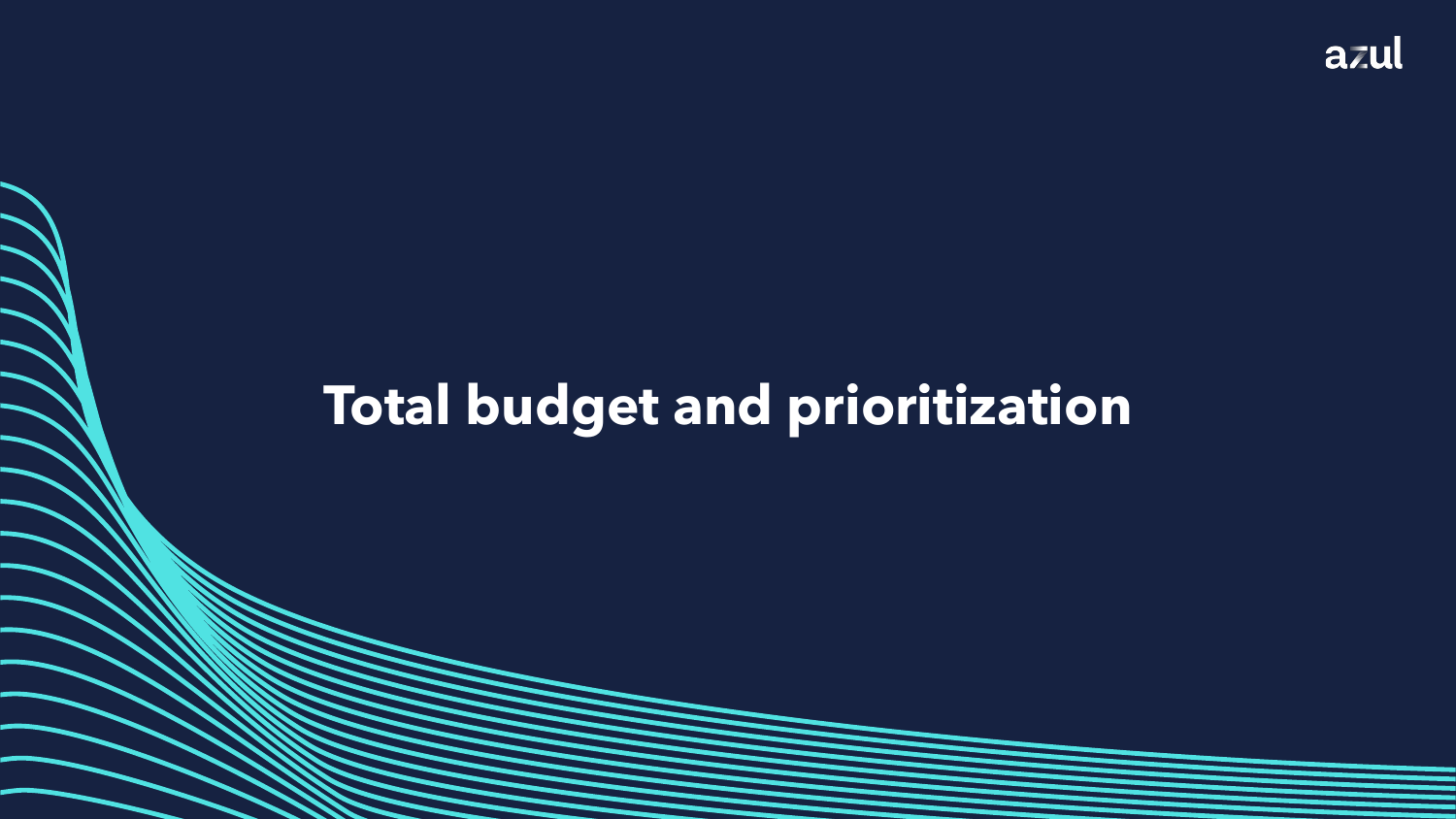## **Total budget and prioritization**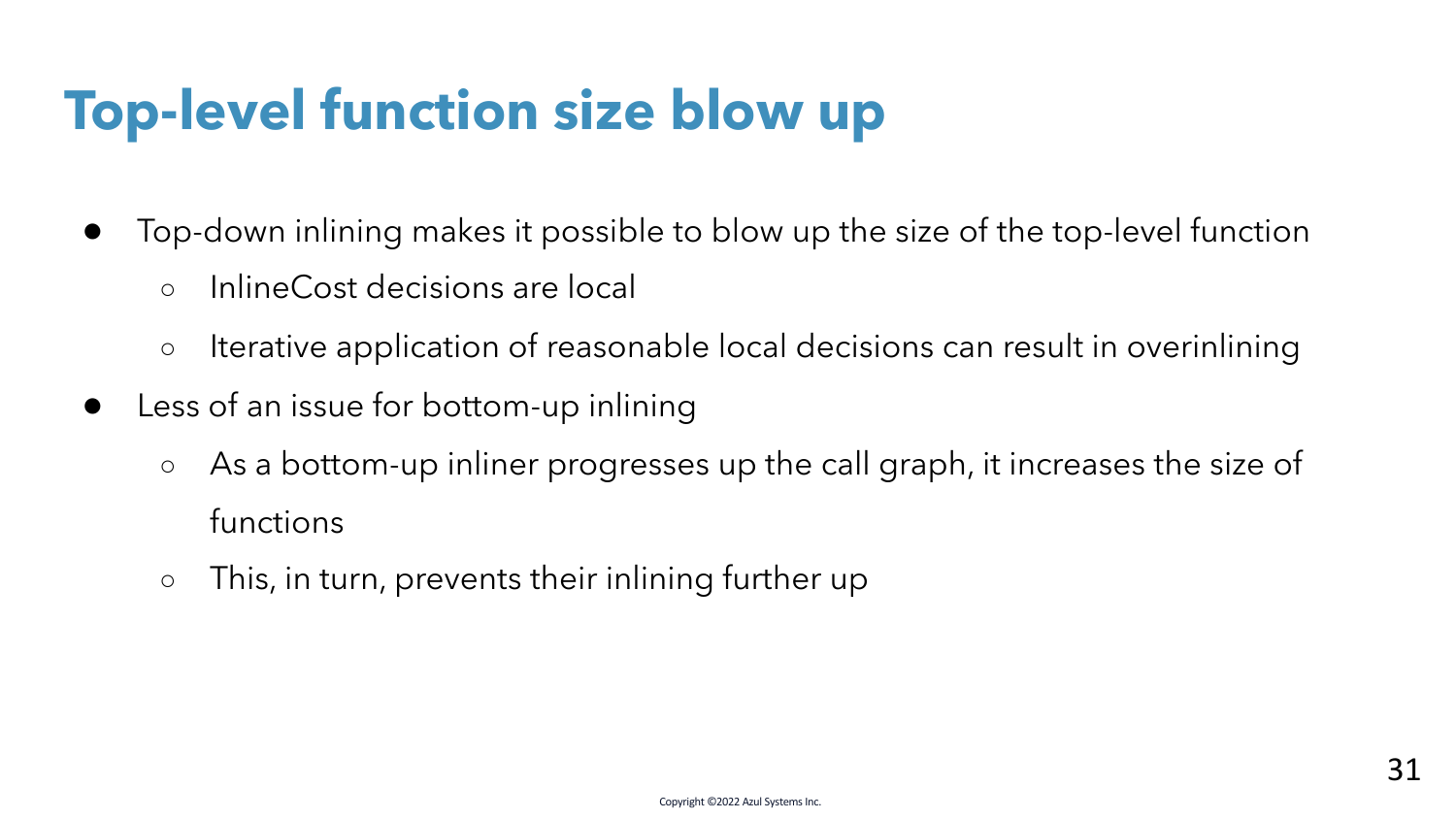## **Top-level function size blow up**

- Top-down inlining makes it possible to blow up the size of the top-level function
	- InlineCost decisions are local
	- Iterative application of reasonable local decisions can result in overinlining
- Less of an issue for bottom-up inlining
	- As a bottom-up inliner progresses up the call graph, it increases the size of functions
	- This, in turn, prevents their inlining further up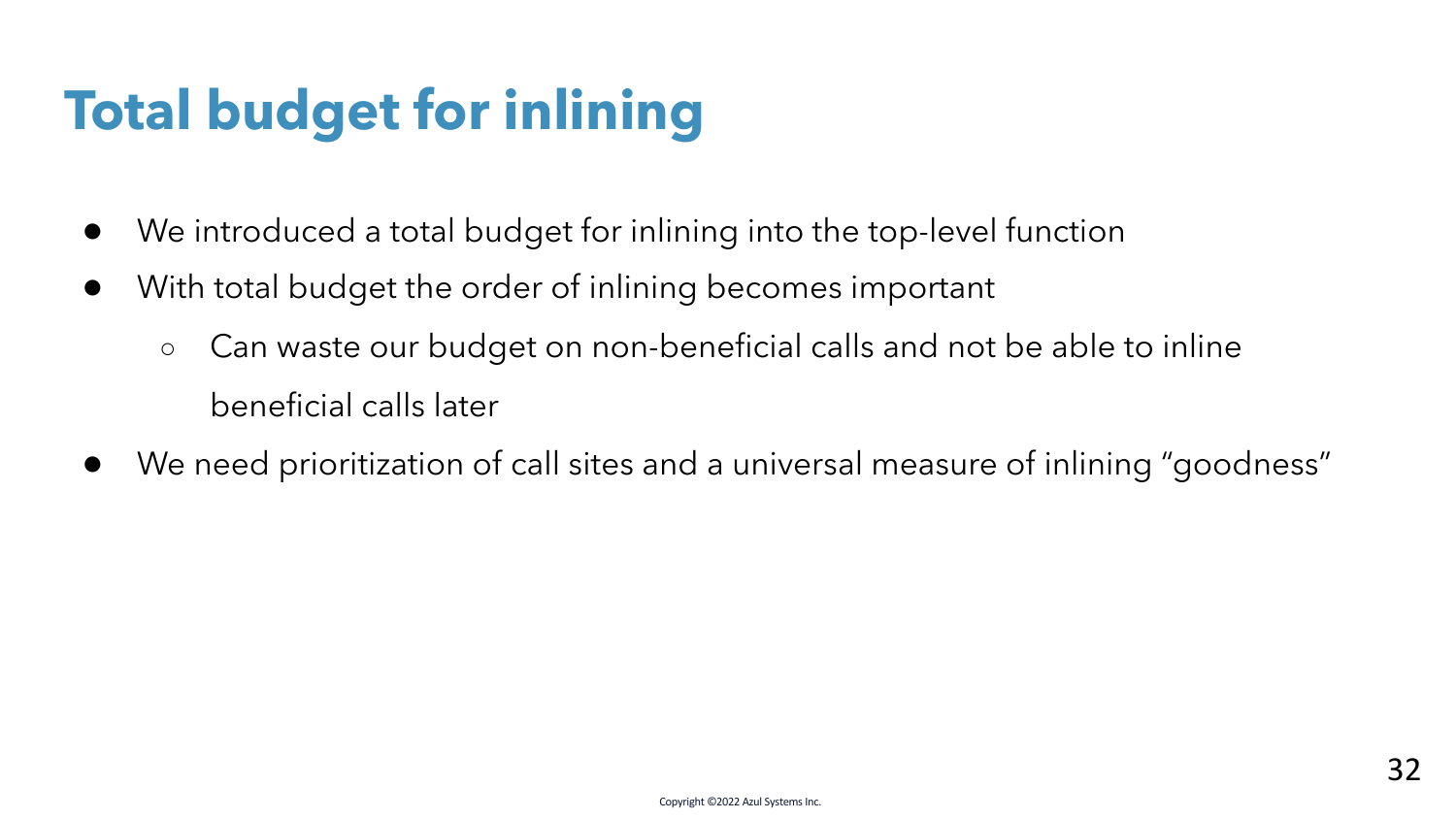## **Total budget for inlining**

- We introduced a total budget for inlining into the top-level function
- With total budget the order of inlining becomes important
	- Can waste our budget on non-beneficial calls and not be able to inline beneficial calls later
- We need prioritization of call sites and a universal measure of inlining "goodness"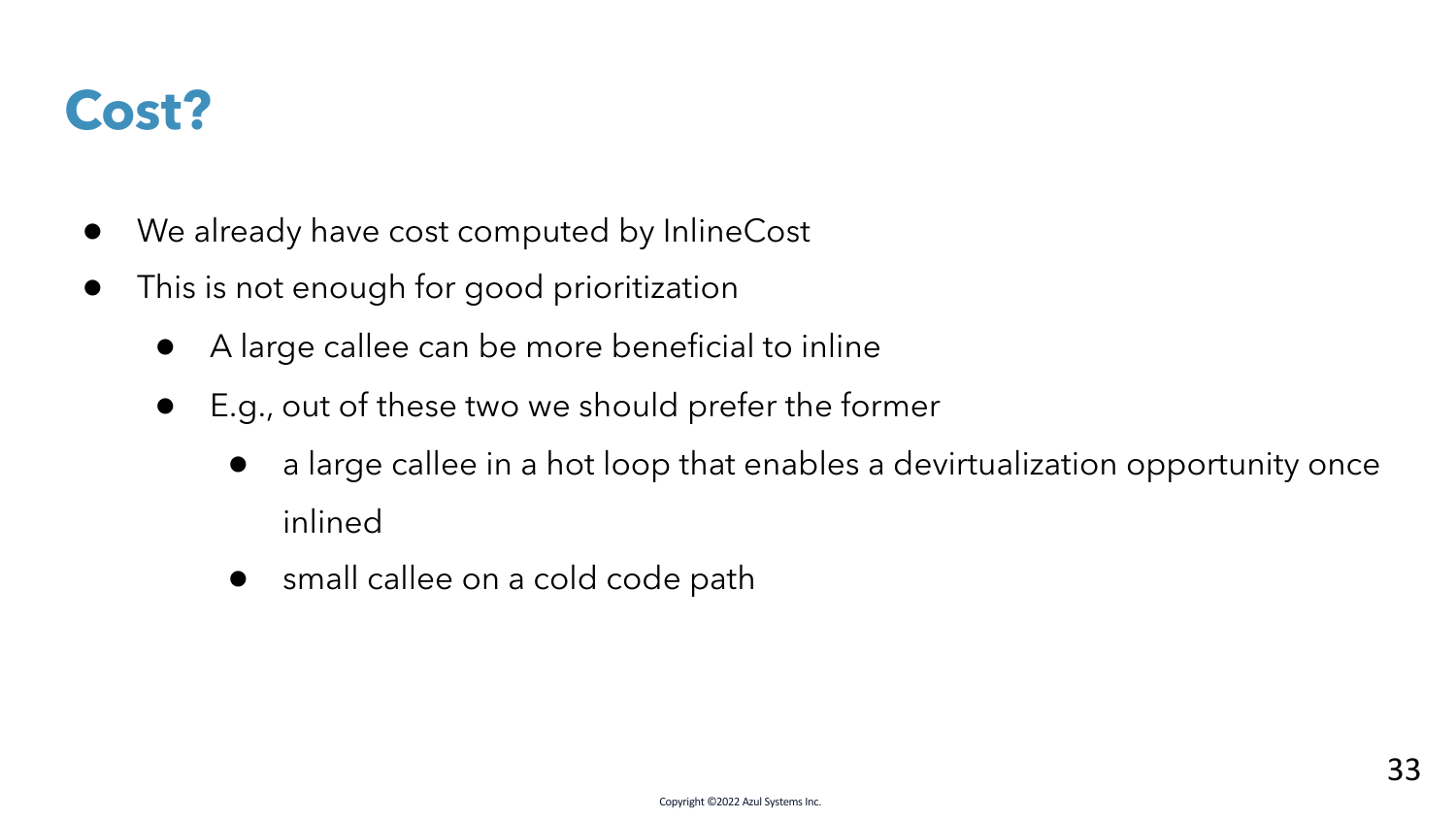

- We already have cost computed by InlineCost
- This is not enough for good prioritization
	- A large callee can be more beneficial to inline
	- E.g., out of these two we should prefer the former
		- a large callee in a hot loop that enables a devirtualization opportunity once inlined
		- small callee on a cold code path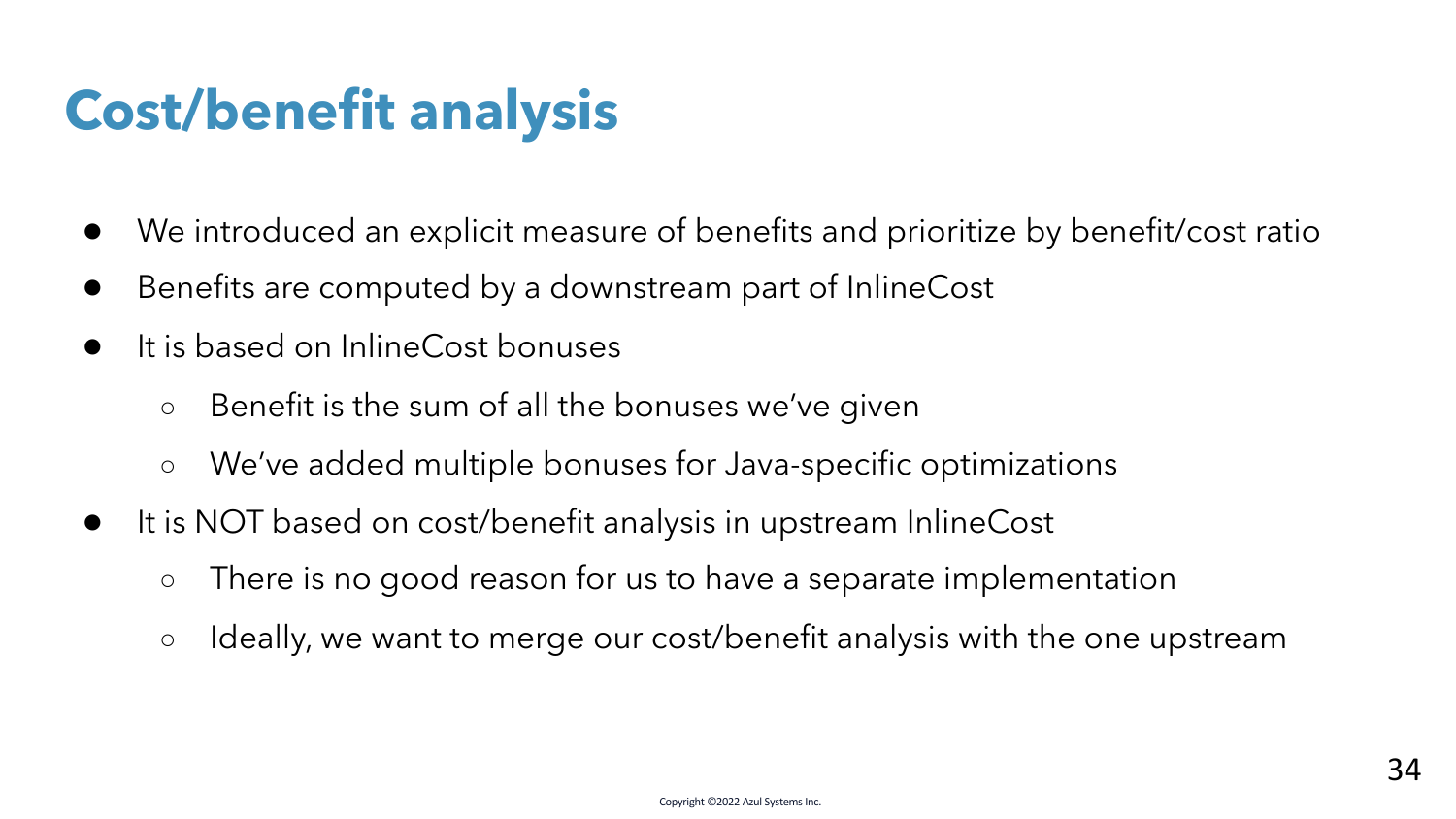## **Cost/benefit analysis**

- We introduced an explicit measure of benefits and prioritize by benefit/cost ratio
- Benefits are computed by a downstream part of InlineCost
- It is based on InlineCost bonuses
	- Benefit is the sum of all the bonuses we've given
	- We've added multiple bonuses for Java-specific optimizations
- It is NOT based on cost/benefit analysis in upstream InlineCost
	- There is no good reason for us to have a separate implementation
	- Ideally, we want to merge our cost/benefit analysis with the one upstream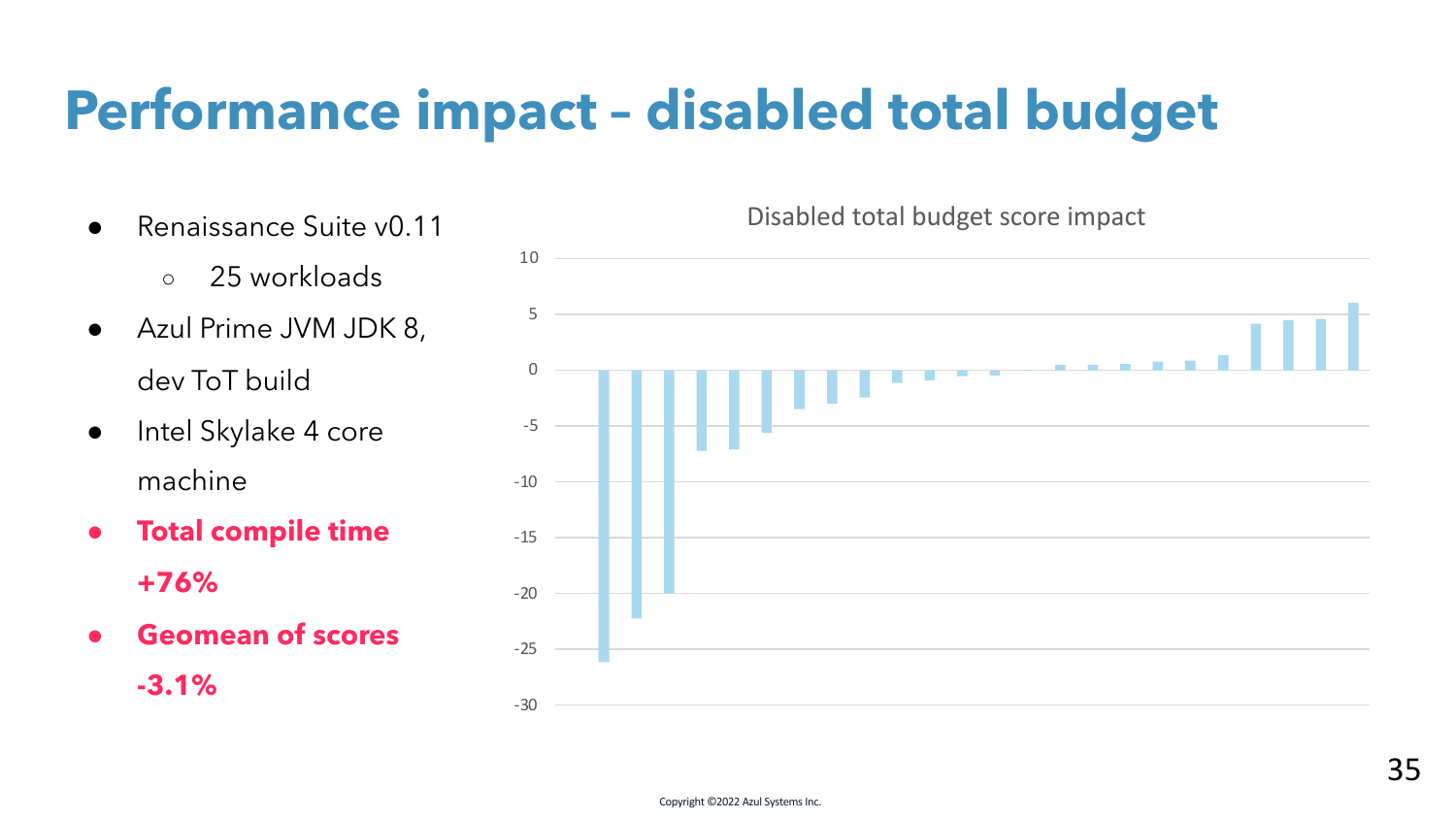## **Performance impact – disabled total budget**

- Renaissance Suite v0.11
	- 25 workloads
- Azul Prime JVM JDK 8, dev ToT build
- Intel Skylake 4 core machine
- **Total compile time +76%**
- **Geomean of scores**

**-3.1%**

Disabled total budget score impact

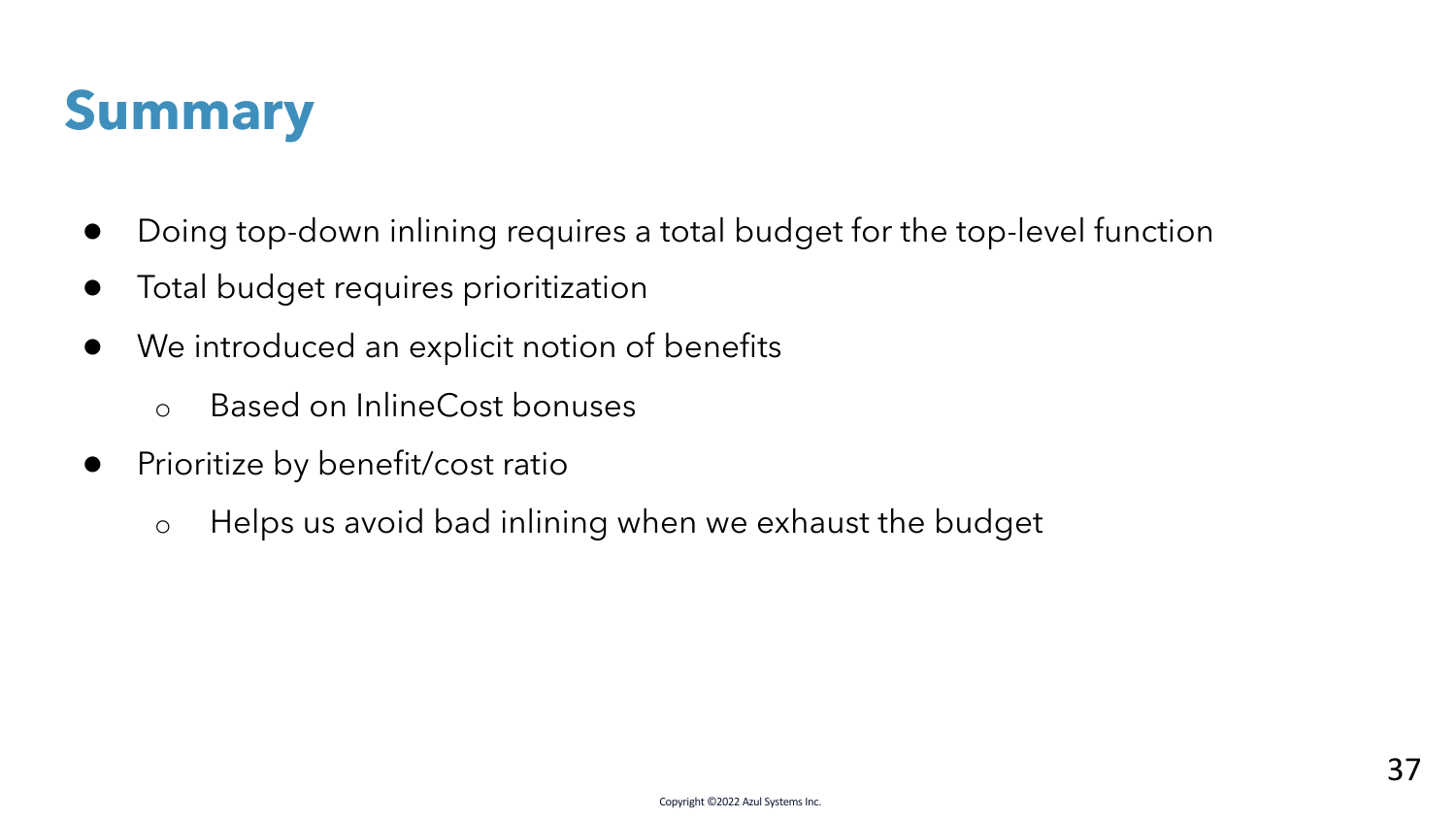

- Doing top-down inlining requires a total budget for the top-level function
- Total budget requires prioritization
- We introduced an explicit notion of benefits
	- o Based on InlineCost bonuses
- Prioritize by benefit/cost ratio
	- o Helps us avoid bad inlining when we exhaust the budget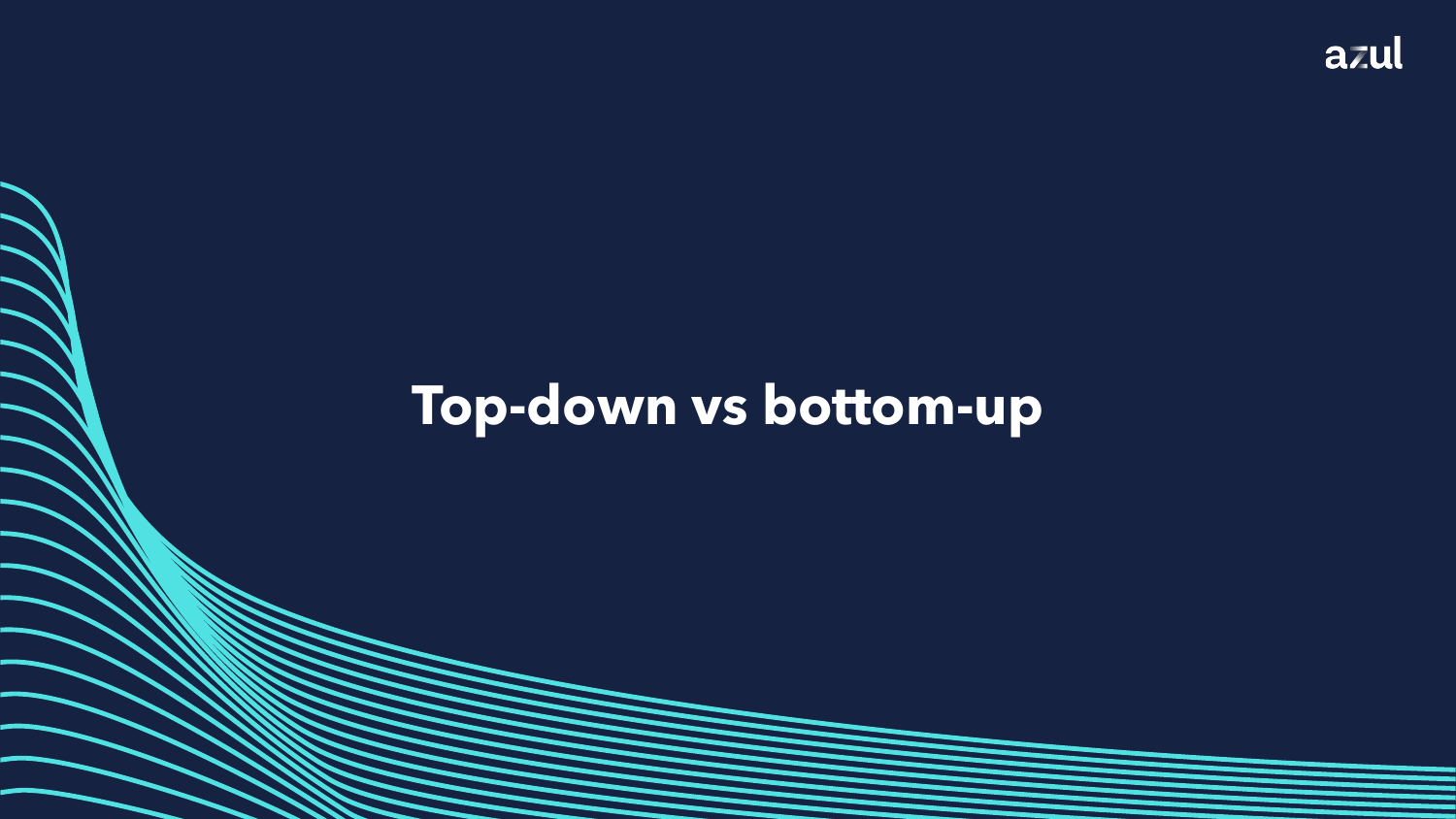### **Top-down vs bottom-up**

Copyright ©2022 Azul Systems Inc.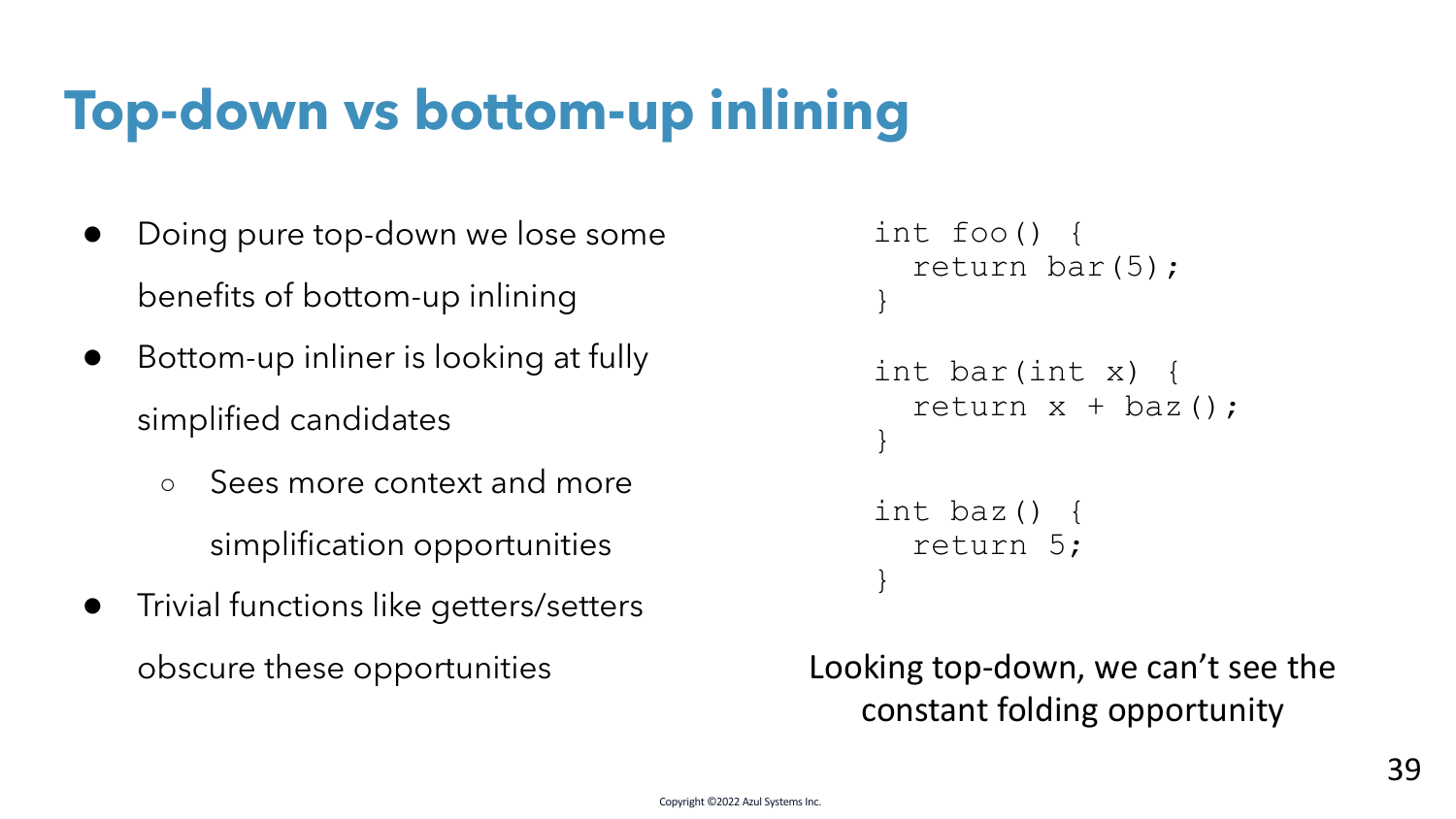## **Top-down vs bottom-up inlining**

- Doing pure top-down we lose some benefits of bottom-up inlining
- Bottom-up inliner is looking at fully simplified candidates
	- Sees more context and more simplification opportunities
- Trivial functions like getters/setters obscure these opportunities

```
int foo() {
  return bar(5);
}
int bar(int x) {
  return x + baz();
}
int baz() {
  return 5;
}
```
Looking top-down, we can't see the constant folding opportunity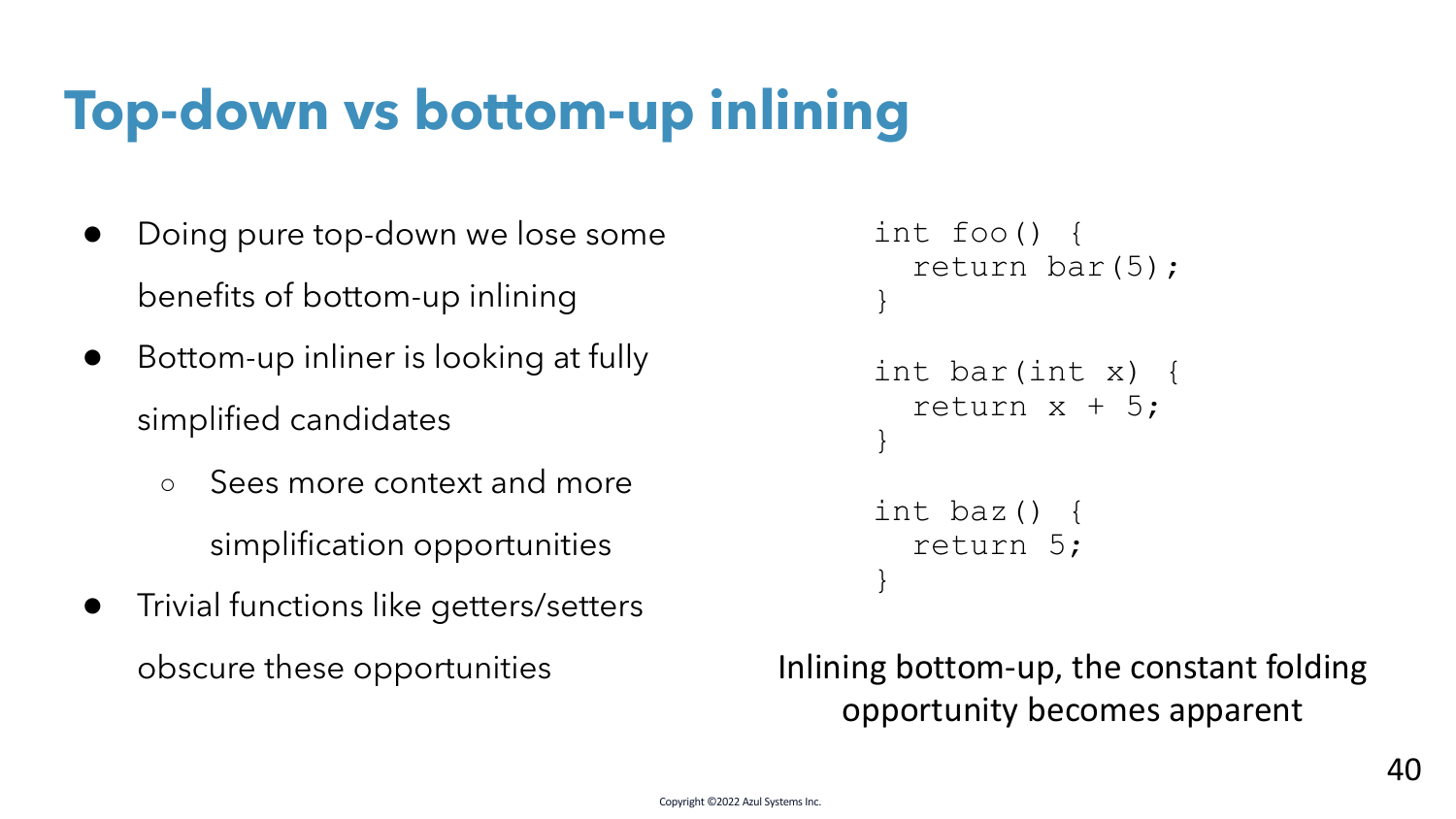## **Top-down vs bottom-up inlining**

- Doing pure top-down we lose some benefits of bottom-up inlining
- Bottom-up inliner is looking at fully simplified candidates
	- Sees more context and more simplification opportunities
- Trivial functions like getters/setters obscure these opportunities

```
int foo() {
  return bar(5);
}
int bar(int x) {
  return x + 5;
}
int baz() {
  return 5;
}
```
Inlining bottom-up, the constant folding opportunity becomes apparent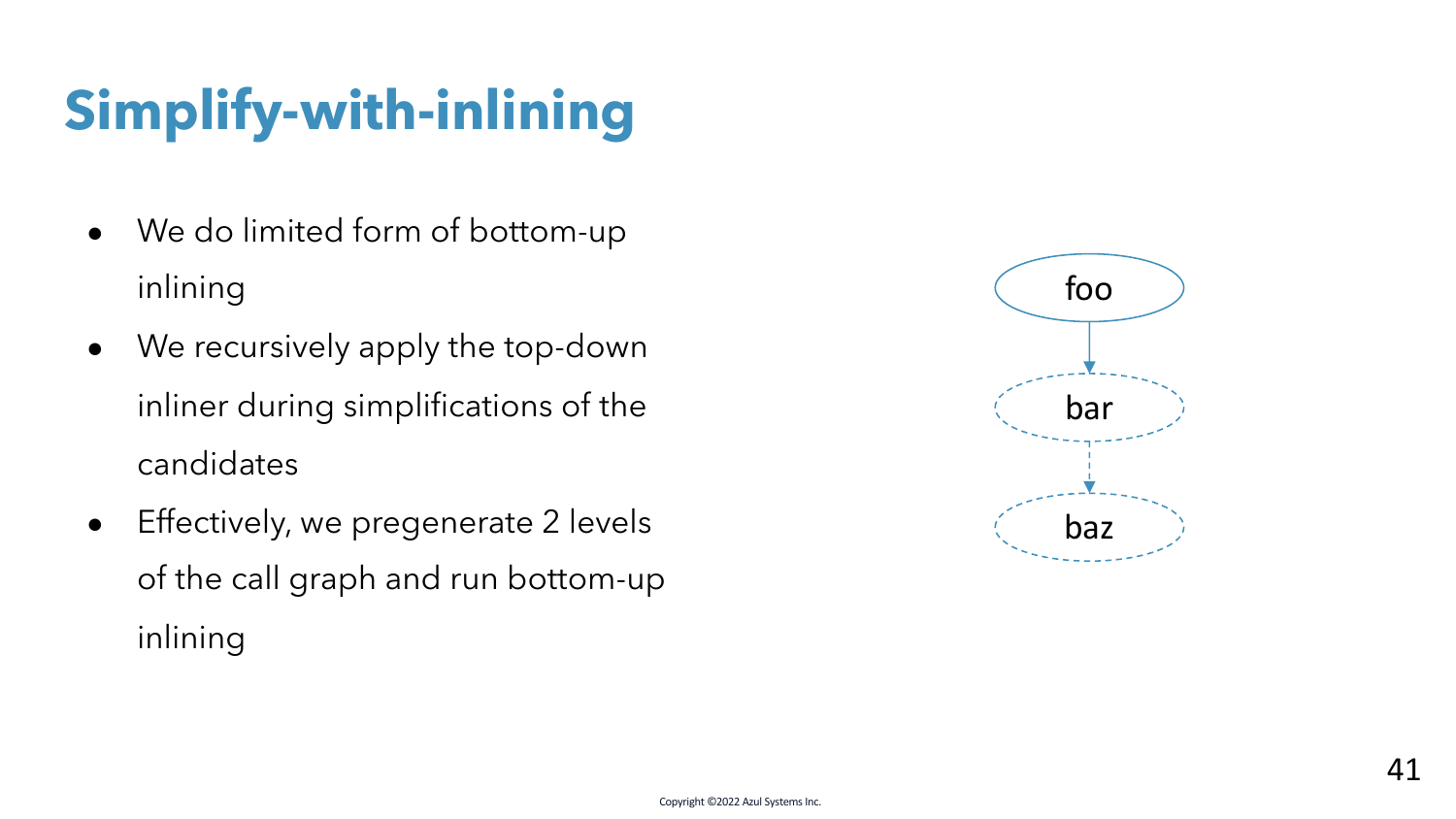- We do limited form of bottom-up inlining
- We recursively apply the top-down inliner during simplifications of the candidates
- Effectively, we pregenerate 2 levels of the call graph and run bottom-up inlining

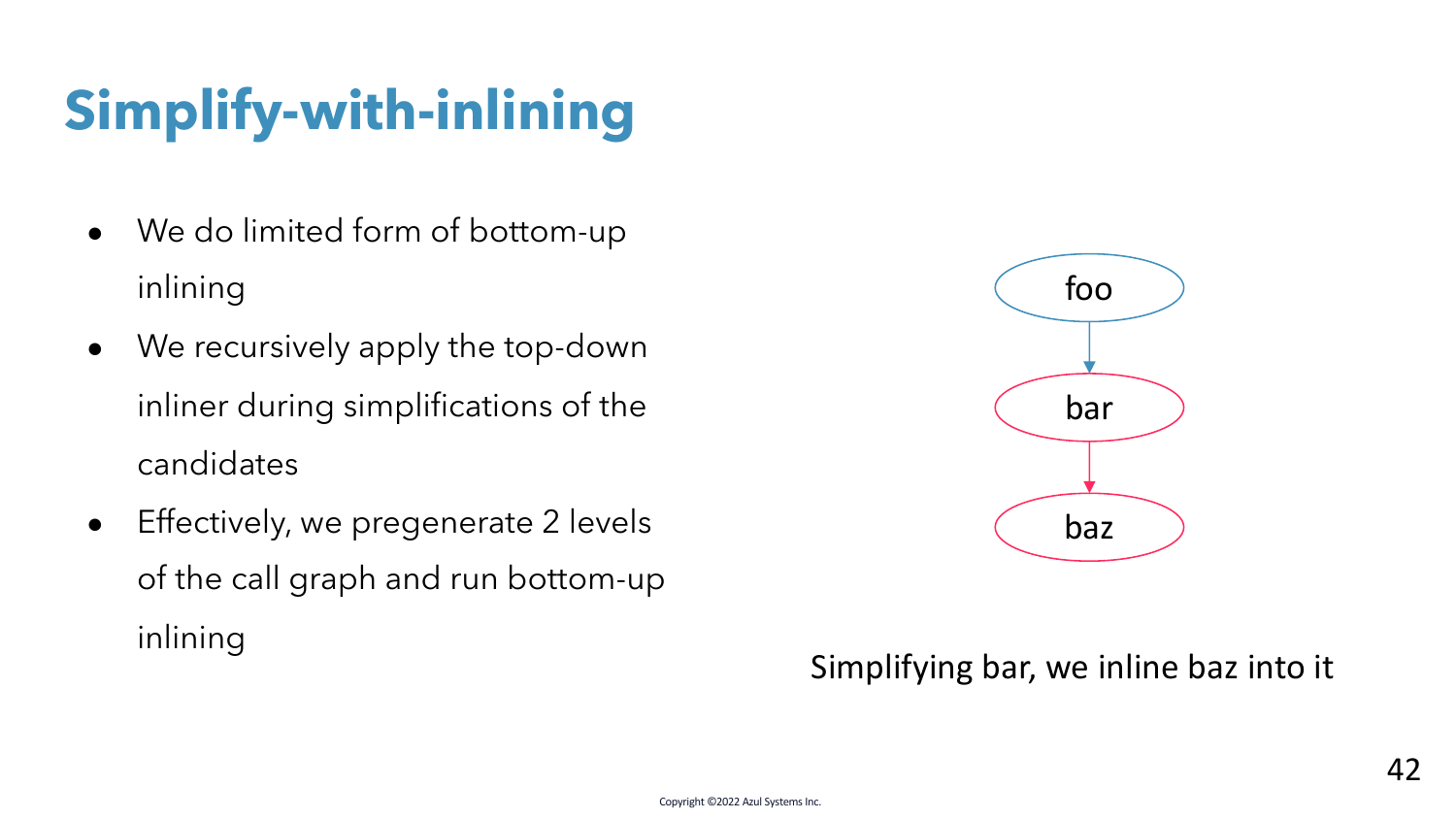- We do limited form of bottom-up inlining
- We recursively apply the top-down inliner during simplifications of the candidates
- Effectively, we pregenerate 2 levels of the call graph and run bottom-up inlining



#### Simplifying bar, we inline baz into it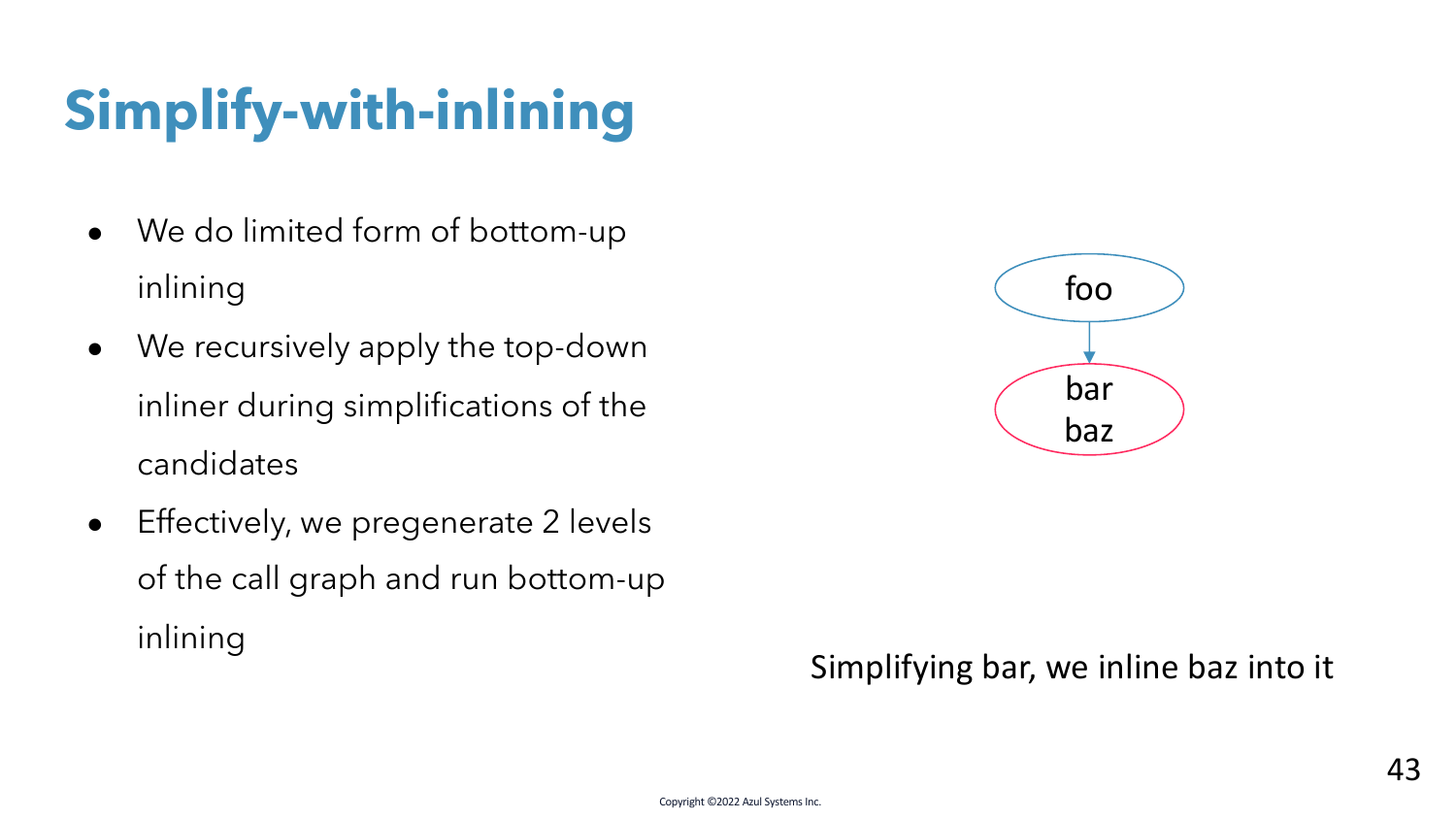- We do limited form of bottom-up inlining
- We recursively apply the top-down inliner during simplifications of the candidates
- Effectively, we pregenerate 2 levels of the call graph and run bottom-up inlining



#### Simplifying bar, we inline baz into it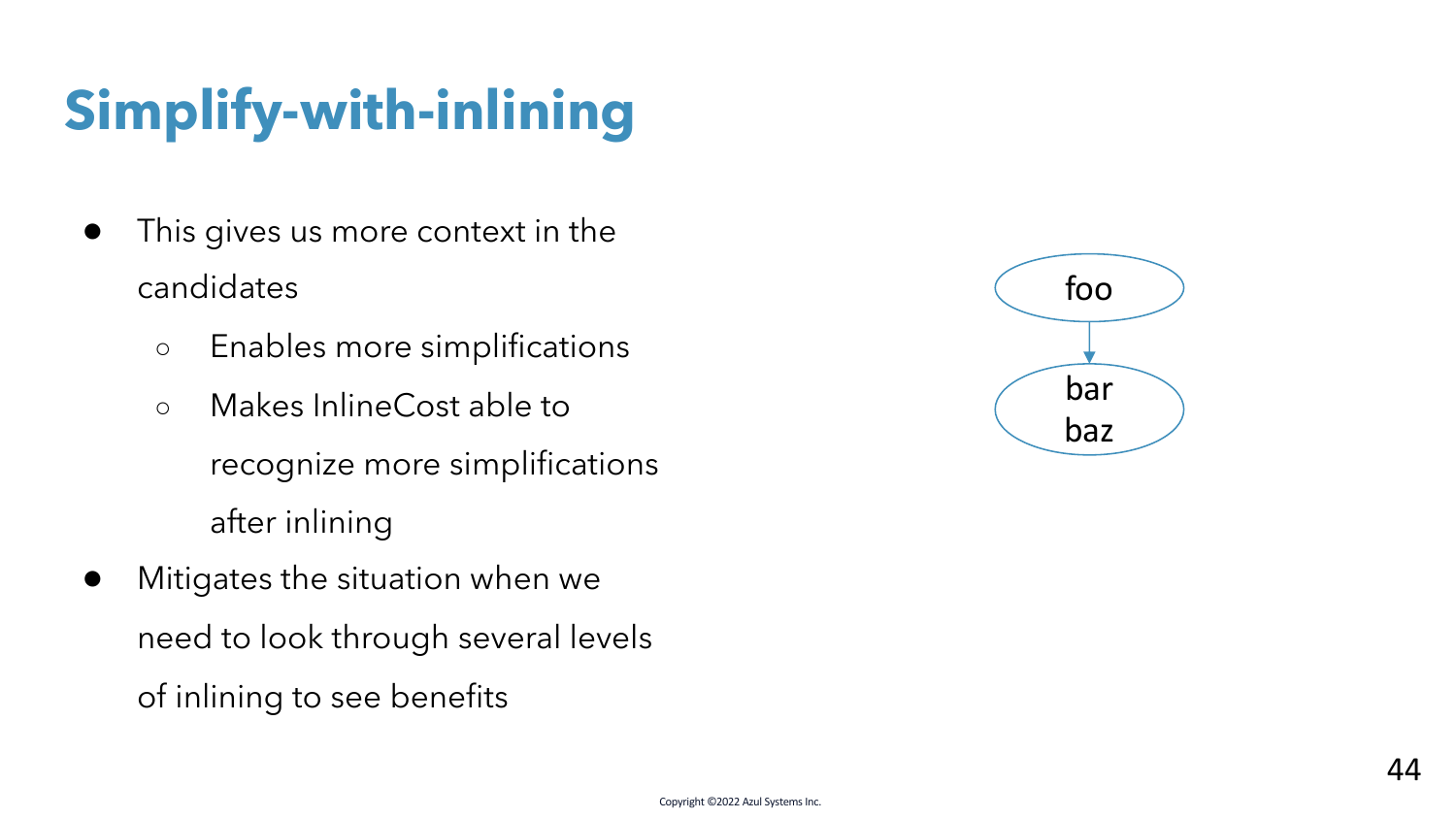- This gives us more context in the candidates
	- Enables more simplifications
	- Makes InlineCost able to recognize more simplifications after inlining
- Mitigates the situation when we need to look through several levels of inlining to see benefits

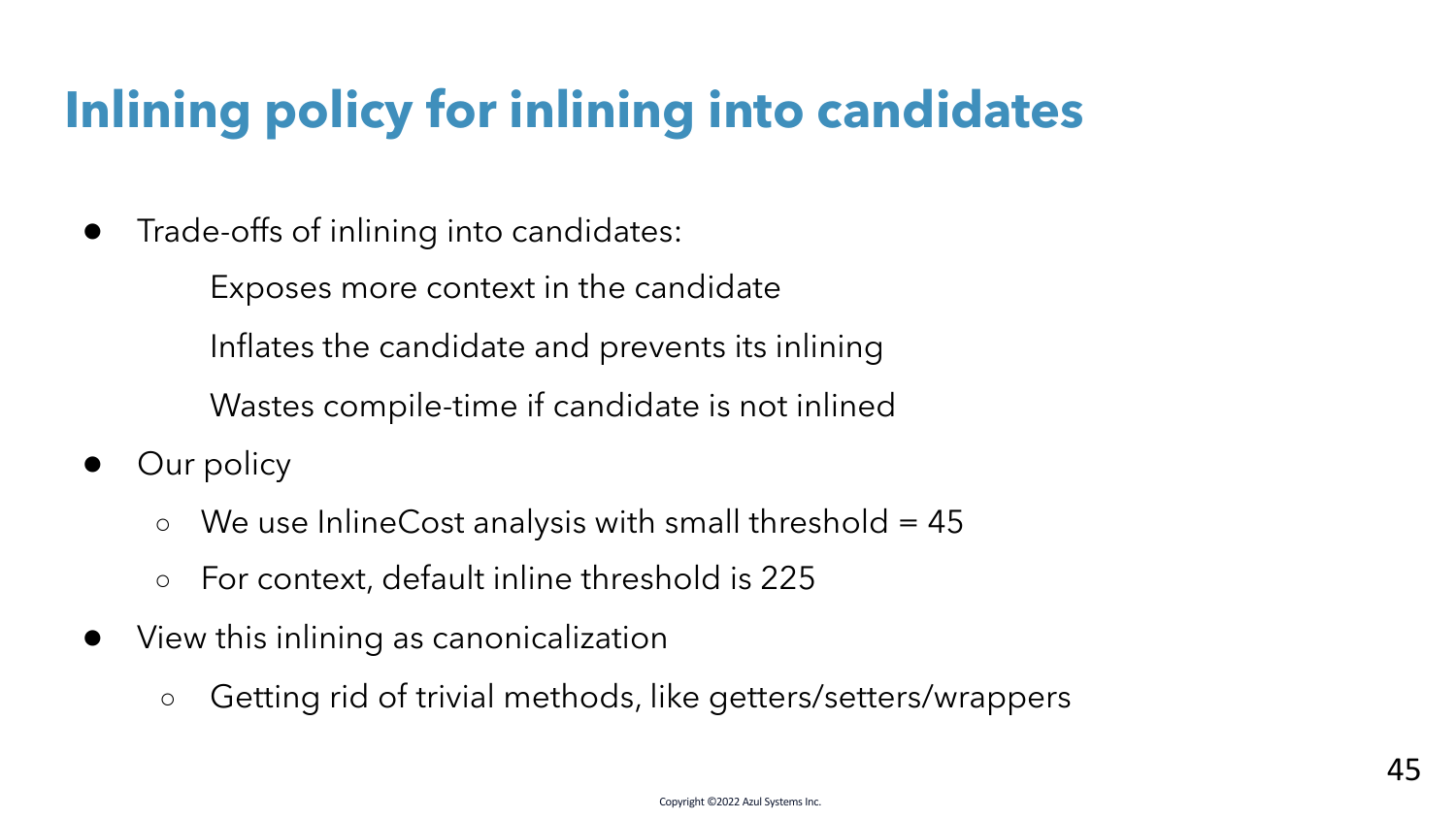## **Inlining policy for inlining into candidates**

● Trade-offs of inlining into candidates:

Exposes more context in the candidate Inflates the candidate and prevents its inlining Wastes compile-time if candidate is not inlined

- Our policy
	- $\circ$  We use InlineCost analysis with small threshold = 45
	- For context, default inline threshold is 225
- View this inlining as canonicalization
	- Getting rid of trivial methods, like getters/setters/wrappers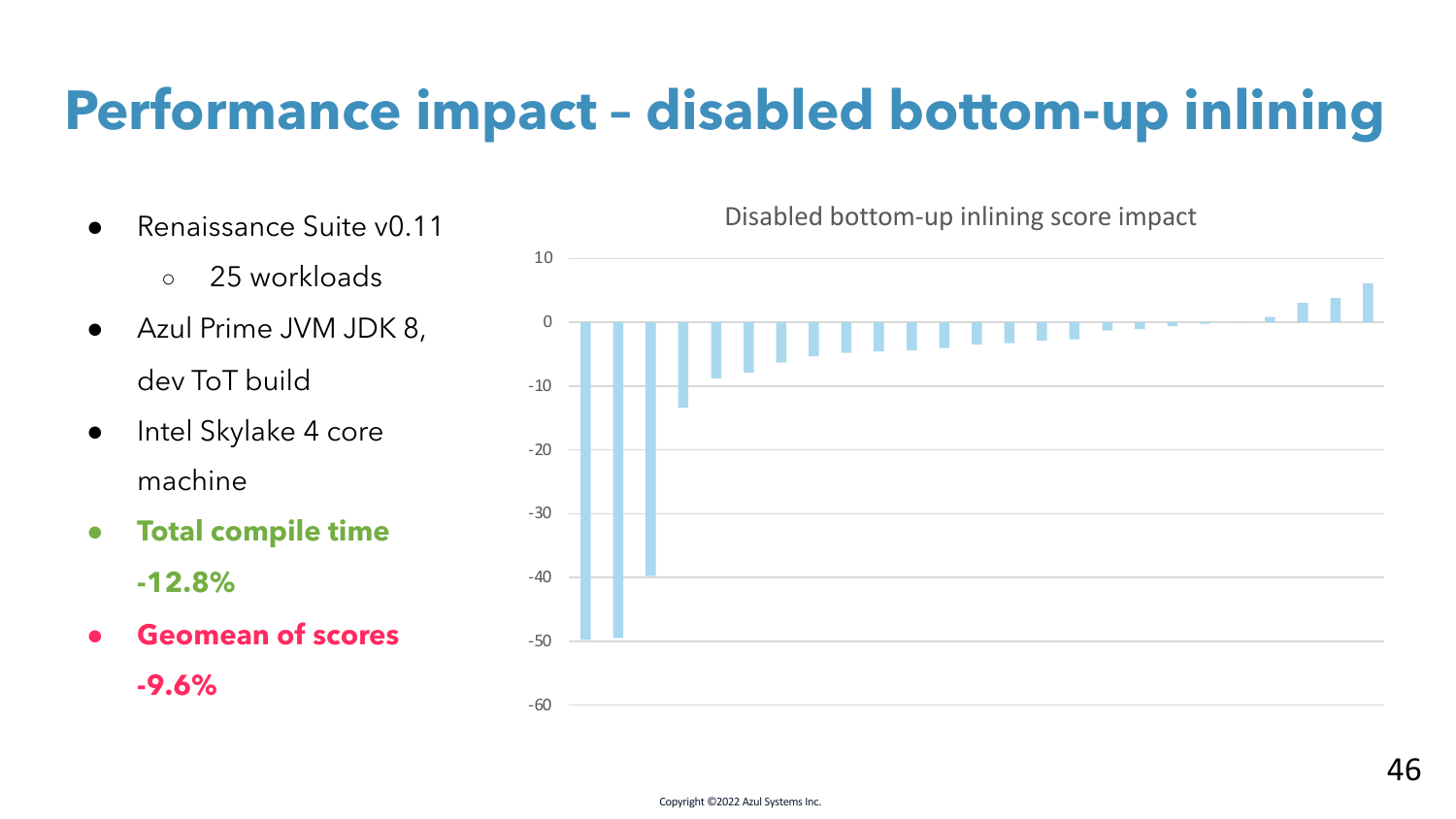## **Performance impact – disabled bottom-up inlining**

- Renaissance Suite v0.11
	- 25 workloads
- Azul Prime JVM JDK 8, dev ToT build
- Intel Skylake 4 core machine
- **Total compile time -12.8%**
- **Geomean of scores**

**-9.6%**

Disabled bottom-up inlining score impact

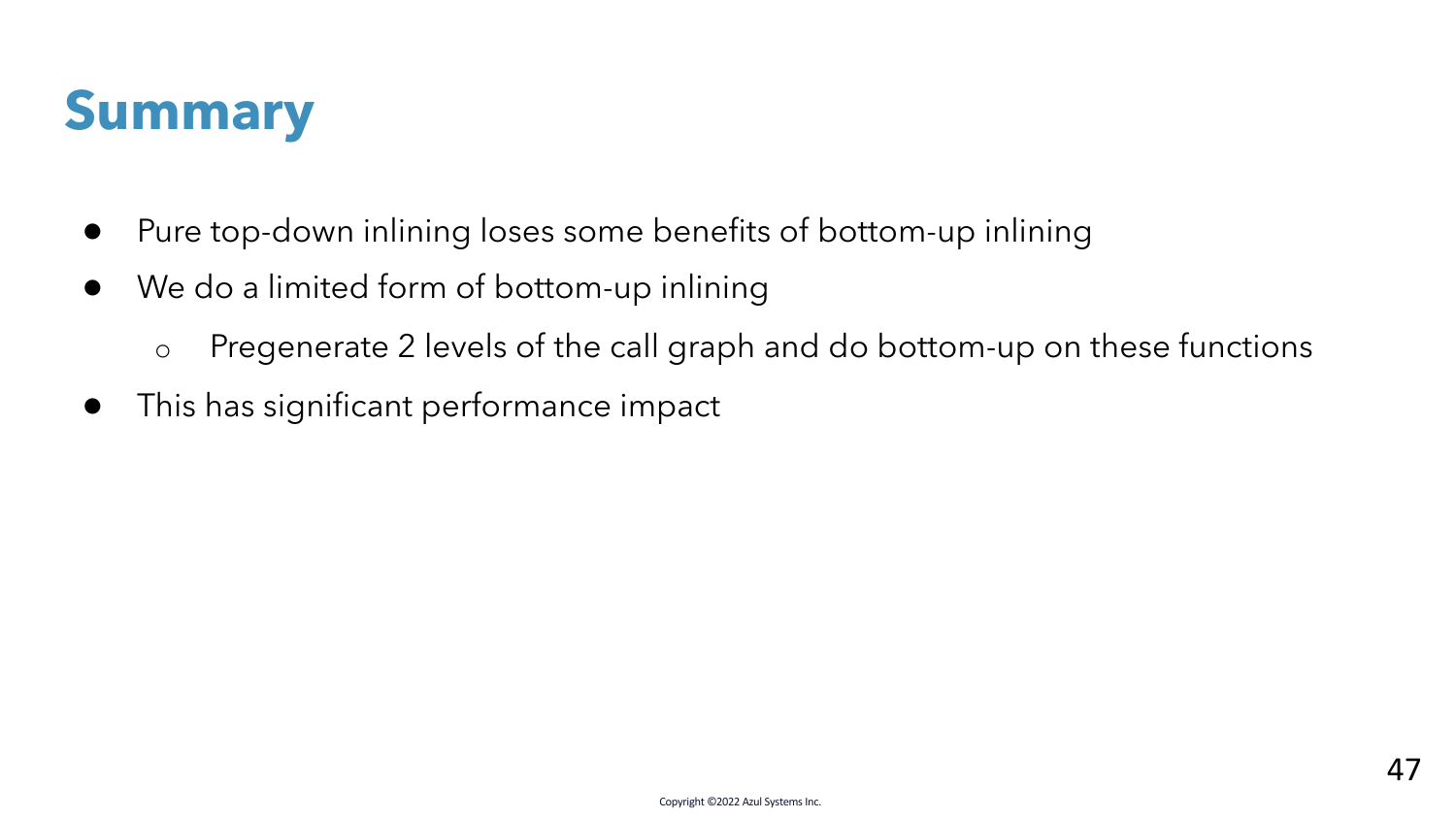

- Pure top-down inlining loses some benefits of bottom-up inlining
- We do a limited form of bottom-up inlining
	- o Pregenerate 2 levels of the call graph and do bottom-up on these functions
- This has significant performance impact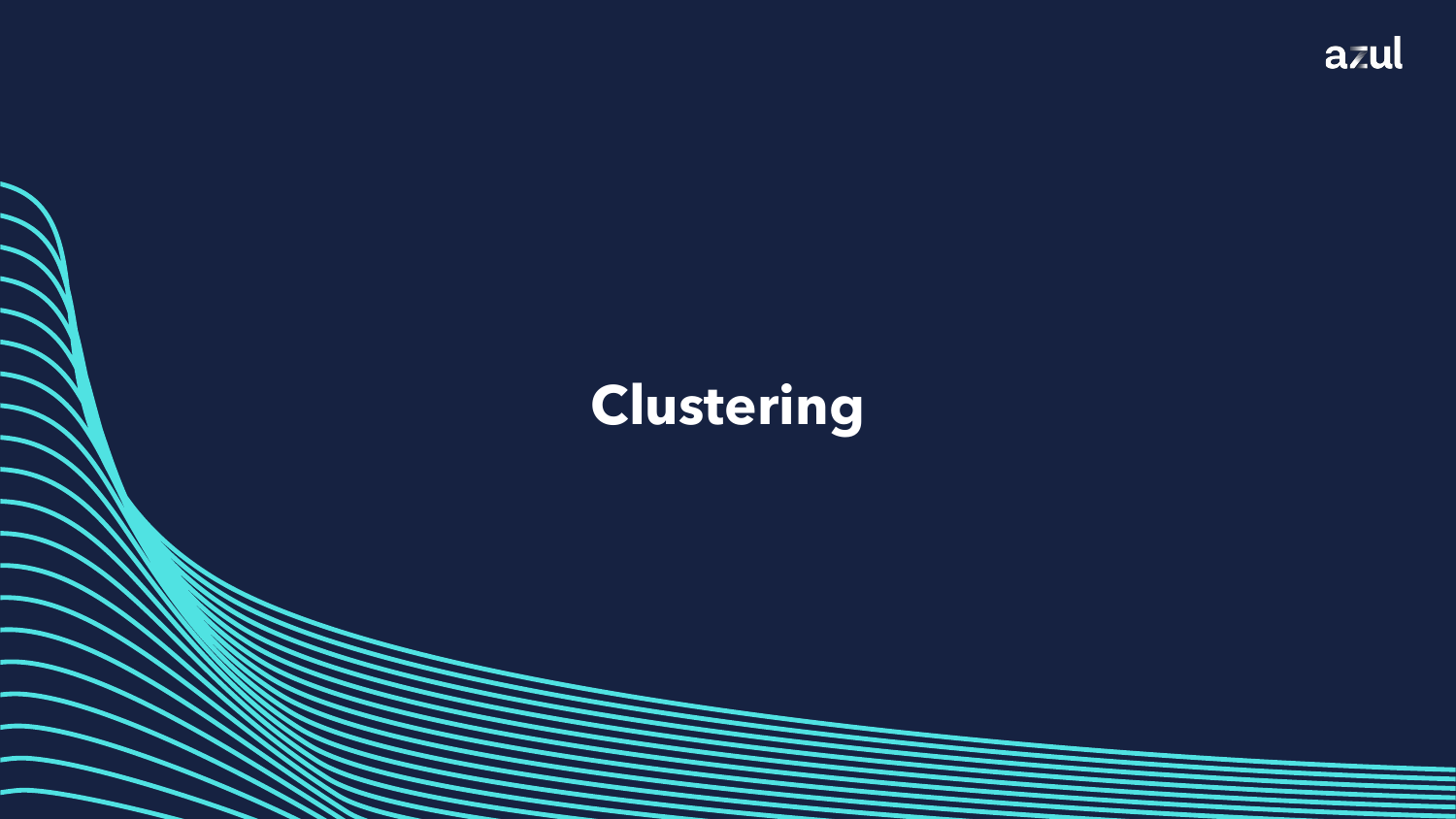

## **Clustering**

Copyright ©2022 Azul Systems Inc.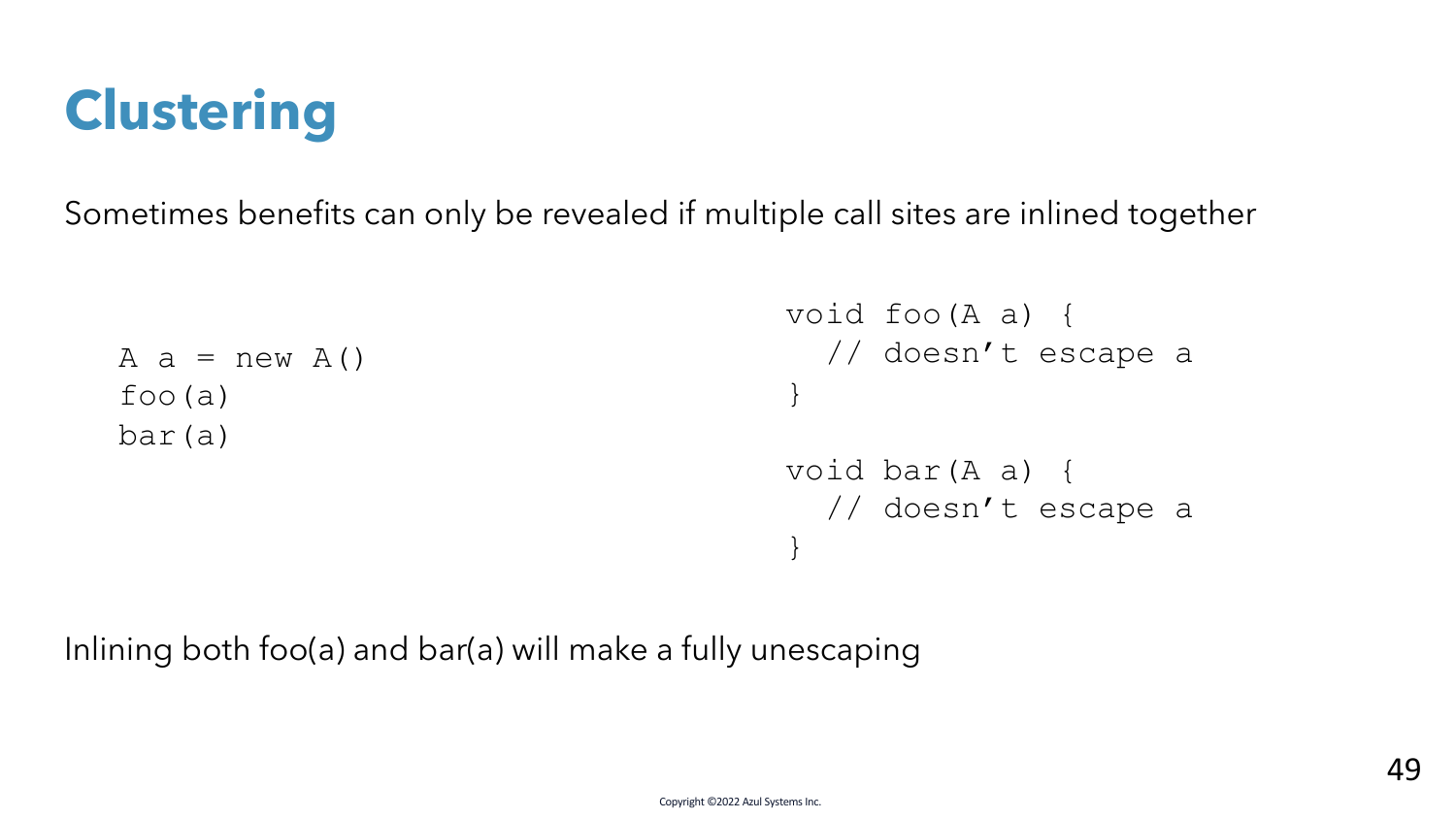## **Clustering**

Sometimes benefits can only be revealed if multiple call sites are inlined together

```
A a = new A()foo(a)
bar(a)
                                    void foo(A a) {
                                      // doesn't escape a
                                     }
                                    void bar(A a) {
                                      // doesn't escape a
                                     }
```
Inlining both foo(a) and bar(a) will make a fully unescaping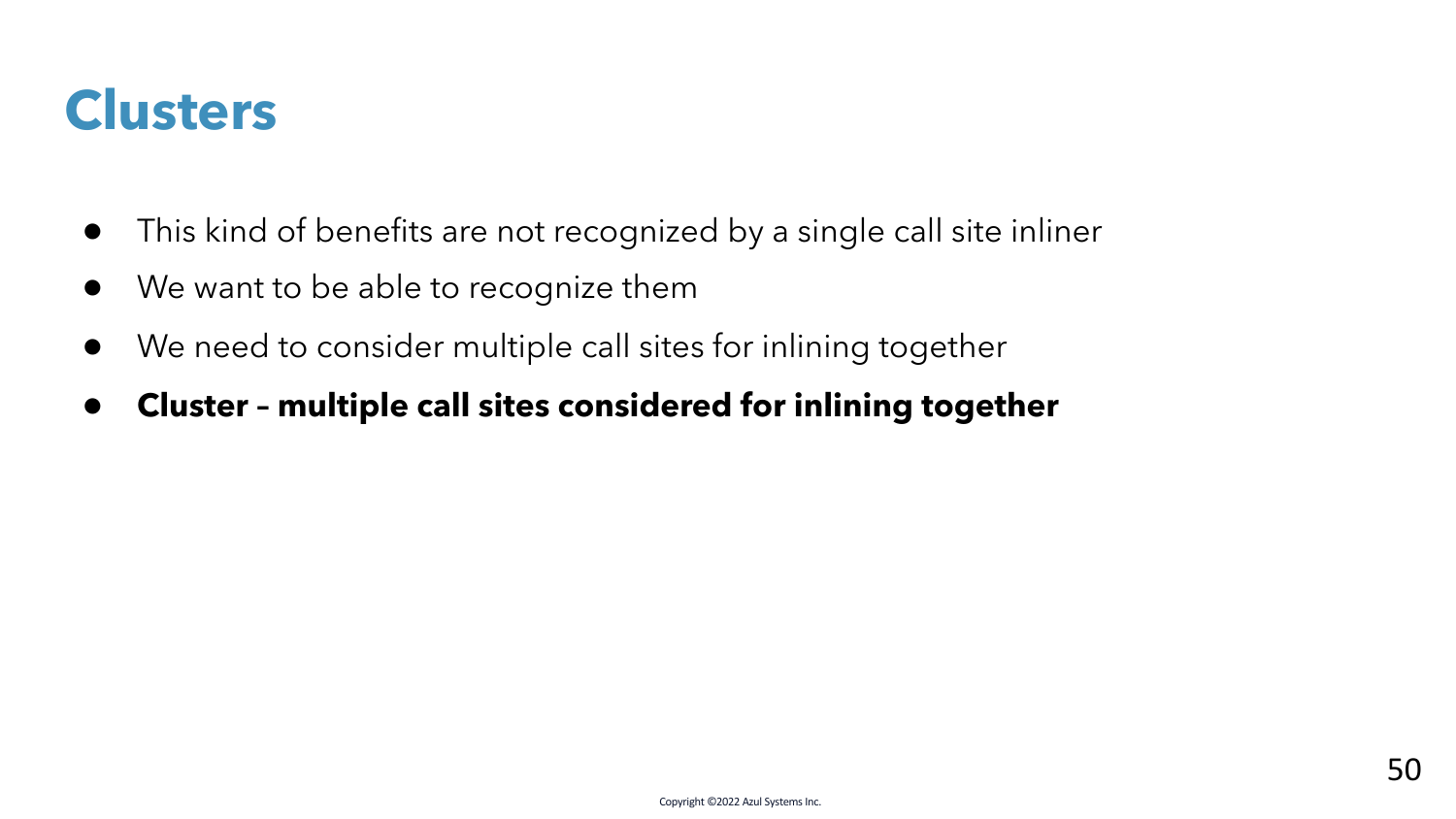### **Clusters**

- This kind of benefits are not recognized by a single call site inliner
- We want to be able to recognize them
- We need to consider multiple call sites for inlining together
- **Cluster – multiple call sites considered for inlining together**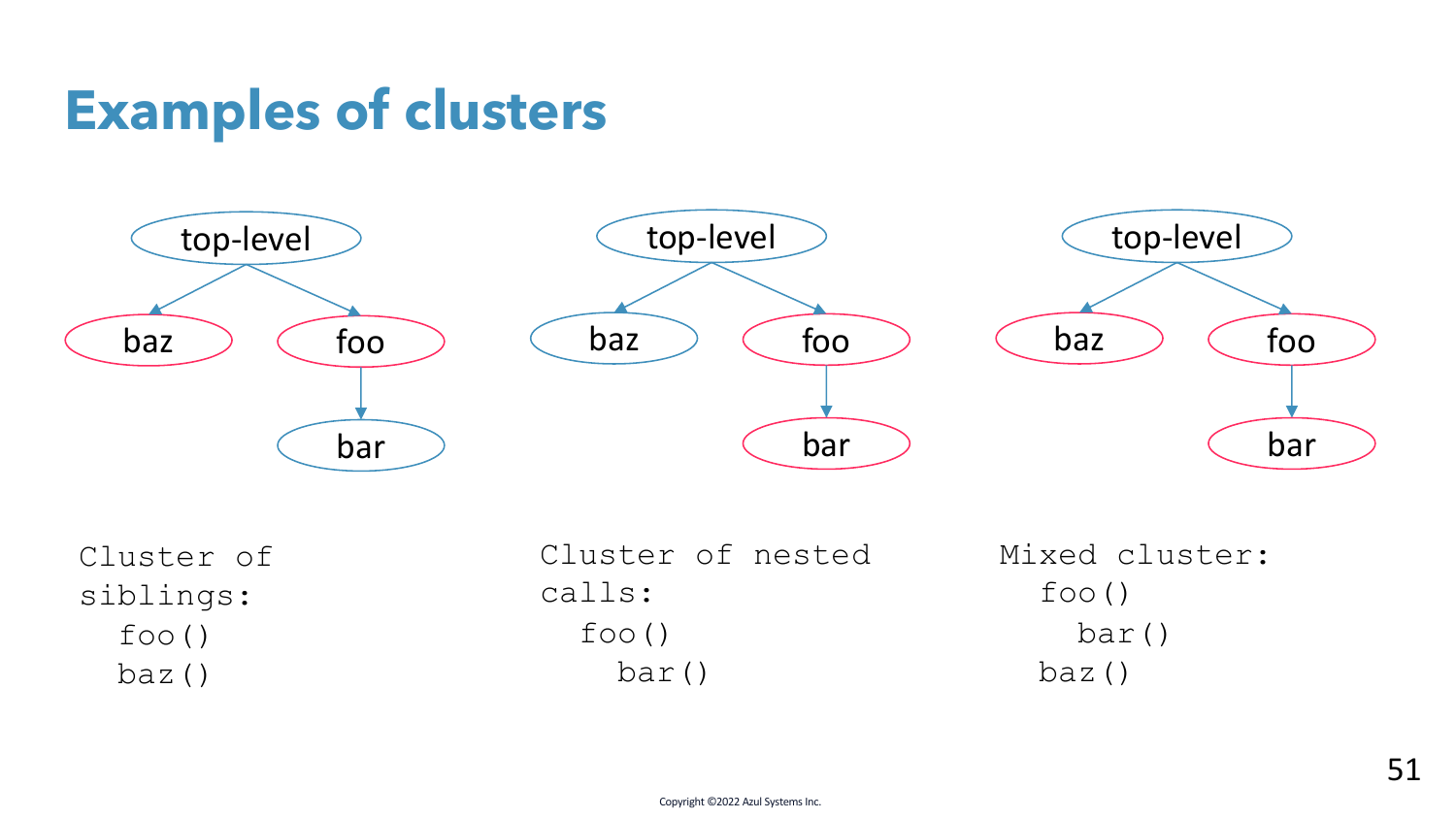## **Examples of clusters**



Cluster of siblings:  $f \circ \circ$  () baz()

Cluster of nested calls:  $f \circ \circ$   $()$ bar() Mixed cluster:  $f \circ \circ$   $()$ bar() baz()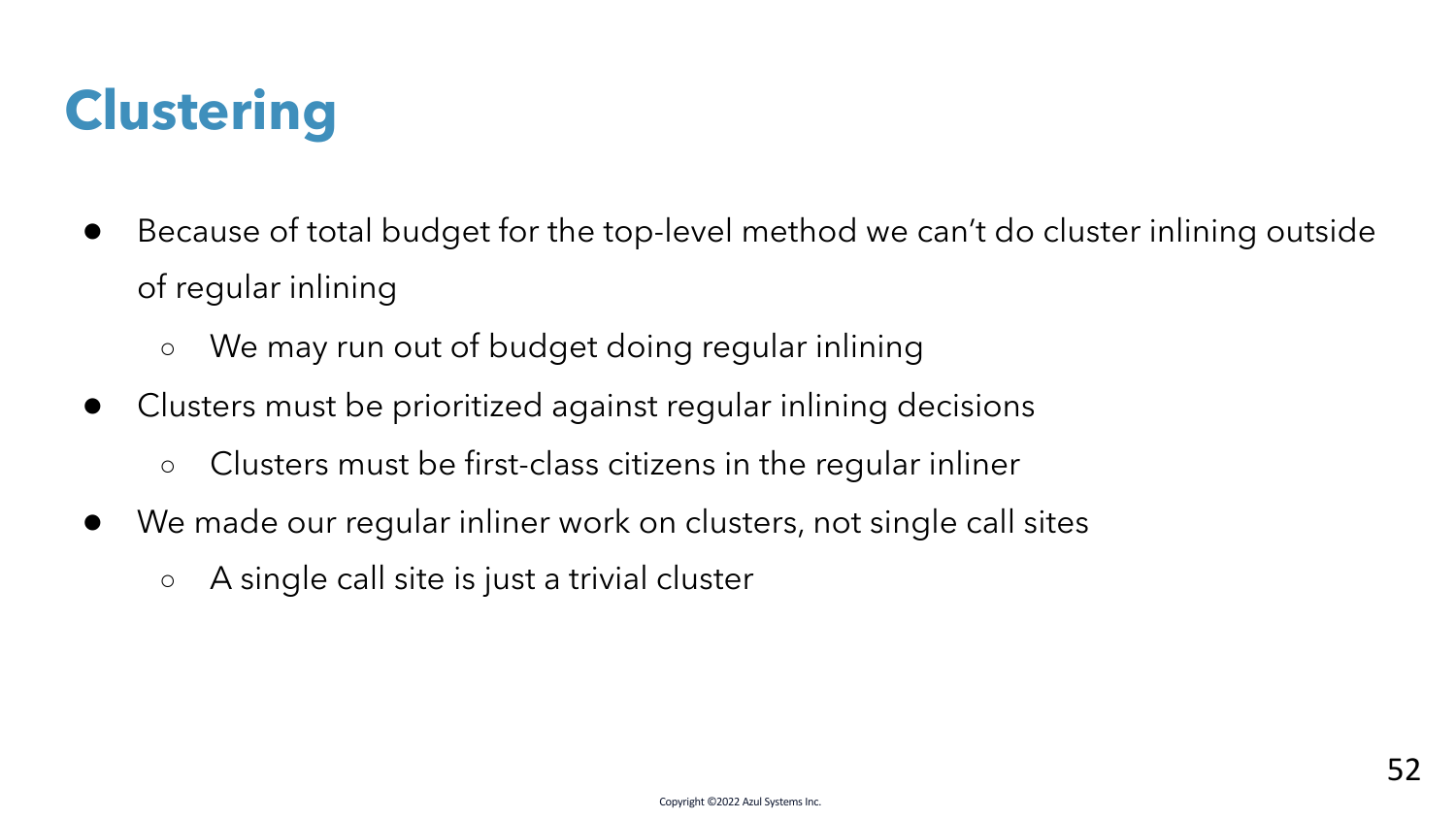# **Clustering**

- Because of total budget for the top-level method we can't do cluster inlining outside of regular inlining
	- We may run out of budget doing regular inlining
- Clusters must be prioritized against regular inlining decisions
	- Clusters must be first-class citizens in the regular inliner
- We made our regular inliner work on clusters, not single call sites
	- A single call site is just a trivial cluster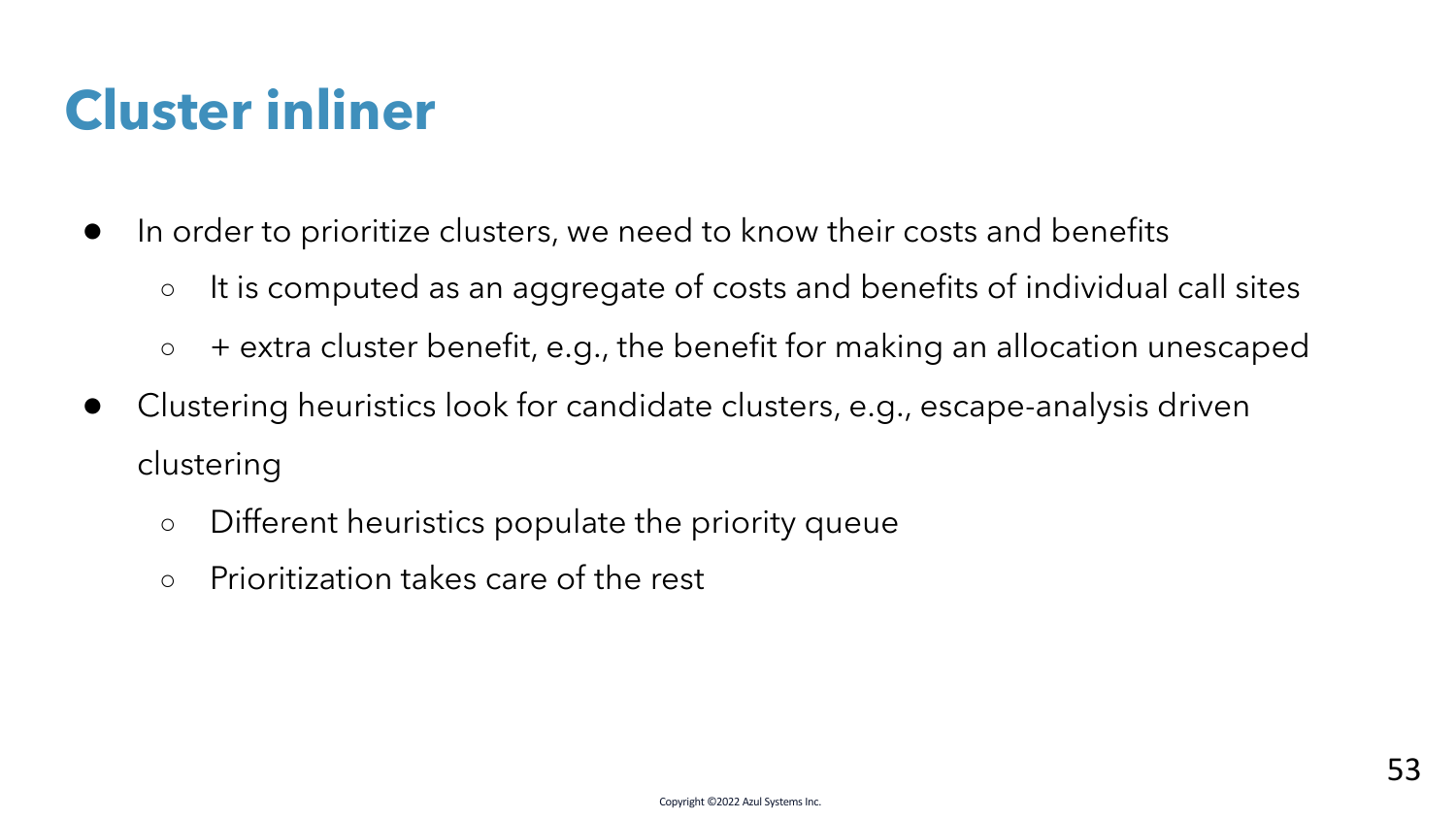## **Cluster inliner**

- In order to prioritize clusters, we need to know their costs and benefits
	- It is computed as an aggregate of costs and benefits of individual call sites
	- + extra cluster benefit, e.g., the benefit for making an allocation unescaped
- Clustering heuristics look for candidate clusters, e.g., escape-analysis driven clustering
	- Different heuristics populate the priority queue
	- Prioritization takes care of the rest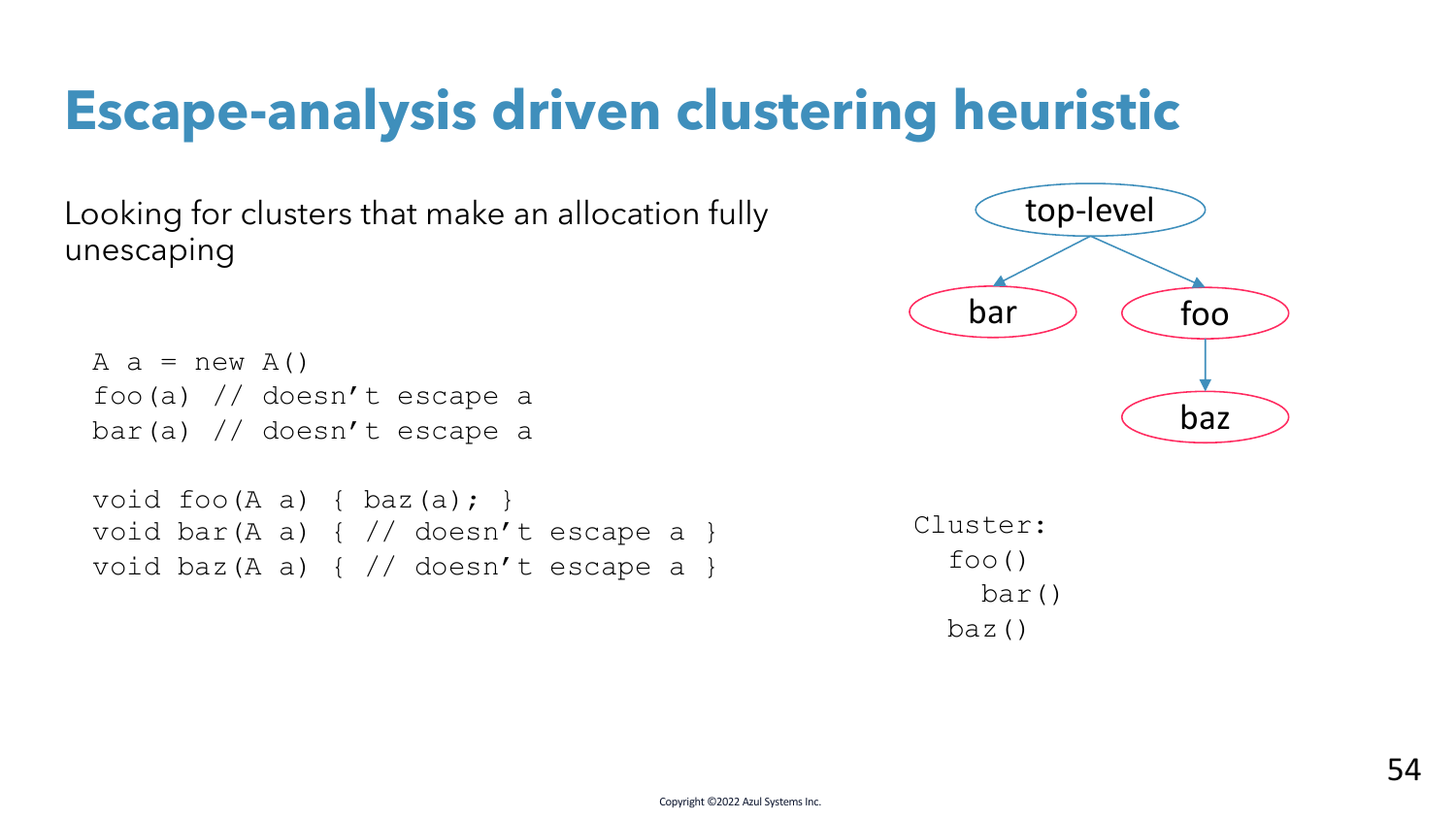## **Escape-analysis driven clustering heuristic**

Looking for clusters that make an allocation fully unescaping

```
A a = new A()foo(a) // doesn't escape a
bar(a) // doesn't escape a
void foo(A \ a) \{ \text{baz}(a); \}
```
void bar(A a) {  $//$  doesn't escape a } void baz(A a) { // doesn't escape a }



Cluster: foo() bar() baz()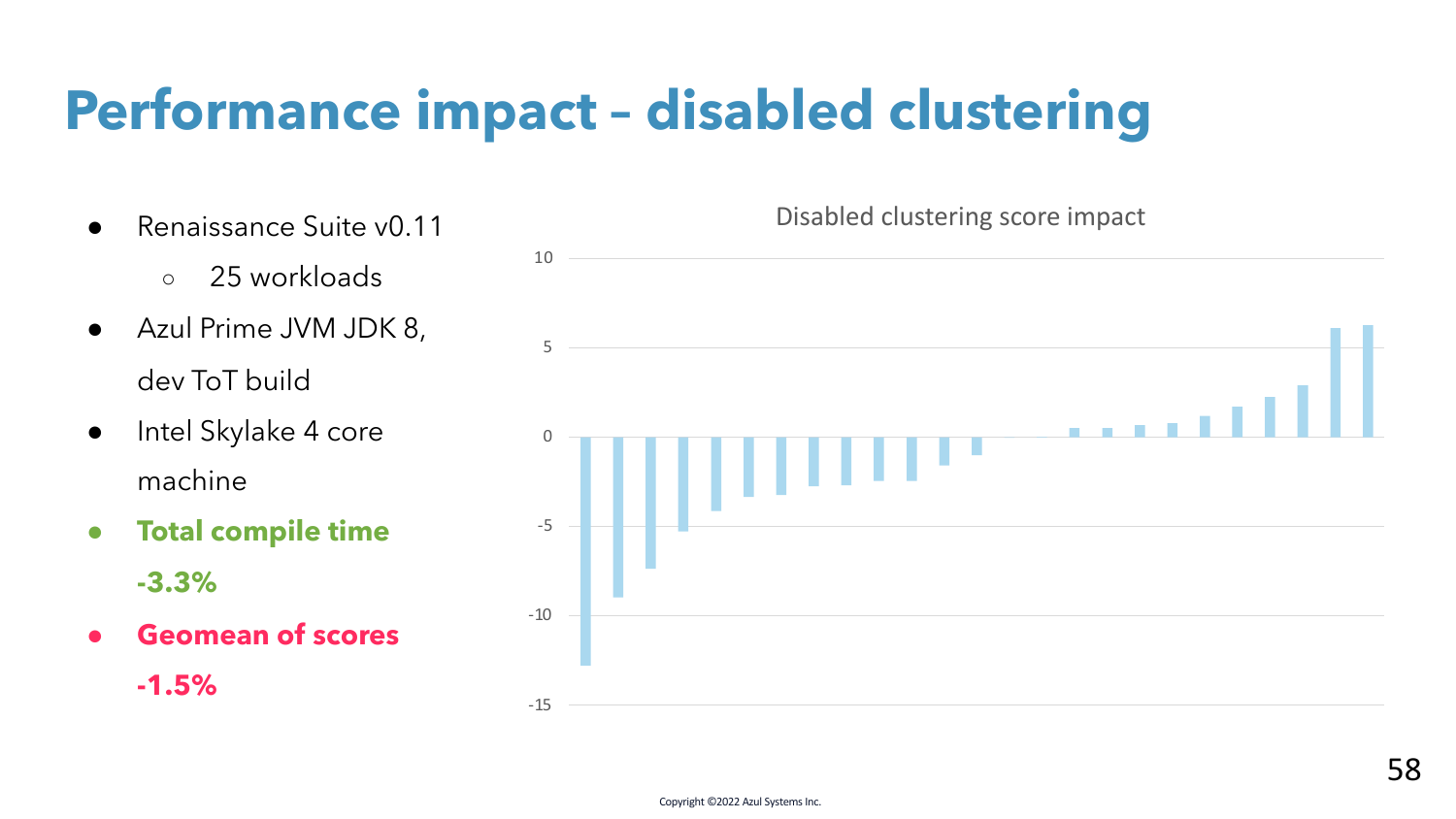## **Performance impact – disabled clustering**

- Renaissance Suite v0.11
	- 25 workloads
- Azul Prime JVM JDK 8, dev ToT build
- Intel Skylake 4 core machine
- **Total compile time -3.3%**
- **Geomean of scores**

**-1.5%**

Disabled clustering score impact

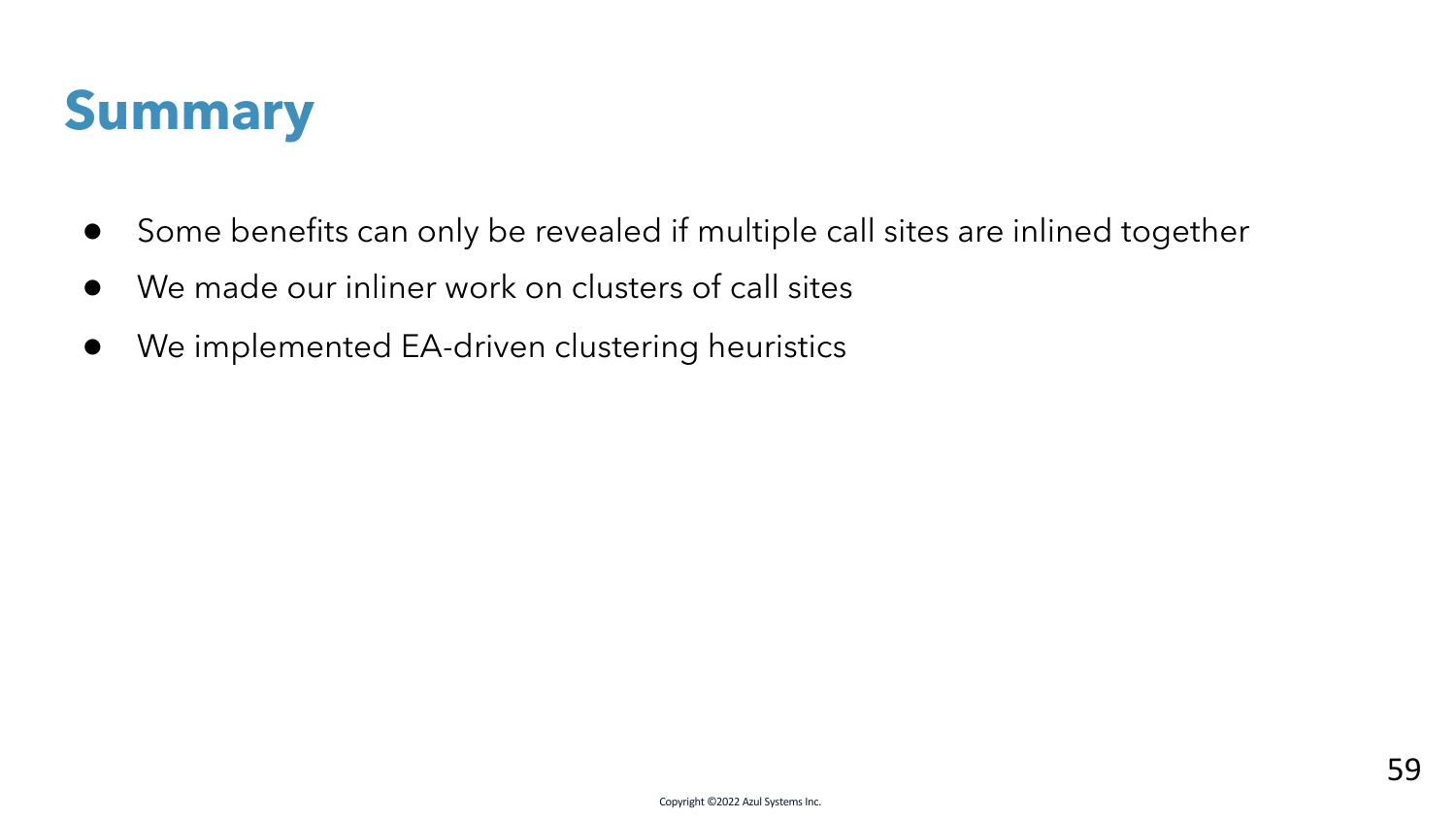

- Some benefits can only be revealed if multiple call sites are inlined together
- We made our inliner work on clusters of call sites
- We implemented EA-driven clustering heuristics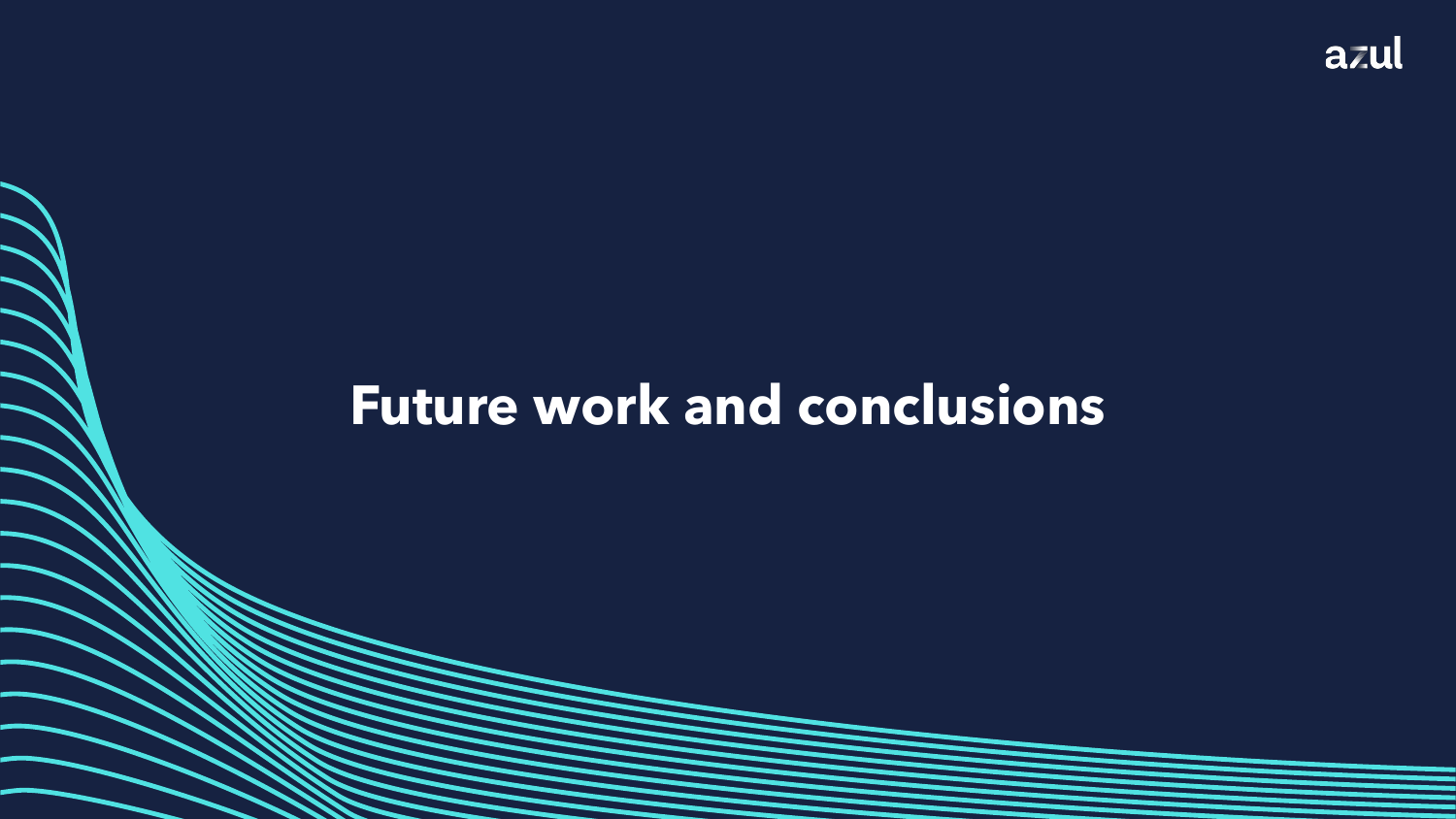### **Future work and conclusions**

Copyright ©2022 Azul Systems Inc.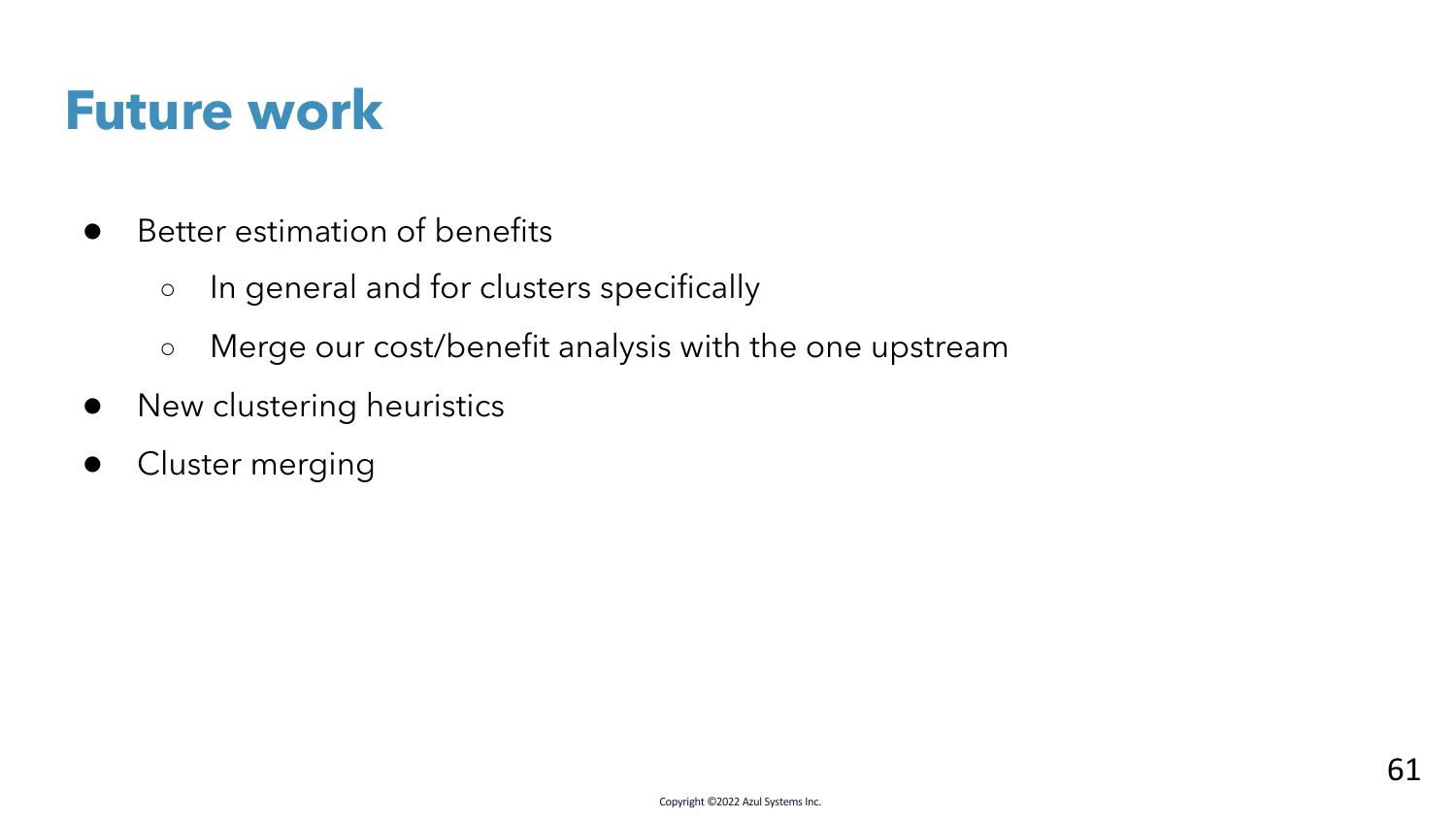### **Future work**

- Better estimation of benefits
	- In general and for clusters specifically
	- Merge our cost/benefit analysis with the one upstream
- New clustering heuristics
- Cluster merging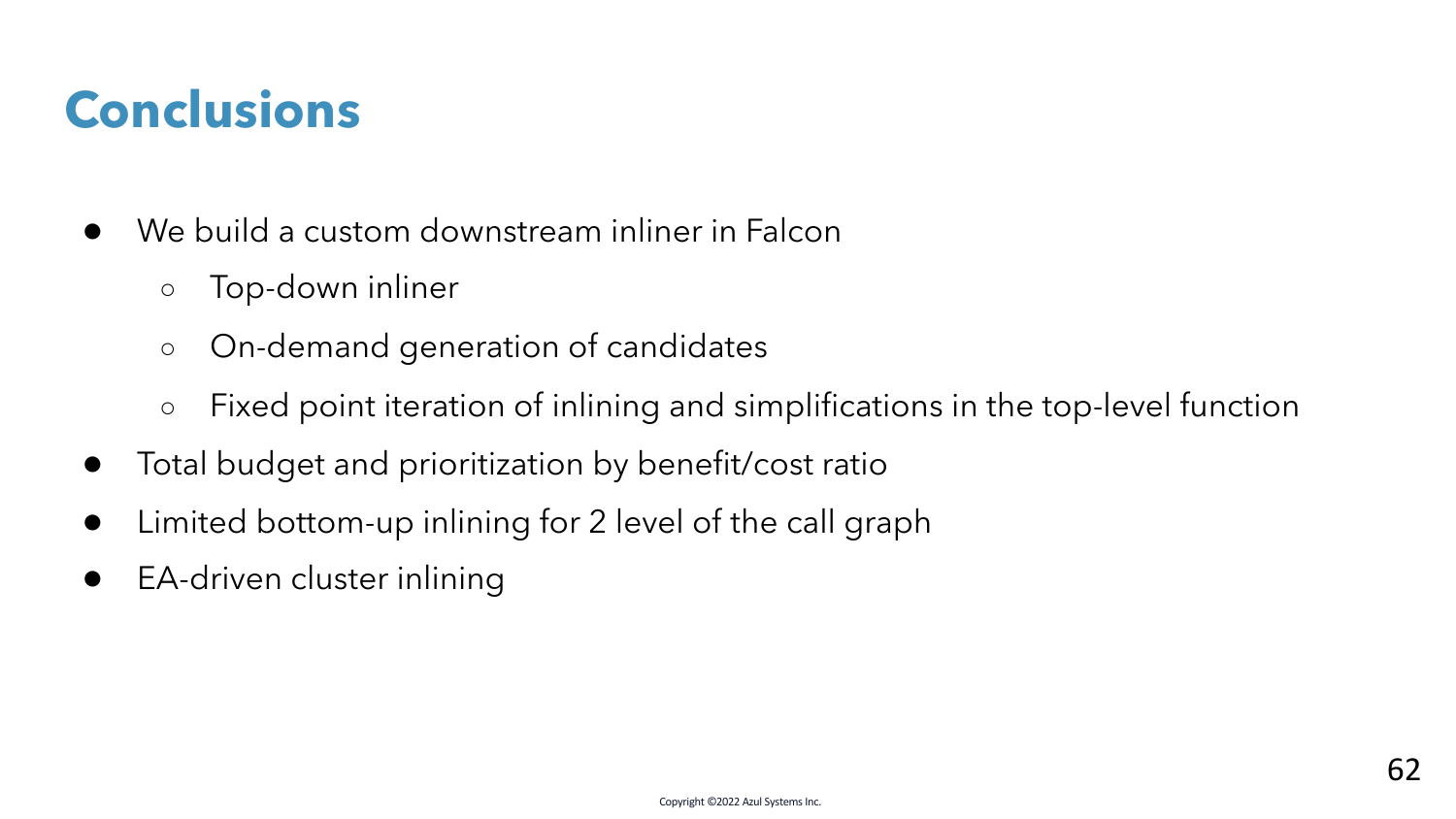### **Conclusions**

- We build a custom downstream inliner in Falcon
	- Top-down inliner
	- On-demand generation of candidates
	- Fixed point iteration of inlining and simplifications in the top-level function
- Total budget and prioritization by benefit/cost ratio
- Limited bottom-up inlining for 2 level of the call graph
- EA-driven cluster inlining